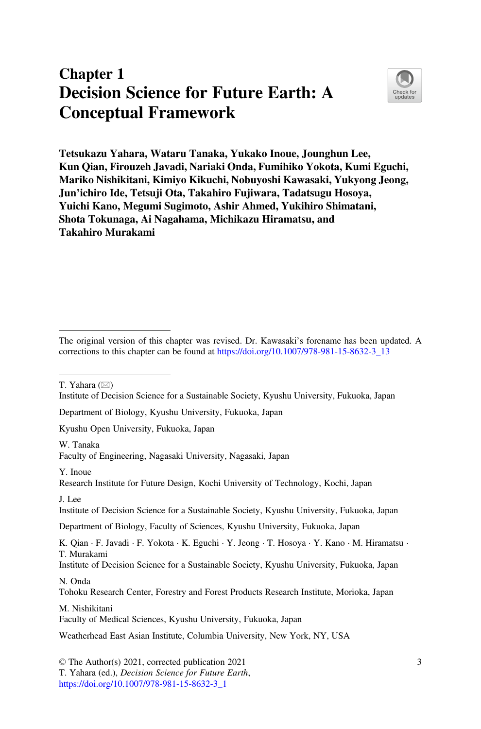# Chapter 1 Decision Science for Future Earth: A Conceptual Framework



Tetsukazu Yahara, Wataru Tanaka, Yukako Inoue, Jounghun Lee, Kun Qian, Firouzeh Javadi, Nariaki Onda, Fumihiko Yokota, Kumi Eguchi, Mariko Nishikitani, Kimiyo Kikuchi, Nobuyoshi Kawasaki, Yukyong Jeong, Jun'ichiro Ide, Tetsuji Ota, Takahiro Fujiwara, Tadatsugu Hosoya, Yuichi Kano, Megumi Sugimoto, Ashir Ahmed, Yukihiro Shimatani, Shota Tokunaga, Ai Nagahama, Michikazu Hiramatsu, and Takahiro Murakami

T. Yahara  $(\boxtimes)$ 

Institute of Decision Science for a Sustainable Society, Kyushu University, Fukuoka, Japan

Department of Biology, Kyushu University, Fukuoka, Japan

Kyushu Open University, Fukuoka, Japan

W. Tanaka

Faculty of Engineering, Nagasaki University, Nagasaki, Japan

Y. Inoue

Research Institute for Future Design, Kochi University of Technology, Kochi, Japan

Institute of Decision Science for a Sustainable Society, Kyushu University, Fukuoka, Japan

Department of Biology, Faculty of Sciences, Kyushu University, Fukuoka, Japan

K. Qian · F. Javadi · F. Yokota · K. Eguchi · Y. Jeong · T. Hosoya · Y. Kano · M. Hiramatsu · T. Murakami

Institute of Decision Science for a Sustainable Society, Kyushu University, Fukuoka, Japan N. Onda

Tohoku Research Center, Forestry and Forest Products Research Institute, Morioka, Japan

M. Nishikitani Faculty of Medical Sciences, Kyushu University, Fukuoka, Japan

Weatherhead East Asian Institute, Columbia University, New York, NY, USA

© The Author(s) 2021, corrected publication 2021 T. Yahara (ed.), Decision Science for Future Earth, [https://doi.org/10.1007/978-981-15-8632-3\\_1](https://doi.org/10.1007/978-981-15-8632-3_1#DOI)

The original version of this chapter was revised. Dr. Kawasaki's forename has been updated. A corrections to this chapter can be found at [https://doi.org/10.1007/978-981-15-8632-3\\_13](https://doi.org/10.1007/978-981-15-8632-3_13#DOI)

 $I$  Lee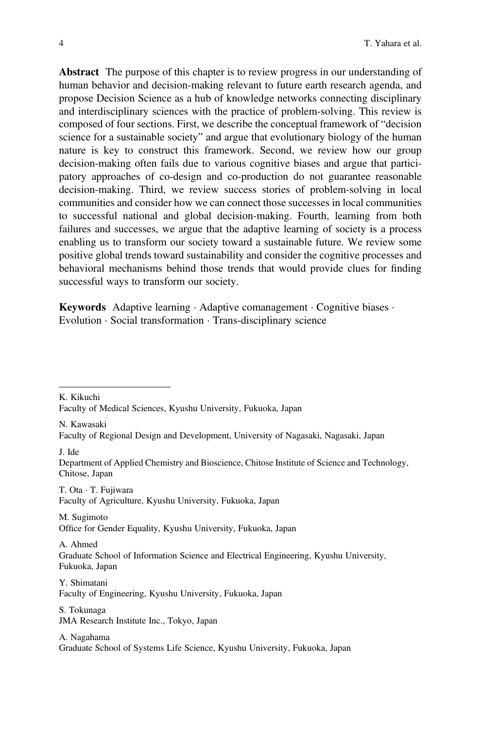Abstract The purpose of this chapter is to review progress in our understanding of human behavior and decision-making relevant to future earth research agenda, and propose Decision Science as a hub of knowledge networks connecting disciplinary and interdisciplinary sciences with the practice of problem-solving. This review is composed of four sections. First, we describe the conceptual framework of "decision science for a sustainable society" and argue that evolutionary biology of the human nature is key to construct this framework. Second, we review how our group decision-making often fails due to various cognitive biases and argue that participatory approaches of co-design and co-production do not guarantee reasonable decision-making. Third, we review success stories of problem-solving in local communities and consider how we can connect those successes in local communities to successful national and global decision-making. Fourth, learning from both failures and successes, we argue that the adaptive learning of society is a process enabling us to transform our society toward a sustainable future. We review some positive global trends toward sustainability and consider the cognitive processes and behavioral mechanisms behind those trends that would provide clues for finding successful ways to transform our society.

Keywords Adaptive learning · Adaptive comanagement · Cognitive biases · Evolution · Social transformation · Trans-disciplinary science

K. Kikuchi

N. Kawasaki

J. Ide

Department of Applied Chemistry and Bioscience, Chitose Institute of Science and Technology, Chitose, Japan

T. Ota · T. Fujiwara

Faculty of Agriculture, Kyushu University, Fukuoka, Japan

M. Sugimoto Office for Gender Equality, Kyushu University, Fukuoka, Japan

A. Ahmed Graduate School of Information Science and Electrical Engineering, Kyushu University, Fukuoka, Japan

Y. Shimatani Faculty of Engineering, Kyushu University, Fukuoka, Japan

S. Tokunaga JMA Research Institute Inc., Tokyo, Japan

A. Nagahama Graduate School of Systems Life Science, Kyushu University, Fukuoka, Japan

Faculty of Medical Sciences, Kyushu University, Fukuoka, Japan

Faculty of Regional Design and Development, University of Nagasaki, Nagasaki, Japan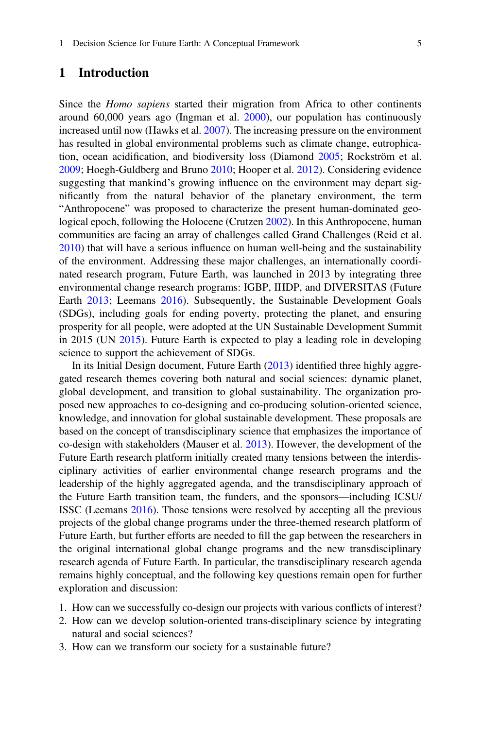### 1 Introduction

Since the *Homo sapiens* started their migration from Africa to other continents around 60,000 years ago (Ingman et al. [2000](#page-54-0)), our population has continuously increased until now (Hawks et al. [2007](#page-54-1)). The increasing pressure on the environment has resulted in global environmental problems such as climate change, eutrophication, ocean acidification, and biodiversity loss (Diamond [2005;](#page-52-0) Rockström et al. [2009;](#page-58-0) Hoegh-Guldberg and Bruno [2010;](#page-54-2) Hooper et al. [2012](#page-54-3)). Considering evidence suggesting that mankind's growing influence on the environment may depart significantly from the natural behavior of the planetary environment, the term "Anthropocene" was proposed to characterize the present human-dominated geological epoch, following the Holocene (Crutzen [2002\)](#page-51-0). In this Anthropocene, human communities are facing an array of challenges called Grand Challenges (Reid et al. [2010\)](#page-58-1) that will have a serious influence on human well-being and the sustainability of the environment. Addressing these major challenges, an internationally coordinated research program, Future Earth, was launched in 2013 by integrating three environmental change research programs: IGBP, IHDP, and DIVERSITAS (Future Earth [2013;](#page-52-1) Leemans [2016](#page-55-0)). Subsequently, the Sustainable Development Goals (SDGs), including goals for ending poverty, protecting the planet, and ensuring prosperity for all people, were adopted at the UN Sustainable Development Summit in 2015 (UN [2015](#page-60-0)). Future Earth is expected to play a leading role in developing science to support the achievement of SDGs.

In its Initial Design document, Future Earth ([2013\)](#page-52-1) identified three highly aggregated research themes covering both natural and social sciences: dynamic planet, global development, and transition to global sustainability. The organization proposed new approaches to co-designing and co-producing solution-oriented science, knowledge, and innovation for global sustainable development. These proposals are based on the concept of transdisciplinary science that emphasizes the importance of co-design with stakeholders (Mauser et al. [2013](#page-56-0)). However, the development of the Future Earth research platform initially created many tensions between the interdisciplinary activities of earlier environmental change research programs and the leadership of the highly aggregated agenda, and the transdisciplinary approach of the Future Earth transition team, the funders, and the sponsors—including ICSU/ ISSC (Leemans [2016\)](#page-55-0). Those tensions were resolved by accepting all the previous projects of the global change programs under the three-themed research platform of Future Earth, but further efforts are needed to fill the gap between the researchers in the original international global change programs and the new transdisciplinary research agenda of Future Earth. In particular, the transdisciplinary research agenda remains highly conceptual, and the following key questions remain open for further exploration and discussion:

- 1. How can we successfully co-design our projects with various conflicts of interest?
- 2. How can we develop solution-oriented trans-disciplinary science by integrating natural and social sciences?
- 3. How can we transform our society for a sustainable future?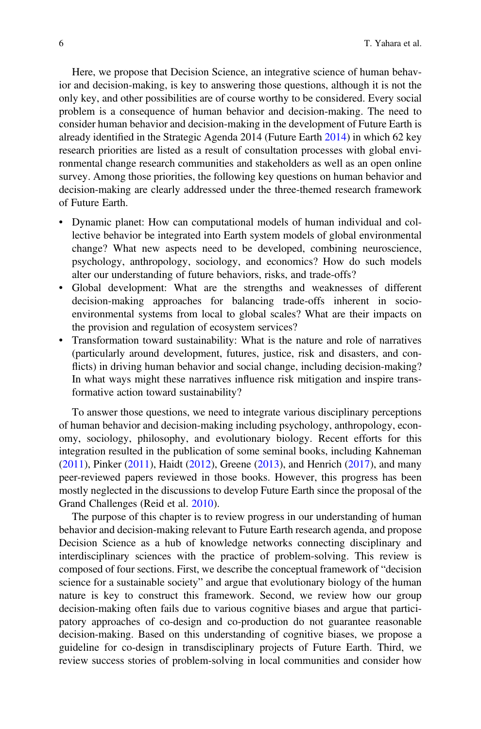Here, we propose that Decision Science, an integrative science of human behavior and decision-making, is key to answering those questions, although it is not the only key, and other possibilities are of course worthy to be considered. Every social problem is a consequence of human behavior and decision-making. The need to consider human behavior and decision-making in the development of Future Earth is already identified in the Strategic Agenda 2014 (Future Earth [2014\)](#page-52-2) in which 62 key research priorities are listed as a result of consultation processes with global environmental change research communities and stakeholders as well as an open online survey. Among those priorities, the following key questions on human behavior and decision-making are clearly addressed under the three-themed research framework of Future Earth.

- Dynamic planet: How can computational models of human individual and collective behavior be integrated into Earth system models of global environmental change? What new aspects need to be developed, combining neuroscience, psychology, anthropology, sociology, and economics? How do such models alter our understanding of future behaviors, risks, and trade-offs?
- Global development: What are the strengths and weaknesses of different decision-making approaches for balancing trade-offs inherent in socioenvironmental systems from local to global scales? What are their impacts on the provision and regulation of ecosystem services?
- Transformation toward sustainability: What is the nature and role of narratives (particularly around development, futures, justice, risk and disasters, and conflicts) in driving human behavior and social change, including decision-making? In what ways might these narratives influence risk mitigation and inspire transformative action toward sustainability?

To answer those questions, we need to integrate various disciplinary perceptions of human behavior and decision-making including psychology, anthropology, economy, sociology, philosophy, and evolutionary biology. Recent efforts for this integration resulted in the publication of some seminal books, including Kahneman [\(2011](#page-55-1)), Pinker ([2011\)](#page-58-2), Haidt ([2012\)](#page-53-0), Greene ([2013](#page-53-1)), and Henrich [\(2017](#page-54-4)), and many peer-reviewed papers reviewed in those books. However, this progress has been mostly neglected in the discussions to develop Future Earth since the proposal of the Grand Challenges (Reid et al. [2010](#page-58-1)).

The purpose of this chapter is to review progress in our understanding of human behavior and decision-making relevant to Future Earth research agenda, and propose Decision Science as a hub of knowledge networks connecting disciplinary and interdisciplinary sciences with the practice of problem-solving. This review is composed of four sections. First, we describe the conceptual framework of "decision science for a sustainable society" and argue that evolutionary biology of the human nature is key to construct this framework. Second, we review how our group decision-making often fails due to various cognitive biases and argue that participatory approaches of co-design and co-production do not guarantee reasonable decision-making. Based on this understanding of cognitive biases, we propose a guideline for co-design in transdisciplinary projects of Future Earth. Third, we review success stories of problem-solving in local communities and consider how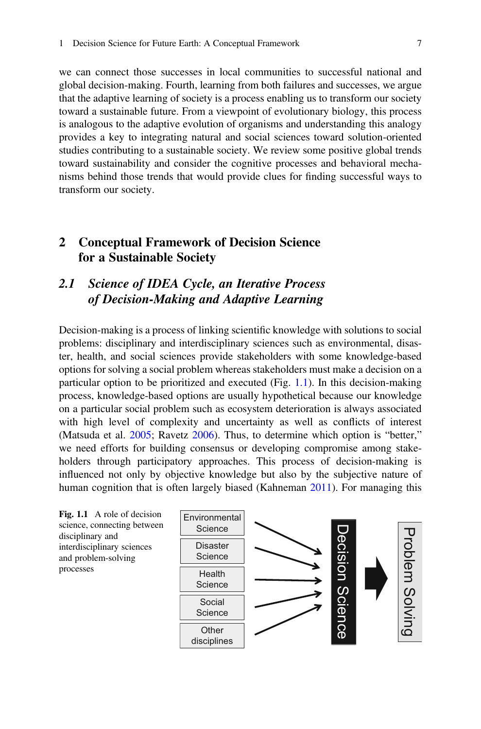we can connect those successes in local communities to successful national and global decision-making. Fourth, learning from both failures and successes, we argue that the adaptive learning of society is a process enabling us to transform our society toward a sustainable future. From a viewpoint of evolutionary biology, this process is analogous to the adaptive evolution of organisms and understanding this analogy provides a key to integrating natural and social sciences toward solution-oriented studies contributing to a sustainable society. We review some positive global trends toward sustainability and consider the cognitive processes and behavioral mechanisms behind those trends that would provide clues for finding successful ways to transform our society.

# <span id="page-4-1"></span>2 Conceptual Framework of Decision Science for a Sustainable Society

# 2.1 Science of IDEA Cycle, an Iterative Process of Decision-Making and Adaptive Learning

Decision-making is a process of linking scientific knowledge with solutions to social problems: disciplinary and interdisciplinary sciences such as environmental, disaster, health, and social sciences provide stakeholders with some knowledge-based options for solving a social problem whereas stakeholders must make a decision on a particular option to be prioritized and executed (Fig. [1.1\)](#page-4-0). In this decision-making process, knowledge-based options are usually hypothetical because our knowledge on a particular social problem such as ecosystem deterioration is always associated with high level of complexity and uncertainty as well as conflicts of interest (Matsuda et al. [2005](#page-56-1); Ravetz [2006\)](#page-58-3). Thus, to determine which option is "better," we need efforts for building consensus or developing compromise among stakeholders through participatory approaches. This process of decision-making is influenced not only by objective knowledge but also by the subjective nature of human cognition that is often largely biased (Kahneman [2011](#page-55-1)). For managing this

<span id="page-4-0"></span>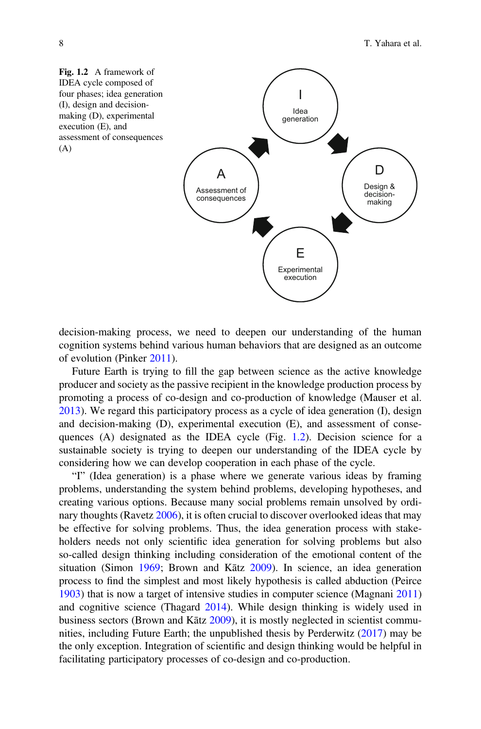<span id="page-5-0"></span>

decision-making process, we need to deepen our understanding of the human cognition systems behind various human behaviors that are designed as an outcome of evolution (Pinker [2011\)](#page-58-2).

Future Earth is trying to fill the gap between science as the active knowledge producer and society as the passive recipient in the knowledge production process by promoting a process of co-design and co-production of knowledge (Mauser et al. [2013\)](#page-56-0). We regard this participatory process as a cycle of idea generation (I), design and decision-making (D), experimental execution (E), and assessment of conse-quences (A) designated as the IDEA cycle (Fig. [1.2](#page-5-0)). Decision science for a sustainable society is trying to deepen our understanding of the IDEA cycle by considering how we can develop cooperation in each phase of the cycle.

"I" (Idea generation) is a phase where we generate various ideas by framing problems, understanding the system behind problems, developing hypotheses, and creating various options. Because many social problems remain unsolved by ordinary thoughts (Ravetz [2006](#page-58-3)), it is often crucial to discover overlooked ideas that may be effective for solving problems. Thus, the idea generation process with stakeholders needs not only scientific idea generation for solving problems but also so-called design thinking including consideration of the emotional content of the situation (Simon [1969;](#page-59-0) Brown and Kātz [2009](#page-51-1)). In science, an idea generation process to find the simplest and most likely hypothesis is called abduction (Peirce [1903\)](#page-57-0) that is now a target of intensive studies in computer science (Magnani [2011](#page-56-2)) and cognitive science (Thagard [2014](#page-60-1)). While design thinking is widely used in business sectors (Brown and Kātz [2009](#page-51-1)), it is mostly neglected in scientist communities, including Future Earth; the unpublished thesis by Perderwitz [\(2017](#page-58-4)) may be the only exception. Integration of scientific and design thinking would be helpful in facilitating participatory processes of co-design and co-production.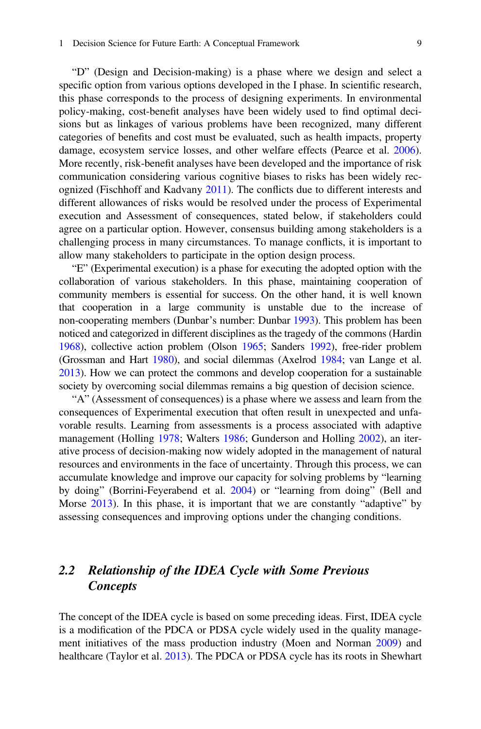#### 1 Decision Science for Future Earth: A Conceptual Framework 9

"D" (Design and Decision-making) is a phase where we design and select a specific option from various options developed in the I phase. In scientific research, this phase corresponds to the process of designing experiments. In environmental policy-making, cost-benefit analyses have been widely used to find optimal decisions but as linkages of various problems have been recognized, many different categories of benefits and cost must be evaluated, such as health impacts, property damage, ecosystem service losses, and other welfare effects (Pearce et al. [2006\)](#page-57-1). More recently, risk-benefit analyses have been developed and the importance of risk communication considering various cognitive biases to risks has been widely recognized (Fischhoff and Kadvany [2011\)](#page-52-3). The conflicts due to different interests and different allowances of risks would be resolved under the process of Experimental execution and Assessment of consequences, stated below, if stakeholders could agree on a particular option. However, consensus building among stakeholders is a challenging process in many circumstances. To manage conflicts, it is important to allow many stakeholders to participate in the option design process.

"E" (Experimental execution) is a phase for executing the adopted option with the collaboration of various stakeholders. In this phase, maintaining cooperation of community members is essential for success. On the other hand, it is well known that cooperation in a large community is unstable due to the increase of non-cooperating members (Dunbar's number: Dunbar [1993\)](#page-52-4). This problem has been noticed and categorized in different disciplines as the tragedy of the commons (Hardin [1968](#page-53-2)), collective action problem (Olson [1965;](#page-57-2) Sanders [1992\)](#page-58-5), free-rider problem (Grossman and Hart [1980\)](#page-53-3), and social dilemmas (Axelrod [1984;](#page-50-0) van Lange et al. [2013](#page-60-2)). How we can protect the commons and develop cooperation for a sustainable society by overcoming social dilemmas remains a big question of decision science.

"A" (Assessment of consequences) is a phase where we assess and learn from the consequences of Experimental execution that often result in unexpected and unfavorable results. Learning from assessments is a process associated with adaptive management (Holling [1978](#page-54-5); Walters [1986;](#page-61-0) Gunderson and Holling [2002\)](#page-53-4), an iterative process of decision-making now widely adopted in the management of natural resources and environments in the face of uncertainty. Through this process, we can accumulate knowledge and improve our capacity for solving problems by "learning by doing" (Borrini-Feyerabend et al. [2004\)](#page-51-2) or "learning from doing" (Bell and Morse [2013](#page-50-1)). In this phase, it is important that we are constantly "adaptive" by assessing consequences and improving options under the changing conditions.

# 2.2 Relationship of the IDEA Cycle with Some Previous Concepts

The concept of the IDEA cycle is based on some preceding ideas. First, IDEA cycle is a modification of the PDCA or PDSA cycle widely used in the quality management initiatives of the mass production industry (Moen and Norman [2009\)](#page-56-3) and healthcare (Taylor et al. [2013\)](#page-60-3). The PDCA or PDSA cycle has its roots in Shewhart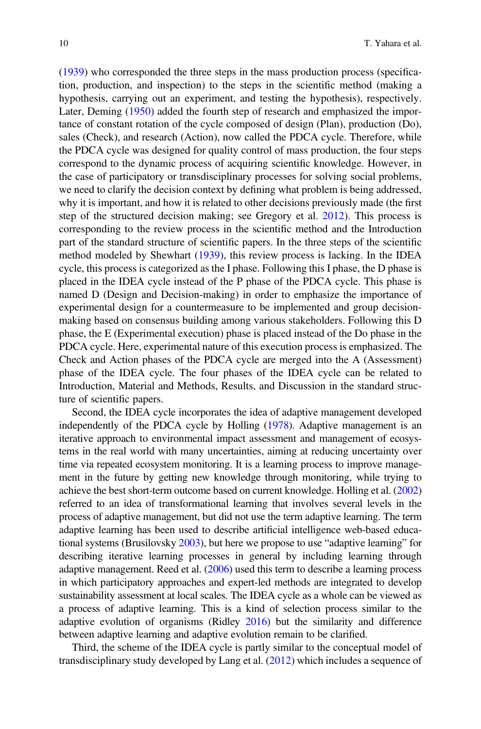[\(1939](#page-59-1)) who corresponded the three steps in the mass production process (specification, production, and inspection) to the steps in the scientific method (making a hypothesis, carrying out an experiment, and testing the hypothesis), respectively. Later, Deming ([1950\)](#page-52-5) added the fourth step of research and emphasized the importance of constant rotation of the cycle composed of design (Plan), production (Do), sales (Check), and research (Action), now called the PDCA cycle. Therefore, while the PDCA cycle was designed for quality control of mass production, the four steps correspond to the dynamic process of acquiring scientific knowledge. However, in the case of participatory or transdisciplinary processes for solving social problems, we need to clarify the decision context by defining what problem is being addressed, why it is important, and how it is related to other decisions previously made (the first step of the structured decision making; see Gregory et al. [2012\)](#page-53-5). This process is corresponding to the review process in the scientific method and the Introduction part of the standard structure of scientific papers. In the three steps of the scientific method modeled by Shewhart [\(1939](#page-59-1)), this review process is lacking. In the IDEA cycle, this process is categorized as the I phase. Following this I phase, the D phase is placed in the IDEA cycle instead of the P phase of the PDCA cycle. This phase is named D (Design and Decision-making) in order to emphasize the importance of experimental design for a countermeasure to be implemented and group decisionmaking based on consensus building among various stakeholders. Following this D phase, the E (Experimental execution) phase is placed instead of the Do phase in the PDCA cycle. Here, experimental nature of this execution process is emphasized. The Check and Action phases of the PDCA cycle are merged into the A (Assessment) phase of the IDEA cycle. The four phases of the IDEA cycle can be related to Introduction, Material and Methods, Results, and Discussion in the standard structure of scientific papers.

Second, the IDEA cycle incorporates the idea of adaptive management developed independently of the PDCA cycle by Holling [\(1978\)](#page-54-5). Adaptive management is an iterative approach to environmental impact assessment and management of ecosystems in the real world with many uncertainties, aiming at reducing uncertainty over time via repeated ecosystem monitoring. It is a learning process to improve management in the future by getting new knowledge through monitoring, while trying to achieve the best short-term outcome based on current knowledge. Holling et al. ([2002](#page-54-6)) referred to an idea of transformational learning that involves several levels in the process of adaptive management, but did not use the term adaptive learning. The term adaptive learning has been used to describe artificial intelligence web-based educational systems (Brusilovsky [2003](#page-51-3)), but here we propose to use "adaptive learning" for describing iterative learning processes in general by including learning through adaptive management. Reed et al. ([2006](#page-58-6)) used this term to describe a learning process in which participatory approaches and expert-led methods are integrated to develop sustainability assessment at local scales. The IDEA cycle as a whole can be viewed as a process of adaptive learning. This is a kind of selection process similar to the adaptive evolution of organisms (Ridley [2016](#page-58-7)) but the similarity and difference between adaptive learning and adaptive evolution remain to be clarified.

Third, the scheme of the IDEA cycle is partly similar to the conceptual model of transdisciplinary study developed by Lang et al. [\(2012](#page-55-2)) which includes a sequence of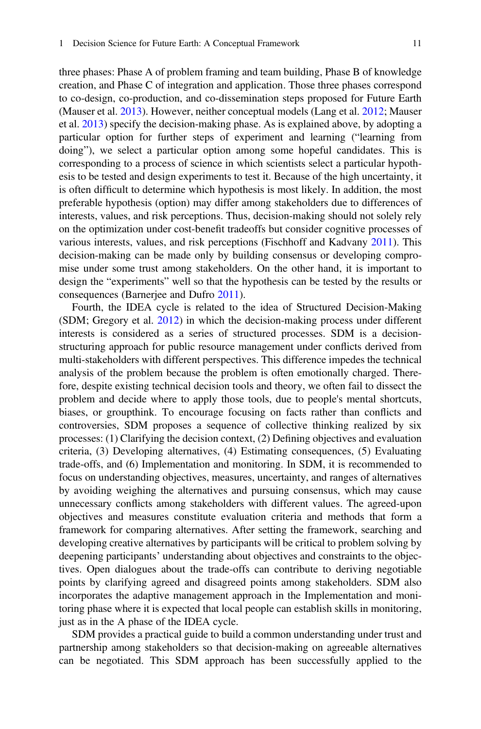three phases: Phase A of problem framing and team building, Phase B of knowledge creation, and Phase C of integration and application. Those three phases correspond to co-design, co-production, and co-dissemination steps proposed for Future Earth (Mauser et al. [2013\)](#page-56-0). However, neither conceptual models (Lang et al. [2012;](#page-55-2) Mauser et al. [2013\)](#page-56-0) specify the decision-making phase. As is explained above, by adopting a particular option for further steps of experiment and learning ("learning from doing"), we select a particular option among some hopeful candidates. This is corresponding to a process of science in which scientists select a particular hypothesis to be tested and design experiments to test it. Because of the high uncertainty, it is often difficult to determine which hypothesis is most likely. In addition, the most preferable hypothesis (option) may differ among stakeholders due to differences of interests, values, and risk perceptions. Thus, decision-making should not solely rely on the optimization under cost-benefit tradeoffs but consider cognitive processes of various interests, values, and risk perceptions (Fischhoff and Kadvany [2011](#page-52-3)). This decision-making can be made only by building consensus or developing compromise under some trust among stakeholders. On the other hand, it is important to design the "experiments" well so that the hypothesis can be tested by the results or consequences (Barnerjee and Dufro [2011\)](#page-50-2).

Fourth, the IDEA cycle is related to the idea of Structured Decision-Making (SDM; Gregory et al. [2012\)](#page-53-5) in which the decision-making process under different interests is considered as a series of structured processes. SDM is a decisionstructuring approach for public resource management under conflicts derived from multi-stakeholders with different perspectives. This difference impedes the technical analysis of the problem because the problem is often emotionally charged. Therefore, despite existing technical decision tools and theory, we often fail to dissect the problem and decide where to apply those tools, due to people's mental shortcuts, biases, or groupthink. To encourage focusing on facts rather than conflicts and controversies, SDM proposes a sequence of collective thinking realized by six processes: (1) Clarifying the decision context, (2) Defining objectives and evaluation criteria, (3) Developing alternatives, (4) Estimating consequences, (5) Evaluating trade-offs, and (6) Implementation and monitoring. In SDM, it is recommended to focus on understanding objectives, measures, uncertainty, and ranges of alternatives by avoiding weighing the alternatives and pursuing consensus, which may cause unnecessary conflicts among stakeholders with different values. The agreed-upon objectives and measures constitute evaluation criteria and methods that form a framework for comparing alternatives. After setting the framework, searching and developing creative alternatives by participants will be critical to problem solving by deepening participants' understanding about objectives and constraints to the objectives. Open dialogues about the trade-offs can contribute to deriving negotiable points by clarifying agreed and disagreed points among stakeholders. SDM also incorporates the adaptive management approach in the Implementation and monitoring phase where it is expected that local people can establish skills in monitoring, just as in the A phase of the IDEA cycle.

SDM provides a practical guide to build a common understanding under trust and partnership among stakeholders so that decision-making on agreeable alternatives can be negotiated. This SDM approach has been successfully applied to the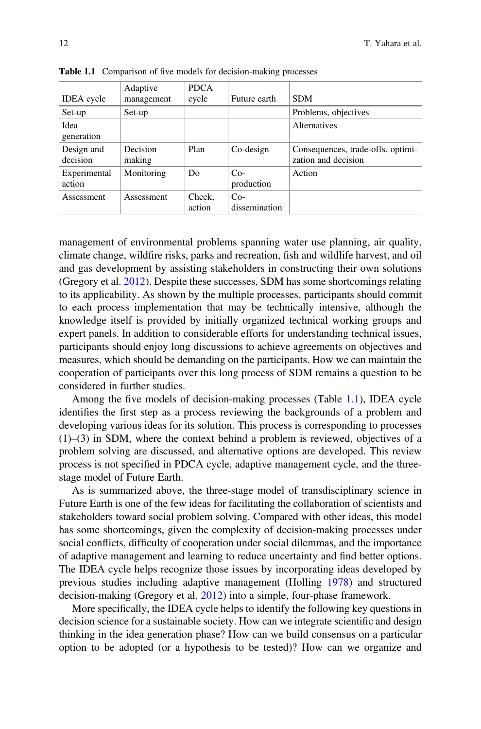|                   | Adaptive   | <b>PDCA</b>    |               |                                   |
|-------------------|------------|----------------|---------------|-----------------------------------|
| <b>IDEA</b> cycle | management | cycle          | Future earth  | <b>SDM</b>                        |
| Set-up            | Set-up     |                |               | Problems, objectives              |
| Idea              |            |                |               | Alternatives                      |
| generation        |            |                |               |                                   |
| Design and        | Decision   | Plan           | Co-design     | Consequences, trade-offs, optimi- |
| decision          | making     |                |               | zation and decision               |
| Experimental      | Monitoring | D <sub>0</sub> | $Co-$         | Action                            |
| action            |            |                | production    |                                   |
| Assessment        | Assessment | Check.         | $Co-$         |                                   |
|                   |            | action         | dissemination |                                   |

<span id="page-9-0"></span>Table 1.1 Comparison of five models for decision-making processes

management of environmental problems spanning water use planning, air quality, climate change, wildfire risks, parks and recreation, fish and wildlife harvest, and oil and gas development by assisting stakeholders in constructing their own solutions (Gregory et al. [2012](#page-53-5)). Despite these successes, SDM has some shortcomings relating to its applicability. As shown by the multiple processes, participants should commit to each process implementation that may be technically intensive, although the knowledge itself is provided by initially organized technical working groups and expert panels. In addition to considerable efforts for understanding technical issues, participants should enjoy long discussions to achieve agreements on objectives and measures, which should be demanding on the participants. How we can maintain the cooperation of participants over this long process of SDM remains a question to be considered in further studies.

Among the five models of decision-making processes (Table [1.1\)](#page-9-0), IDEA cycle identifies the first step as a process reviewing the backgrounds of a problem and developing various ideas for its solution. This process is corresponding to processes  $(1)$ – $(3)$  in SDM, where the context behind a problem is reviewed, objectives of a problem solving are discussed, and alternative options are developed. This review process is not specified in PDCA cycle, adaptive management cycle, and the threestage model of Future Earth.

As is summarized above, the three-stage model of transdisciplinary science in Future Earth is one of the few ideas for facilitating the collaboration of scientists and stakeholders toward social problem solving. Compared with other ideas, this model has some shortcomings, given the complexity of decision-making processes under social conflicts, difficulty of cooperation under social dilemmas, and the importance of adaptive management and learning to reduce uncertainty and find better options. The IDEA cycle helps recognize those issues by incorporating ideas developed by previous studies including adaptive management (Holling [1978\)](#page-54-5) and structured decision-making (Gregory et al. [2012\)](#page-53-5) into a simple, four-phase framework.

More specifically, the IDEA cycle helps to identify the following key questions in decision science for a sustainable society. How can we integrate scientific and design thinking in the idea generation phase? How can we build consensus on a particular option to be adopted (or a hypothesis to be tested)? How can we organize and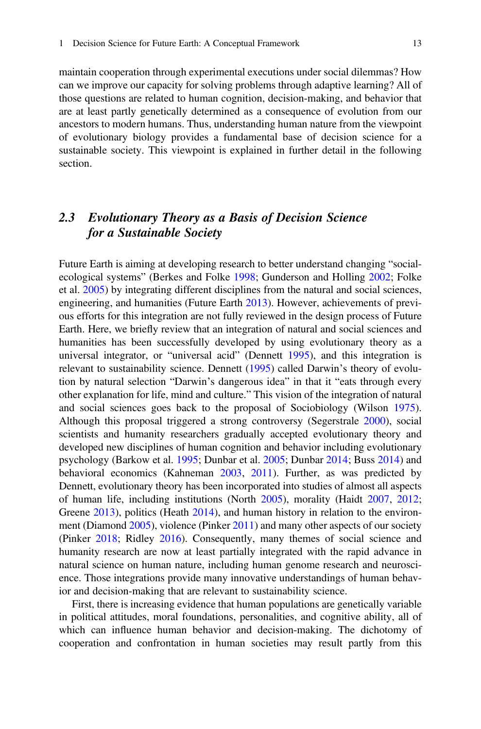maintain cooperation through experimental executions under social dilemmas? How can we improve our capacity for solving problems through adaptive learning? All of those questions are related to human cognition, decision-making, and behavior that are at least partly genetically determined as a consequence of evolution from our ancestors to modern humans. Thus, understanding human nature from the viewpoint of evolutionary biology provides a fundamental base of decision science for a sustainable society. This viewpoint is explained in further detail in the following section.

# 2.3 Evolutionary Theory as a Basis of Decision Science for a Sustainable Society

Future Earth is aiming at developing research to better understand changing "socialecological systems" (Berkes and Folke [1998;](#page-50-3) Gunderson and Holling [2002](#page-53-4); Folke et al. [2005\)](#page-52-6) by integrating different disciplines from the natural and social sciences, engineering, and humanities (Future Earth [2013\)](#page-52-1). However, achievements of previous efforts for this integration are not fully reviewed in the design process of Future Earth. Here, we briefly review that an integration of natural and social sciences and humanities has been successfully developed by using evolutionary theory as a universal integrator, or "universal acid" (Dennett [1995](#page-52-7)), and this integration is relevant to sustainability science. Dennett ([1995\)](#page-52-7) called Darwin's theory of evolution by natural selection "Darwin's dangerous idea" in that it "eats through every other explanation for life, mind and culture." This vision of the integration of natural and social sciences goes back to the proposal of Sociobiology (Wilson [1975\)](#page-61-1). Although this proposal triggered a strong controversy (Segerstrale [2000](#page-59-2)), social scientists and humanity researchers gradually accepted evolutionary theory and developed new disciplines of human cognition and behavior including evolutionary psychology (Barkow et al. [1995](#page-50-4); Dunbar et al. [2005;](#page-52-8) Dunbar [2014](#page-52-9); Buss [2014](#page-51-4)) and behavioral economics (Kahneman [2003](#page-55-3), [2011](#page-55-1)). Further, as was predicted by Dennett, evolutionary theory has been incorporated into studies of almost all aspects of human life, including institutions (North [2005\)](#page-57-3), morality (Haidt [2007,](#page-53-6) [2012;](#page-53-0) Greene [2013](#page-53-1)), politics (Heath [2014\)](#page-54-7), and human history in relation to the environment (Diamond [2005](#page-52-0)), violence (Pinker [2011\)](#page-58-2) and many other aspects of our society (Pinker [2018](#page-58-8); Ridley [2016\)](#page-58-7). Consequently, many themes of social science and humanity research are now at least partially integrated with the rapid advance in natural science on human nature, including human genome research and neuroscience. Those integrations provide many innovative understandings of human behavior and decision-making that are relevant to sustainability science.

First, there is increasing evidence that human populations are genetically variable in political attitudes, moral foundations, personalities, and cognitive ability, all of which can influence human behavior and decision-making. The dichotomy of cooperation and confrontation in human societies may result partly from this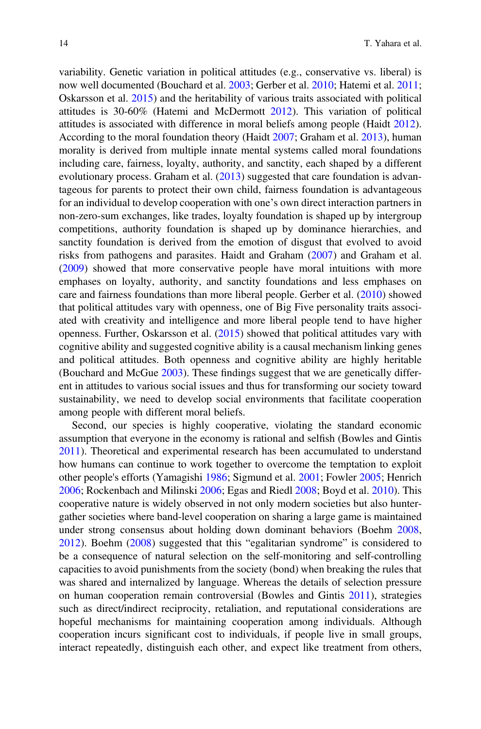variability. Genetic variation in political attitudes (e.g., conservative vs. liberal) is now well documented (Bouchard et al. [2003;](#page-51-5) Gerber et al. [2010](#page-53-7); Hatemi et al. [2011;](#page-54-8) Oskarsson et al. [2015](#page-57-4)) and the heritability of various traits associated with political attitudes is 30-60% (Hatemi and McDermott [2012](#page-53-8)). This variation of political attitudes is associated with difference in moral beliefs among people (Haidt [2012\)](#page-53-0). According to the moral foundation theory (Haidt [2007](#page-53-6); Graham et al. [2013](#page-53-9)), human morality is derived from multiple innate mental systems called moral foundations including care, fairness, loyalty, authority, and sanctity, each shaped by a different evolutionary process. Graham et al. [\(2013](#page-53-9)) suggested that care foundation is advantageous for parents to protect their own child, fairness foundation is advantageous for an individual to develop cooperation with one's own direct interaction partners in non-zero-sum exchanges, like trades, loyalty foundation is shaped up by intergroup competitions, authority foundation is shaped up by dominance hierarchies, and sanctity foundation is derived from the emotion of disgust that evolved to avoid risks from pathogens and parasites. Haidt and Graham [\(2007](#page-53-10)) and Graham et al. [\(2009](#page-53-11)) showed that more conservative people have moral intuitions with more emphases on loyalty, authority, and sanctity foundations and less emphases on care and fairness foundations than more liberal people. Gerber et al. [\(2010](#page-53-7)) showed that political attitudes vary with openness, one of Big Five personality traits associated with creativity and intelligence and more liberal people tend to have higher openness. Further, Oskarsson et al. ([2015](#page-57-4)) showed that political attitudes vary with cognitive ability and suggested cognitive ability is a causal mechanism linking genes and political attitudes. Both openness and cognitive ability are highly heritable (Bouchard and McGue [2003](#page-51-6)). These findings suggest that we are genetically different in attitudes to various social issues and thus for transforming our society toward sustainability, we need to develop social environments that facilitate cooperation among people with different moral beliefs.

Second, our species is highly cooperative, violating the standard economic assumption that everyone in the economy is rational and selfish (Bowles and Gintis [2011\)](#page-51-7). Theoretical and experimental research has been accumulated to understand how humans can continue to work together to overcome the temptation to exploit other people's efforts (Yamagishi [1986;](#page-61-2) Sigmund et al. [2001;](#page-59-3) Fowler [2005](#page-52-10); Henrich [2006;](#page-54-9) Rockenbach and Milinski [2006;](#page-58-9) Egas and Riedl [2008;](#page-52-11) Boyd et al. [2010\)](#page-51-8). This cooperative nature is widely observed in not only modern societies but also huntergather societies where band-level cooperation on sharing a large game is maintained under strong consensus about holding down dominant behaviors (Boehm [2008](#page-50-5), [2012\)](#page-51-9). Boehm ([2008\)](#page-50-5) suggested that this "egalitarian syndrome" is considered to be a consequence of natural selection on the self-monitoring and self-controlling capacities to avoid punishments from the society (bond) when breaking the rules that was shared and internalized by language. Whereas the details of selection pressure on human cooperation remain controversial (Bowles and Gintis [2011\)](#page-51-7), strategies such as direct/indirect reciprocity, retaliation, and reputational considerations are hopeful mechanisms for maintaining cooperation among individuals. Although cooperation incurs significant cost to individuals, if people live in small groups, interact repeatedly, distinguish each other, and expect like treatment from others,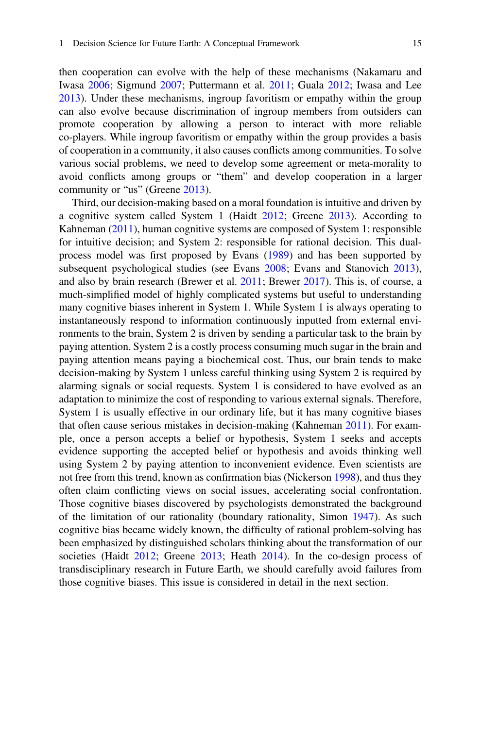then cooperation can evolve with the help of these mechanisms (Nakamaru and Iwasa [2006;](#page-57-5) Sigmund [2007](#page-59-4); Puttermann et al. [2011](#page-58-10); Guala [2012;](#page-53-12) Iwasa and Lee [2013\)](#page-54-10). Under these mechanisms, ingroup favoritism or empathy within the group can also evolve because discrimination of ingroup members from outsiders can promote cooperation by allowing a person to interact with more reliable co-players. While ingroup favoritism or empathy within the group provides a basis of cooperation in a community, it also causes conflicts among communities. To solve various social problems, we need to develop some agreement or meta-morality to avoid conflicts among groups or "them" and develop cooperation in a larger community or "us" (Greene [2013\)](#page-53-1).

Third, our decision-making based on a moral foundation is intuitive and driven by a cognitive system called System 1 (Haidt [2012;](#page-53-0) Greene [2013](#page-53-1)). According to Kahneman [\(2011](#page-55-1)), human cognitive systems are composed of System 1: responsible for intuitive decision; and System 2: responsible for rational decision. This dualprocess model was first proposed by Evans [\(1989](#page-52-12)) and has been supported by subsequent psychological studies (see Evans [2008;](#page-52-13) Evans and Stanovich [2013\)](#page-52-14), and also by brain research (Brewer et al. [2011;](#page-51-10) Brewer [2017](#page-51-11)). This is, of course, a much-simplified model of highly complicated systems but useful to understanding many cognitive biases inherent in System 1. While System 1 is always operating to instantaneously respond to information continuously inputted from external environments to the brain, System 2 is driven by sending a particular task to the brain by paying attention. System 2 is a costly process consuming much sugar in the brain and paying attention means paying a biochemical cost. Thus, our brain tends to make decision-making by System 1 unless careful thinking using System 2 is required by alarming signals or social requests. System 1 is considered to have evolved as an adaptation to minimize the cost of responding to various external signals. Therefore, System 1 is usually effective in our ordinary life, but it has many cognitive biases that often cause serious mistakes in decision-making (Kahneman [2011\)](#page-55-1). For example, once a person accepts a belief or hypothesis, System 1 seeks and accepts evidence supporting the accepted belief or hypothesis and avoids thinking well using System 2 by paying attention to inconvenient evidence. Even scientists are not free from this trend, known as confirmation bias (Nickerson [1998](#page-57-6)), and thus they often claim conflicting views on social issues, accelerating social confrontation. Those cognitive biases discovered by psychologists demonstrated the background of the limitation of our rationality (boundary rationality, Simon [1947](#page-59-5)). As such cognitive bias became widely known, the difficulty of rational problem-solving has been emphasized by distinguished scholars thinking about the transformation of our societies (Haidt [2012](#page-53-0); Greene [2013](#page-53-1); Heath [2014](#page-54-7)). In the co-design process of transdisciplinary research in Future Earth, we should carefully avoid failures from those cognitive biases. This issue is considered in detail in the next section.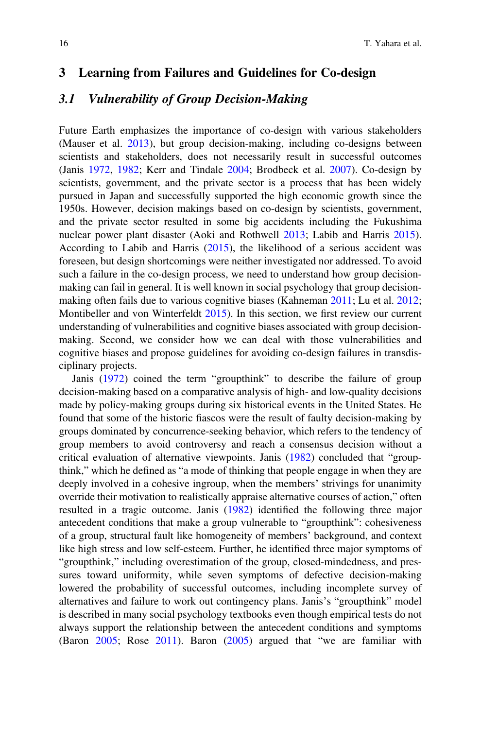### <span id="page-13-0"></span>3 Learning from Failures and Guidelines for Co-design

### 3.1 Vulnerability of Group Decision-Making

Future Earth emphasizes the importance of co-design with various stakeholders (Mauser et al. [2013](#page-56-0)), but group decision-making, including co-designs between scientists and stakeholders, does not necessarily result in successful outcomes (Janis [1972,](#page-54-11) [1982](#page-54-12); Kerr and Tindale [2004;](#page-55-4) Brodbeck et al. [2007](#page-51-12)). Co-design by scientists, government, and the private sector is a process that has been widely pursued in Japan and successfully supported the high economic growth since the 1950s. However, decision makings based on co-design by scientists, government, and the private sector resulted in some big accidents including the Fukushima nuclear power plant disaster (Aoki and Rothwell [2013](#page-50-6); Labib and Harris [2015\)](#page-55-5). According to Labib and Harris ([2015](#page-55-5)), the likelihood of a serious accident was foreseen, but design shortcomings were neither investigated nor addressed. To avoid such a failure in the co-design process, we need to understand how group decisionmaking can fail in general. It is well known in social psychology that group decisionmaking often fails due to various cognitive biases (Kahneman [2011](#page-55-1); Lu et al. [2012;](#page-55-6) Montibeller and von Winterfeldt [2015](#page-56-4)). In this section, we first review our current understanding of vulnerabilities and cognitive biases associated with group decisionmaking. Second, we consider how we can deal with those vulnerabilities and cognitive biases and propose guidelines for avoiding co-design failures in transdisciplinary projects.

Janis ([1972\)](#page-54-11) coined the term "groupthink" to describe the failure of group decision-making based on a comparative analysis of high- and low-quality decisions made by policy-making groups during six historical events in the United States. He found that some of the historic fiascos were the result of faulty decision-making by groups dominated by concurrence-seeking behavior, which refers to the tendency of group members to avoid controversy and reach a consensus decision without a critical evaluation of alternative viewpoints. Janis [\(1982](#page-54-12)) concluded that "groupthink," which he defined as "a mode of thinking that people engage in when they are deeply involved in a cohesive ingroup, when the members' strivings for unanimity override their motivation to realistically appraise alternative courses of action," often resulted in a tragic outcome. Janis ([1982\)](#page-54-12) identified the following three major antecedent conditions that make a group vulnerable to "groupthink": cohesiveness of a group, structural fault like homogeneity of members' background, and context like high stress and low self-esteem. Further, he identified three major symptoms of "groupthink," including overestimation of the group, closed-mindedness, and pressures toward uniformity, while seven symptoms of defective decision-making lowered the probability of successful outcomes, including incomplete survey of alternatives and failure to work out contingency plans. Janis's "groupthink" model is described in many social psychology textbooks even though empirical tests do not always support the relationship between the antecedent conditions and symptoms (Baron [2005](#page-50-7); Rose [2011](#page-58-11)). Baron [\(2005\)](#page-50-7) argued that "we are familiar with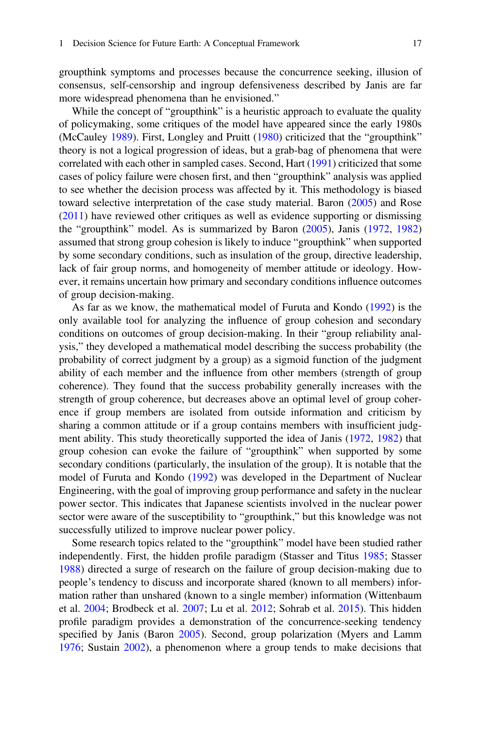groupthink symptoms and processes because the concurrence seeking, illusion of consensus, self-censorship and ingroup defensiveness described by Janis are far more widespread phenomena than he envisioned."

While the concept of "groupthink" is a heuristic approach to evaluate the quality of policymaking, some critiques of the model have appeared since the early 1980s (McCauley [1989](#page-56-5)). First, Longley and Pruitt ([1980\)](#page-55-7) criticized that the "groupthink" theory is not a logical progression of ideas, but a grab-bag of phenomena that were correlated with each other in sampled cases. Second, Hart ([1991\)](#page-53-13) criticized that some cases of policy failure were chosen first, and then "groupthink" analysis was applied to see whether the decision process was affected by it. This methodology is biased toward selective interpretation of the case study material. Baron [\(2005](#page-50-7)) and Rose [\(2011](#page-58-11)) have reviewed other critiques as well as evidence supporting or dismissing the "groupthink" model. As is summarized by Baron ([2005\)](#page-50-7), Janis ([1972,](#page-54-11) [1982](#page-54-12)) assumed that strong group cohesion is likely to induce "groupthink" when supported by some secondary conditions, such as insulation of the group, directive leadership, lack of fair group norms, and homogeneity of member attitude or ideology. However, it remains uncertain how primary and secondary conditions influence outcomes of group decision-making.

As far as we know, the mathematical model of Furuta and Kondo ([1992\)](#page-52-15) is the only available tool for analyzing the influence of group cohesion and secondary conditions on outcomes of group decision-making. In their "group reliability analysis," they developed a mathematical model describing the success probability (the probability of correct judgment by a group) as a sigmoid function of the judgment ability of each member and the influence from other members (strength of group coherence). They found that the success probability generally increases with the strength of group coherence, but decreases above an optimal level of group coherence if group members are isolated from outside information and criticism by sharing a common attitude or if a group contains members with insufficient judgment ability. This study theoretically supported the idea of Janis ([1972,](#page-54-11) [1982](#page-54-12)) that group cohesion can evoke the failure of "groupthink" when supported by some secondary conditions (particularly, the insulation of the group). It is notable that the model of Furuta and Kondo [\(1992](#page-52-15)) was developed in the Department of Nuclear Engineering, with the goal of improving group performance and safety in the nuclear power sector. This indicates that Japanese scientists involved in the nuclear power sector were aware of the susceptibility to "groupthink," but this knowledge was not successfully utilized to improve nuclear power policy.

Some research topics related to the "groupthink" model have been studied rather independently. First, the hidden profile paradigm (Stasser and Titus [1985;](#page-59-6) Stasser [1988\)](#page-59-7) directed a surge of research on the failure of group decision-making due to people's tendency to discuss and incorporate shared (known to all members) information rather than unshared (known to a single member) information (Wittenbaum et al. [2004;](#page-61-3) Brodbeck et al. [2007;](#page-51-12) Lu et al. [2012](#page-55-6); Sohrab et al. [2015](#page-59-8)). This hidden profile paradigm provides a demonstration of the concurrence-seeking tendency specified by Janis (Baron [2005](#page-50-7)). Second, group polarization (Myers and Lamm [1976;](#page-57-7) Sustain [2002](#page-59-9)), a phenomenon where a group tends to make decisions that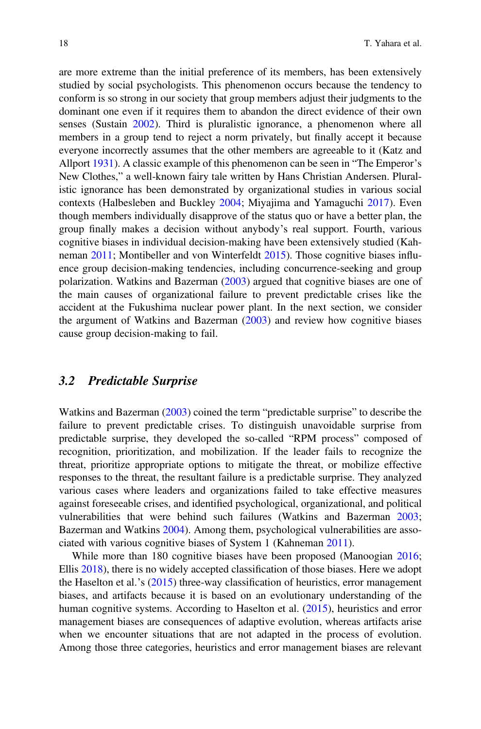are more extreme than the initial preference of its members, has been extensively studied by social psychologists. This phenomenon occurs because the tendency to conform is so strong in our society that group members adjust their judgments to the dominant one even if it requires them to abandon the direct evidence of their own senses (Sustain [2002](#page-59-9)). Third is pluralistic ignorance, a phenomenon where all members in a group tend to reject a norm privately, but finally accept it because everyone incorrectly assumes that the other members are agreeable to it (Katz and Allport [1931](#page-55-8)). A classic example of this phenomenon can be seen in "The Emperor's New Clothes," a well-known fairy tale written by Hans Christian Andersen. Pluralistic ignorance has been demonstrated by organizational studies in various social contexts (Halbesleben and Buckley [2004;](#page-53-14) Miyajima and Yamaguchi [2017\)](#page-56-6). Even though members individually disapprove of the status quo or have a better plan, the group finally makes a decision without anybody's real support. Fourth, various cognitive biases in individual decision-making have been extensively studied (Kahneman [2011](#page-55-1); Montibeller and von Winterfeldt [2015\)](#page-56-4). Those cognitive biases influence group decision-making tendencies, including concurrence-seeking and group polarization. Watkins and Bazerman [\(2003](#page-61-4)) argued that cognitive biases are one of the main causes of organizational failure to prevent predictable crises like the accident at the Fukushima nuclear power plant. In the next section, we consider the argument of Watkins and Bazerman [\(2003](#page-61-4)) and review how cognitive biases cause group decision-making to fail.

#### 3.2 Predictable Surprise

Watkins and Bazerman [\(2003](#page-61-4)) coined the term "predictable surprise" to describe the failure to prevent predictable crises. To distinguish unavoidable surprise from predictable surprise, they developed the so-called "RPM process" composed of recognition, prioritization, and mobilization. If the leader fails to recognize the threat, prioritize appropriate options to mitigate the threat, or mobilize effective responses to the threat, the resultant failure is a predictable surprise. They analyzed various cases where leaders and organizations failed to take effective measures against foreseeable crises, and identified psychological, organizational, and political vulnerabilities that were behind such failures (Watkins and Bazerman [2003;](#page-61-4) Bazerman and Watkins [2004\)](#page-50-8). Among them, psychological vulnerabilities are associated with various cognitive biases of System 1 (Kahneman [2011\)](#page-55-1).

While more than 180 cognitive biases have been proposed (Manoogian [2016;](#page-56-7) Ellis [2018](#page-52-16)), there is no widely accepted classification of those biases. Here we adopt the Haselton et al.'s [\(2015](#page-53-15)) three-way classification of heuristics, error management biases, and artifacts because it is based on an evolutionary understanding of the human cognitive systems. According to Haselton et al. ([2015\)](#page-53-15), heuristics and error management biases are consequences of adaptive evolution, whereas artifacts arise when we encounter situations that are not adapted in the process of evolution. Among those three categories, heuristics and error management biases are relevant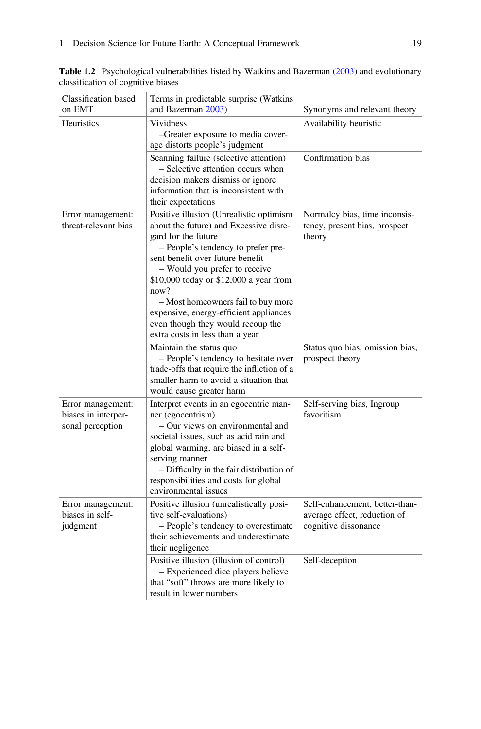| Classification based                                         | Terms in predictable surprise (Watkins                                                                                                                                                                                                                                                                                                                                                                                        |                                                                                        |
|--------------------------------------------------------------|-------------------------------------------------------------------------------------------------------------------------------------------------------------------------------------------------------------------------------------------------------------------------------------------------------------------------------------------------------------------------------------------------------------------------------|----------------------------------------------------------------------------------------|
| on EMT                                                       | and Bazerman 2003)                                                                                                                                                                                                                                                                                                                                                                                                            | Synonyms and relevant theory                                                           |
| <b>Heuristics</b>                                            | <b>Vividness</b><br>-Greater exposure to media cover-<br>age distorts people's judgment                                                                                                                                                                                                                                                                                                                                       | Availability heuristic                                                                 |
|                                                              | Scanning failure (selective attention)<br>- Selective attention occurs when<br>decision makers dismiss or ignore<br>information that is inconsistent with<br>their expectations                                                                                                                                                                                                                                               | Confirmation bias                                                                      |
| Error management:<br>threat-relevant bias                    | Positive illusion (Unrealistic optimism<br>about the future) and Excessive disre-<br>gard for the future<br>- People's tendency to prefer pre-<br>sent benefit over future benefit<br>- Would you prefer to receive<br>\$10,000 today or \$12,000 a year from<br>now?<br>- Most homeowners fail to buy more<br>expensive, energy-efficient appliances<br>even though they would recoup the<br>extra costs in less than a year | Normalcy bias, time inconsis-<br>tency, present bias, prospect<br>theory               |
|                                                              | Maintain the status quo<br>- People's tendency to hesitate over<br>trade-offs that require the infliction of a<br>smaller harm to avoid a situation that<br>would cause greater harm                                                                                                                                                                                                                                          | Status quo bias, omission bias,<br>prospect theory                                     |
| Error management:<br>biases in interper-<br>sonal perception | Interpret events in an egocentric man-<br>ner (egocentrism)<br>- Our views on environmental and<br>societal issues, such as acid rain and<br>global warming, are biased in a self-<br>serving manner<br>- Difficulty in the fair distribution of<br>responsibilities and costs for global<br>environmental issues                                                                                                             | Self-serving bias, Ingroup<br>favoritism                                               |
| Error management:<br>biases in self-<br>judgment             | Positive illusion (unrealistically posi-<br>tive self-evaluations)<br>- People's tendency to overestimate<br>their achievements and underestimate<br>their negligence                                                                                                                                                                                                                                                         | Self-enhancement, better-than-<br>average effect, reduction of<br>cognitive dissonance |
|                                                              | Positive illusion (illusion of control)<br>- Experienced dice players believe<br>that "soft" throws are more likely to<br>result in lower numbers                                                                                                                                                                                                                                                                             | Self-deception                                                                         |

<span id="page-16-0"></span>Table 1.2 Psychological vulnerabilities listed by Watkins and Bazerman ([2003\)](#page-61-4) and evolutionary classification of cognitive biases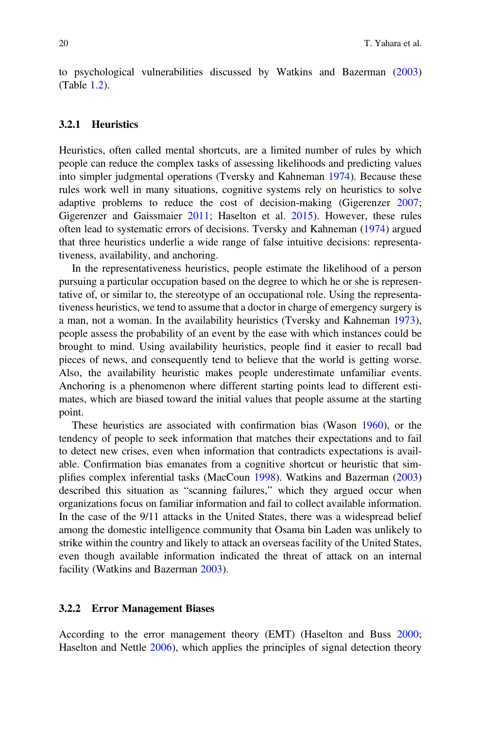to psychological vulnerabilities discussed by Watkins and Bazerman [\(2003](#page-61-4)) (Table [1.2\)](#page-16-0).

#### 3.2.1 Heuristics

Heuristics, often called mental shortcuts, are a limited number of rules by which people can reduce the complex tasks of assessing likelihoods and predicting values into simpler judgmental operations (Tversky and Kahneman [1974](#page-60-4)). Because these rules work well in many situations, cognitive systems rely on heuristics to solve adaptive problems to reduce the cost of decision-making (Gigerenzer [2007;](#page-53-16) Gigerenzer and Gaissmaier [2011;](#page-53-17) Haselton et al. [2015](#page-53-15)). However, these rules often lead to systematic errors of decisions. Tversky and Kahneman [\(1974](#page-60-4)) argued that three heuristics underlie a wide range of false intuitive decisions: representativeness, availability, and anchoring.

In the representativeness heuristics, people estimate the likelihood of a person pursuing a particular occupation based on the degree to which he or she is representative of, or similar to, the stereotype of an occupational role. Using the representativeness heuristics, we tend to assume that a doctor in charge of emergency surgery is a man, not a woman. In the availability heuristics (Tversky and Kahneman [1973\)](#page-60-5), people assess the probability of an event by the ease with which instances could be brought to mind. Using availability heuristics, people find it easier to recall bad pieces of news, and consequently tend to believe that the world is getting worse. Also, the availability heuristic makes people underestimate unfamiliar events. Anchoring is a phenomenon where different starting points lead to different estimates, which are biased toward the initial values that people assume at the starting point.

These heuristics are associated with confirmation bias (Wason [1960](#page-61-5)), or the tendency of people to seek information that matches their expectations and to fail to detect new crises, even when information that contradicts expectations is available. Confirmation bias emanates from a cognitive shortcut or heuristic that simplifies complex inferential tasks (MacCoun [1998](#page-56-8)). Watkins and Bazerman [\(2003](#page-61-4)) described this situation as "scanning failures," which they argued occur when organizations focus on familiar information and fail to collect available information. In the case of the 9/11 attacks in the United States, there was a widespread belief among the domestic intelligence community that Osama bin Laden was unlikely to strike within the country and likely to attack an overseas facility of the United States, even though available information indicated the threat of attack on an internal facility (Watkins and Bazerman [2003](#page-61-4)).

#### 3.2.2 Error Management Biases

According to the error management theory (EMT) (Haselton and Buss [2000;](#page-53-18) Haselton and Nettle [2006](#page-53-19)), which applies the principles of signal detection theory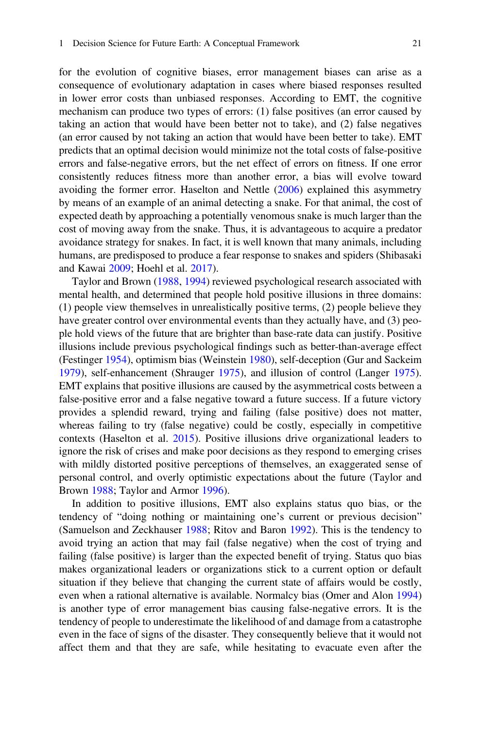for the evolution of cognitive biases, error management biases can arise as a consequence of evolutionary adaptation in cases where biased responses resulted in lower error costs than unbiased responses. According to EMT, the cognitive mechanism can produce two types of errors: (1) false positives (an error caused by taking an action that would have been better not to take), and (2) false negatives (an error caused by not taking an action that would have been better to take). EMT predicts that an optimal decision would minimize not the total costs of false-positive errors and false-negative errors, but the net effect of errors on fitness. If one error consistently reduces fitness more than another error, a bias will evolve toward avoiding the former error. Haselton and Nettle ([2006\)](#page-53-19) explained this asymmetry by means of an example of an animal detecting a snake. For that animal, the cost of expected death by approaching a potentially venomous snake is much larger than the cost of moving away from the snake. Thus, it is advantageous to acquire a predator avoidance strategy for snakes. In fact, it is well known that many animals, including humans, are predisposed to produce a fear response to snakes and spiders (Shibasaki and Kawai [2009;](#page-59-10) Hoehl et al. [2017](#page-54-13)).

Taylor and Brown ([1988,](#page-60-6) [1994\)](#page-60-7) reviewed psychological research associated with mental health, and determined that people hold positive illusions in three domains: (1) people view themselves in unrealistically positive terms, (2) people believe they have greater control over environmental events than they actually have, and (3) people hold views of the future that are brighter than base-rate data can justify. Positive illusions include previous psychological findings such as better-than-average effect (Festinger [1954](#page-52-17)), optimism bias (Weinstein [1980\)](#page-61-6), self-deception (Gur and Sackeim [1979\)](#page-53-20), self-enhancement (Shrauger [1975\)](#page-59-11), and illusion of control (Langer [1975\)](#page-55-9). EMT explains that positive illusions are caused by the asymmetrical costs between a false-positive error and a false negative toward a future success. If a future victory provides a splendid reward, trying and failing (false positive) does not matter, whereas failing to try (false negative) could be costly, especially in competitive contexts (Haselton et al. [2015\)](#page-53-15). Positive illusions drive organizational leaders to ignore the risk of crises and make poor decisions as they respond to emerging crises with mildly distorted positive perceptions of themselves, an exaggerated sense of personal control, and overly optimistic expectations about the future (Taylor and Brown [1988;](#page-60-6) Taylor and Armor [1996](#page-60-8)).

In addition to positive illusions, EMT also explains status quo bias, or the tendency of "doing nothing or maintaining one's current or previous decision" (Samuelson and Zeckhauser [1988;](#page-58-12) Ritov and Baron [1992\)](#page-58-13). This is the tendency to avoid trying an action that may fail (false negative) when the cost of trying and failing (false positive) is larger than the expected benefit of trying. Status quo bias makes organizational leaders or organizations stick to a current option or default situation if they believe that changing the current state of affairs would be costly, even when a rational alternative is available. Normalcy bias (Omer and Alon [1994](#page-57-8)) is another type of error management bias causing false-negative errors. It is the tendency of people to underestimate the likelihood of and damage from a catastrophe even in the face of signs of the disaster. They consequently believe that it would not affect them and that they are safe, while hesitating to evacuate even after the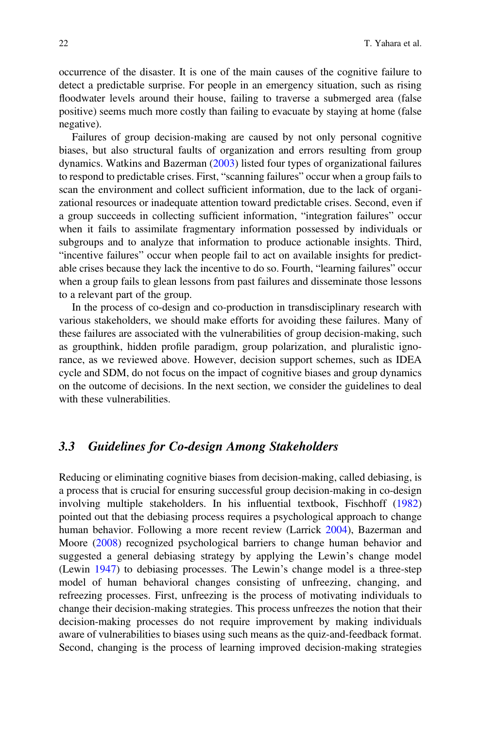occurrence of the disaster. It is one of the main causes of the cognitive failure to detect a predictable surprise. For people in an emergency situation, such as rising floodwater levels around their house, failing to traverse a submerged area (false positive) seems much more costly than failing to evacuate by staying at home (false negative).

Failures of group decision-making are caused by not only personal cognitive biases, but also structural faults of organization and errors resulting from group dynamics. Watkins and Bazerman ([2003\)](#page-61-4) listed four types of organizational failures to respond to predictable crises. First, "scanning failures" occur when a group fails to scan the environment and collect sufficient information, due to the lack of organizational resources or inadequate attention toward predictable crises. Second, even if a group succeeds in collecting sufficient information, "integration failures" occur when it fails to assimilate fragmentary information possessed by individuals or subgroups and to analyze that information to produce actionable insights. Third, "incentive failures" occur when people fail to act on available insights for predictable crises because they lack the incentive to do so. Fourth, "learning failures" occur when a group fails to glean lessons from past failures and disseminate those lessons to a relevant part of the group.

In the process of co-design and co-production in transdisciplinary research with various stakeholders, we should make efforts for avoiding these failures. Many of these failures are associated with the vulnerabilities of group decision-making, such as groupthink, hidden profile paradigm, group polarization, and pluralistic ignorance, as we reviewed above. However, decision support schemes, such as IDEA cycle and SDM, do not focus on the impact of cognitive biases and group dynamics on the outcome of decisions. In the next section, we consider the guidelines to deal with these vulnerabilities.

### 3.3 Guidelines for Co-design Among Stakeholders

Reducing or eliminating cognitive biases from decision-making, called debiasing, is a process that is crucial for ensuring successful group decision-making in co-design involving multiple stakeholders. In his influential textbook, Fischhoff [\(1982](#page-52-18)) pointed out that the debiasing process requires a psychological approach to change human behavior. Following a more recent review (Larrick [2004\)](#page-55-10), Bazerman and Moore ([2008\)](#page-50-9) recognized psychological barriers to change human behavior and suggested a general debiasing strategy by applying the Lewin's change model (Lewin [1947](#page-55-11)) to debiasing processes. The Lewin's change model is a three-step model of human behavioral changes consisting of unfreezing, changing, and refreezing processes. First, unfreezing is the process of motivating individuals to change their decision-making strategies. This process unfreezes the notion that their decision-making processes do not require improvement by making individuals aware of vulnerabilities to biases using such means as the quiz-and-feedback format. Second, changing is the process of learning improved decision-making strategies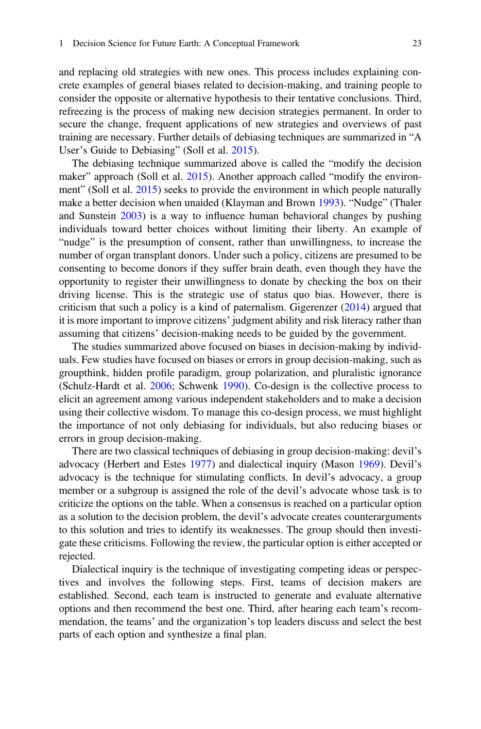and replacing old strategies with new ones. This process includes explaining concrete examples of general biases related to decision-making, and training people to consider the opposite or alternative hypothesis to their tentative conclusions. Third, refreezing is the process of making new decision strategies permanent. In order to secure the change, frequent applications of new strategies and overviews of past training are necessary. Further details of debiasing techniques are summarized in "A User's Guide to Debiasing" (Soll et al. [2015\)](#page-59-12).

The debiasing technique summarized above is called the "modify the decision maker" approach (Soll et al. [2015](#page-59-12)). Another approach called "modify the environment" (Soll et al. [2015](#page-59-12)) seeks to provide the environment in which people naturally make a better decision when unaided (Klayman and Brown [1993\)](#page-55-12). "Nudge" (Thaler and Sunstein [2003\)](#page-60-9) is a way to influence human behavioral changes by pushing individuals toward better choices without limiting their liberty. An example of "nudge" is the presumption of consent, rather than unwillingness, to increase the number of organ transplant donors. Under such a policy, citizens are presumed to be consenting to become donors if they suffer brain death, even though they have the opportunity to register their unwillingness to donate by checking the box on their driving license. This is the strategic use of status quo bias. However, there is criticism that such a policy is a kind of paternalism. Gigerenzer  $(2014)$  $(2014)$  argued that it is more important to improve citizens' judgment ability and risk literacy rather than assuming that citizens' decision-making needs to be guided by the government.

The studies summarized above focused on biases in decision-making by individuals. Few studies have focused on biases or errors in group decision-making, such as groupthink, hidden profile paradigm, group polarization, and pluralistic ignorance (Schulz-Hardt et al. [2006](#page-59-13); Schwenk [1990](#page-59-14)). Co-design is the collective process to elicit an agreement among various independent stakeholders and to make a decision using their collective wisdom. To manage this co-design process, we must highlight the importance of not only debiasing for individuals, but also reducing biases or errors in group decision-making.

There are two classical techniques of debiasing in group decision-making: devil's advocacy (Herbert and Estes [1977](#page-54-14)) and dialectical inquiry (Mason [1969](#page-56-9)). Devil's advocacy is the technique for stimulating conflicts. In devil's advocacy, a group member or a subgroup is assigned the role of the devil's advocate whose task is to criticize the options on the table. When a consensus is reached on a particular option as a solution to the decision problem, the devil's advocate creates counterarguments to this solution and tries to identify its weaknesses. The group should then investigate these criticisms. Following the review, the particular option is either accepted or rejected.

Dialectical inquiry is the technique of investigating competing ideas or perspectives and involves the following steps. First, teams of decision makers are established. Second, each team is instructed to generate and evaluate alternative options and then recommend the best one. Third, after hearing each team's recommendation, the teams' and the organization's top leaders discuss and select the best parts of each option and synthesize a final plan.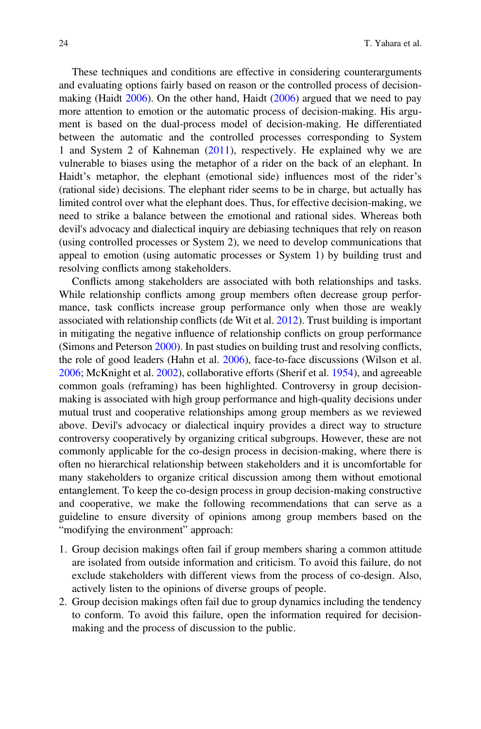These techniques and conditions are effective in considering counterarguments and evaluating options fairly based on reason or the controlled process of decisionmaking (Haidt  $2006$ ). On the other hand, Haidt ( $2006$ ) argued that we need to pay more attention to emotion or the automatic process of decision-making. His argument is based on the dual-process model of decision-making. He differentiated between the automatic and the controlled processes corresponding to System 1 and System 2 of Kahneman [\(2011](#page-55-1)), respectively. He explained why we are vulnerable to biases using the metaphor of a rider on the back of an elephant. In Haidt's metaphor, the elephant (emotional side) influences most of the rider's (rational side) decisions. The elephant rider seems to be in charge, but actually has limited control over what the elephant does. Thus, for effective decision-making, we need to strike a balance between the emotional and rational sides. Whereas both devil's advocacy and dialectical inquiry are debiasing techniques that rely on reason (using controlled processes or System 2), we need to develop communications that appeal to emotion (using automatic processes or System 1) by building trust and resolving conflicts among stakeholders.

Conflicts among stakeholders are associated with both relationships and tasks. While relationship conflicts among group members often decrease group performance, task conflicts increase group performance only when those are weakly associated with relationship conflicts (de Wit et al. [2012\)](#page-51-13). Trust building is important in mitigating the negative influence of relationship conflicts on group performance (Simons and Peterson [2000\)](#page-59-15). In past studies on building trust and resolving conflicts, the role of good leaders (Hahn et al. [2006\)](#page-53-23), face-to-face discussions (Wilson et al. [2006;](#page-61-7) McKnight et al. [2002\)](#page-56-10), collaborative efforts (Sherif et al. [1954](#page-59-16)), and agreeable common goals (reframing) has been highlighted. Controversy in group decisionmaking is associated with high group performance and high-quality decisions under mutual trust and cooperative relationships among group members as we reviewed above. Devil's advocacy or dialectical inquiry provides a direct way to structure controversy cooperatively by organizing critical subgroups. However, these are not commonly applicable for the co-design process in decision-making, where there is often no hierarchical relationship between stakeholders and it is uncomfortable for many stakeholders to organize critical discussion among them without emotional entanglement. To keep the co-design process in group decision-making constructive and cooperative, we make the following recommendations that can serve as a guideline to ensure diversity of opinions among group members based on the "modifying the environment" approach:

- 1. Group decision makings often fail if group members sharing a common attitude are isolated from outside information and criticism. To avoid this failure, do not exclude stakeholders with different views from the process of co-design. Also, actively listen to the opinions of diverse groups of people.
- 2. Group decision makings often fail due to group dynamics including the tendency to conform. To avoid this failure, open the information required for decisionmaking and the process of discussion to the public.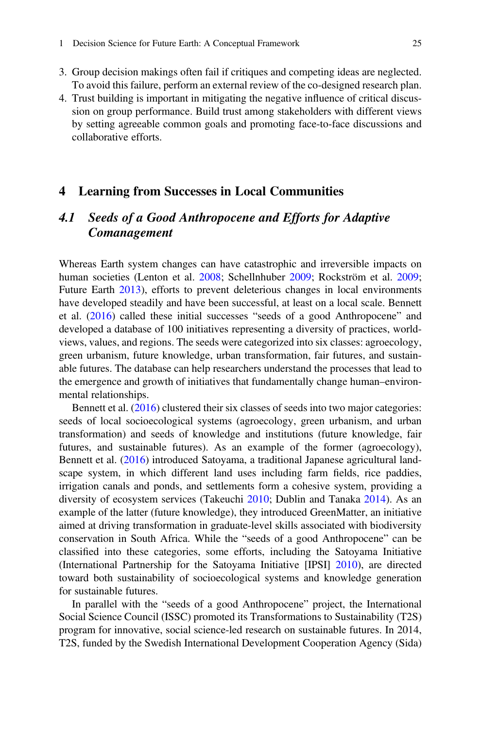- 3. Group decision makings often fail if critiques and competing ideas are neglected. To avoid this failure, perform an external review of the co-designed research plan.
- 4. Trust building is important in mitigating the negative influence of critical discussion on group performance. Build trust among stakeholders with different views by setting agreeable common goals and promoting face-to-face discussions and collaborative efforts.

#### <span id="page-22-0"></span>4 Learning from Successes in Local Communities

### 4.1 Seeds of a Good Anthropocene and Efforts for Adaptive Comanagement

Whereas Earth system changes can have catastrophic and irreversible impacts on human societies (Lenton et al. [2008;](#page-55-13) Schellnhuber [2009;](#page-58-14) Rockström et al. [2009;](#page-58-0) Future Earth [2013\)](#page-52-1), efforts to prevent deleterious changes in local environments have developed steadily and have been successful, at least on a local scale. Bennett et al. [\(2016](#page-50-10)) called these initial successes "seeds of a good Anthropocene" and developed a database of 100 initiatives representing a diversity of practices, worldviews, values, and regions. The seeds were categorized into six classes: agroecology, green urbanism, future knowledge, urban transformation, fair futures, and sustainable futures. The database can help researchers understand the processes that lead to the emergence and growth of initiatives that fundamentally change human–environmental relationships.

Bennett et al. ([2016\)](#page-50-10) clustered their six classes of seeds into two major categories: seeds of local socioecological systems (agroecology, green urbanism, and urban transformation) and seeds of knowledge and institutions (future knowledge, fair futures, and sustainable futures). As an example of the former (agroecology), Bennett et al. [\(2016](#page-50-10)) introduced Satoyama, a traditional Japanese agricultural landscape system, in which different land uses including farm fields, rice paddies, irrigation canals and ponds, and settlements form a cohesive system, providing a diversity of ecosystem services (Takeuchi [2010;](#page-60-10) Dublin and Tanaka [2014\)](#page-52-19). As an example of the latter (future knowledge), they introduced GreenMatter, an initiative aimed at driving transformation in graduate-level skills associated with biodiversity conservation in South Africa. While the "seeds of a good Anthropocene" can be classified into these categories, some efforts, including the Satoyama Initiative (International Partnership for the Satoyama Initiative [IPSI] [2010\)](#page-54-15), are directed toward both sustainability of socioecological systems and knowledge generation for sustainable futures.

In parallel with the "seeds of a good Anthropocene" project, the International Social Science Council (ISSC) promoted its Transformations to Sustainability (T2S) program for innovative, social science-led research on sustainable futures. In 2014, T2S, funded by the Swedish International Development Cooperation Agency (Sida)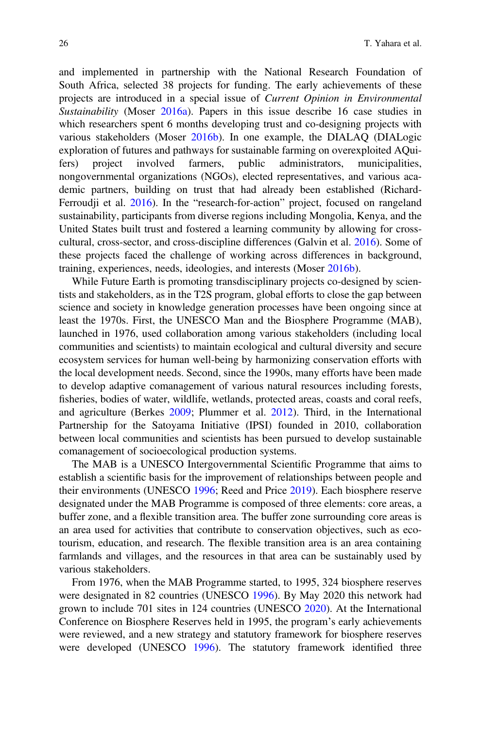and implemented in partnership with the National Research Foundation of South Africa, selected 38 projects for funding. The early achievements of these projects are introduced in a special issue of *Current Opinion in Environmental*<br>Sustainability (Moser 2016a), Papers in this issue describe 16 case studies in Sustainability (Moser [2016a](#page-56-11)). Papers in this issue describe 16 case studies in which researchers spent 6 months developing trust and co-designing projects with which researchers spent 6 months developing trust and co-designing projects with various stakeholders (Moser [2016b\)](#page-56-12). In one example, the DIALAQ (DIALogic exploration of futures and pathways for sustainable farming on overexploited AQuifers) project involved farmers, public administrators, municipalities, nongovernmental organizations (NGOs), elected representatives, and various academic partners, building on trust that had already been established (Richard-Ferroudji et al. [2016\)](#page-58-15). In the "research-for-action" project, focused on rangeland sustainability, participants from diverse regions including Mongolia, Kenya, and the United States built trust and fostered a learning community by allowing for crosscultural, cross-sector, and cross-discipline differences (Galvin et al. [2016\)](#page-52-20). Some of these projects faced the challenge of working across differences in background, training, experiences, needs, ideologies, and interests (Moser [2016b](#page-56-12)).

While Future Earth is promoting transdisciplinary projects co-designed by scientists and stakeholders, as in the T2S program, global efforts to close the gap between science and society in knowledge generation processes have been ongoing since at least the 1970s. First, the UNESCO Man and the Biosphere Programme (MAB), launched in 1976, used collaboration among various stakeholders (including local communities and scientists) to maintain ecological and cultural diversity and secure ecosystem services for human well-being by harmonizing conservation efforts with the local development needs. Second, since the 1990s, many efforts have been made to develop adaptive comanagement of various natural resources including forests, fisheries, bodies of water, wildlife, wetlands, protected areas, coasts and coral reefs, and agriculture (Berkes [2009;](#page-50-11) Plummer et al. [2012\)](#page-58-16). Third, in the International Partnership for the Satoyama Initiative (IPSI) founded in 2010, collaboration between local communities and scientists has been pursued to develop sustainable comanagement of socioecological production systems.

The MAB is a UNESCO Intergovernmental Scientific Programme that aims to establish a scientific basis for the improvement of relationships between people and their environments (UNESCO [1996;](#page-60-11) Reed and Price [2019](#page-58-17)). Each biosphere reserve designated under the MAB Programme is composed of three elements: core areas, a buffer zone, and a flexible transition area. The buffer zone surrounding core areas is an area used for activities that contribute to conservation objectives, such as ecotourism, education, and research. The flexible transition area is an area containing farmlands and villages, and the resources in that area can be sustainably used by various stakeholders.

From 1976, when the MAB Programme started, to 1995, 324 biosphere reserves were designated in 82 countries (UNESCO [1996\)](#page-60-11). By May 2020 this network had grown to include 701 sites in 124 countries (UNESCO [2020](#page-60-12)). At the International Conference on Biosphere Reserves held in 1995, the program's early achievements were reviewed, and a new strategy and statutory framework for biosphere reserves were developed (UNESCO [1996](#page-60-11)). The statutory framework identified three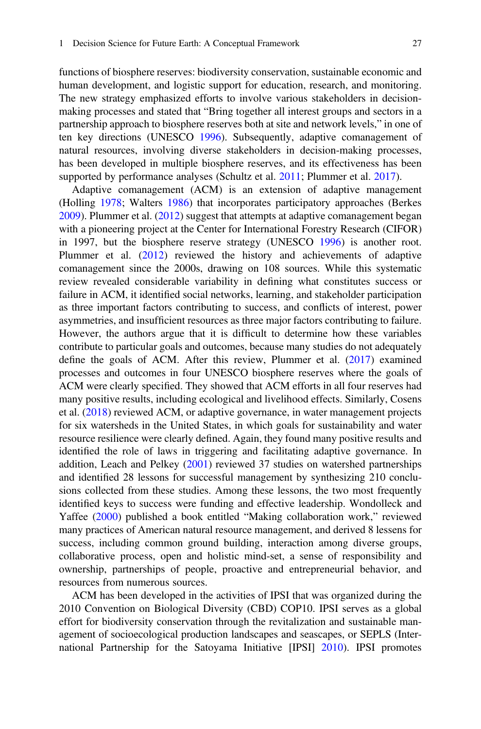functions of biosphere reserves: biodiversity conservation, sustainable economic and human development, and logistic support for education, research, and monitoring. The new strategy emphasized efforts to involve various stakeholders in decisionmaking processes and stated that "Bring together all interest groups and sectors in a partnership approach to biosphere reserves both at site and network levels," in one of ten key directions (UNESCO [1996](#page-60-11)). Subsequently, adaptive comanagement of natural resources, involving diverse stakeholders in decision-making processes, has been developed in multiple biosphere reserves, and its effectiveness has been supported by performance analyses (Schultz et al. [2011](#page-59-17); Plummer et al. [2017\)](#page-58-18).

Adaptive comanagement (ACM) is an extension of adaptive management (Holling [1978](#page-54-5); Walters [1986\)](#page-61-0) that incorporates participatory approaches (Berkes [2009\)](#page-50-11). Plummer et al. ([2012\)](#page-58-16) suggest that attempts at adaptive comanagement began with a pioneering project at the Center for International Forestry Research (CIFOR) in 1997, but the biosphere reserve strategy (UNESCO [1996\)](#page-60-11) is another root. Plummer et al. ([2012\)](#page-58-16) reviewed the history and achievements of adaptive comanagement since the 2000s, drawing on 108 sources. While this systematic review revealed considerable variability in defining what constitutes success or failure in ACM, it identified social networks, learning, and stakeholder participation as three important factors contributing to success, and conflicts of interest, power asymmetries, and insufficient resources as three major factors contributing to failure. However, the authors argue that it is difficult to determine how these variables contribute to particular goals and outcomes, because many studies do not adequately define the goals of ACM. After this review, Plummer et al. ([2017\)](#page-58-18) examined processes and outcomes in four UNESCO biosphere reserves where the goals of ACM were clearly specified. They showed that ACM efforts in all four reserves had many positive results, including ecological and livelihood effects. Similarly, Cosens et al. [\(2018](#page-51-14)) reviewed ACM, or adaptive governance, in water management projects for six watersheds in the United States, in which goals for sustainability and water resource resilience were clearly defined. Again, they found many positive results and identified the role of laws in triggering and facilitating adaptive governance. In addition, Leach and Pelkey ([2001\)](#page-55-14) reviewed 37 studies on watershed partnerships and identified 28 lessons for successful management by synthesizing 210 conclusions collected from these studies. Among these lessons, the two most frequently identified keys to success were funding and effective leadership. Wondolleck and Yaffee ([2000\)](#page-61-8) published a book entitled "Making collaboration work," reviewed many practices of American natural resource management, and derived 8 lessens for success, including common ground building, interaction among diverse groups, collaborative process, open and holistic mind-set, a sense of responsibility and ownership, partnerships of people, proactive and entrepreneurial behavior, and resources from numerous sources.

ACM has been developed in the activities of IPSI that was organized during the 2010 Convention on Biological Diversity (CBD) COP10. IPSI serves as a global effort for biodiversity conservation through the revitalization and sustainable management of socioecological production landscapes and seascapes, or SEPLS (International Partnership for the Satoyama Initiative [IPSI] [2010\)](#page-54-15). IPSI promotes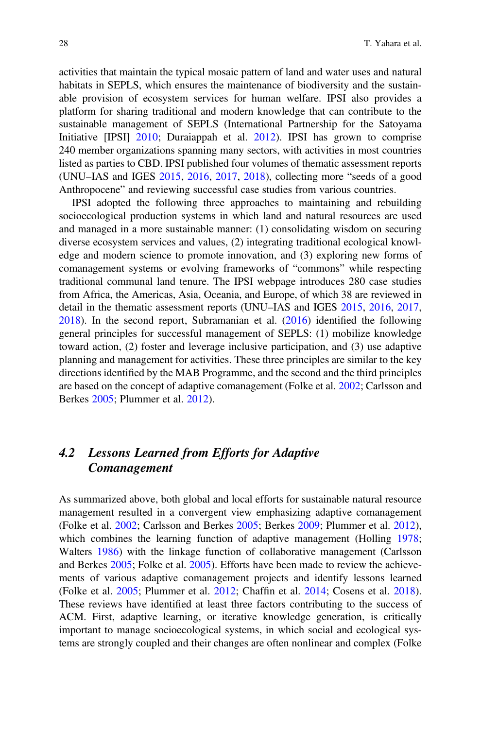activities that maintain the typical mosaic pattern of land and water uses and natural habitats in SEPLS, which ensures the maintenance of biodiversity and the sustainable provision of ecosystem services for human welfare. IPSI also provides a platform for sharing traditional and modern knowledge that can contribute to the sustainable management of SEPLS (International Partnership for the Satoyama Initiative [IPSI] [2010](#page-54-15); Duraiappah et al. [2012](#page-52-21)). IPSI has grown to comprise 240 member organizations spanning many sectors, with activities in most countries listed as parties to CBD. IPSI published four volumes of thematic assessment reports (UNU–IAS and IGES [2015,](#page-60-13) [2016](#page-60-14), [2017](#page-60-15), [2018\)](#page-60-16), collecting more "seeds of a good Anthropocene" and reviewing successful case studies from various countries.

IPSI adopted the following three approaches to maintaining and rebuilding socioecological production systems in which land and natural resources are used and managed in a more sustainable manner: (1) consolidating wisdom on securing diverse ecosystem services and values, (2) integrating traditional ecological knowledge and modern science to promote innovation, and (3) exploring new forms of comanagement systems or evolving frameworks of "commons" while respecting traditional communal land tenure. The IPSI webpage introduces 280 case studies from Africa, the Americas, Asia, Oceania, and Europe, of which 38 are reviewed in detail in the thematic assessment reports (UNU–IAS and IGES [2015,](#page-60-13) [2016](#page-60-14), [2017](#page-60-15), [2018\)](#page-60-16). In the second report, Subramanian et al. [\(2016](#page-59-18)) identified the following general principles for successful management of SEPLS: (1) mobilize knowledge toward action, (2) foster and leverage inclusive participation, and (3) use adaptive planning and management for activities. These three principles are similar to the key directions identified by the MAB Programme, and the second and the third principles are based on the concept of adaptive comanagement (Folke et al. [2002](#page-52-22); Carlsson and Berkes [2005](#page-51-15); Plummer et al. [2012\)](#page-58-16).

# 4.2 Lessons Learned from Efforts for Adaptive Comanagement

As summarized above, both global and local efforts for sustainable natural resource management resulted in a convergent view emphasizing adaptive comanagement (Folke et al. [2002](#page-52-22); Carlsson and Berkes [2005](#page-51-15); Berkes [2009](#page-50-11); Plummer et al. [2012\)](#page-58-16), which combines the learning function of adaptive management (Holling [1978;](#page-54-5) Walters [1986\)](#page-61-0) with the linkage function of collaborative management (Carlsson and Berkes [2005;](#page-51-15) Folke et al. [2005](#page-52-6)). Efforts have been made to review the achievements of various adaptive comanagement projects and identify lessons learned (Folke et al. [2005](#page-52-6); Plummer et al. [2012;](#page-58-16) Chaffin et al. [2014](#page-51-16); Cosens et al. [2018\)](#page-51-14). These reviews have identified at least three factors contributing to the success of ACM. First, adaptive learning, or iterative knowledge generation, is critically important to manage socioecological systems, in which social and ecological systems are strongly coupled and their changes are often nonlinear and complex (Folke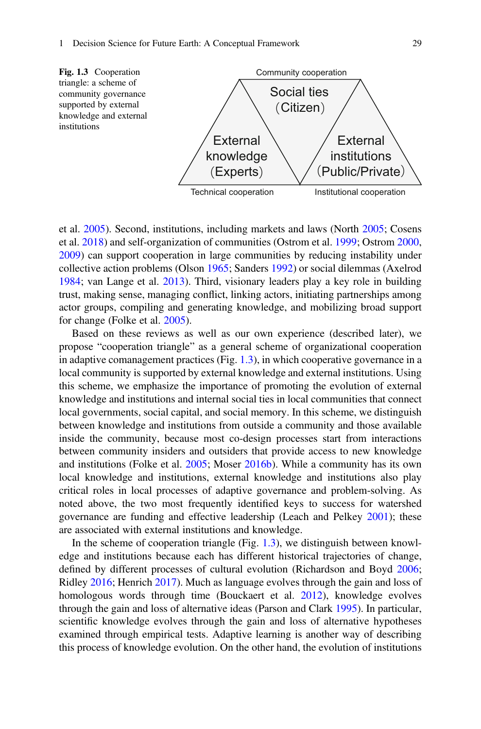<span id="page-26-0"></span>

et al. [2005](#page-52-6)). Second, institutions, including markets and laws (North [2005](#page-57-3); Cosens et al. [2018](#page-51-14)) and self-organization of communities (Ostrom et al. [1999](#page-57-9); Ostrom [2000](#page-57-10), [2009\)](#page-57-11) can support cooperation in large communities by reducing instability under collective action problems (Olson [1965](#page-57-2); Sanders [1992\)](#page-58-5) or social dilemmas (Axelrod [1984;](#page-50-0) van Lange et al. [2013\)](#page-60-2). Third, visionary leaders play a key role in building trust, making sense, managing conflict, linking actors, initiating partnerships among actor groups, compiling and generating knowledge, and mobilizing broad support for change (Folke et al. [2005\)](#page-52-6).

Based on these reviews as well as our own experience (described later), we propose "cooperation triangle" as a general scheme of organizational cooperation in adaptive comanagement practices (Fig. [1.3\)](#page-26-0), in which cooperative governance in a local community is supported by external knowledge and external institutions. Using this scheme, we emphasize the importance of promoting the evolution of external knowledge and institutions and internal social ties in local communities that connect local governments, social capital, and social memory. In this scheme, we distinguish between knowledge and institutions from outside a community and those available inside the community, because most co-design processes start from interactions between community insiders and outsiders that provide access to new knowledge and institutions (Folke et al. [2005;](#page-52-6) Moser [2016b](#page-56-12)). While a community has its own local knowledge and institutions, external knowledge and institutions also play critical roles in local processes of adaptive governance and problem-solving. As noted above, the two most frequently identified keys to success for watershed governance are funding and effective leadership (Leach and Pelkey [2001](#page-55-14)); these are associated with external institutions and knowledge.

In the scheme of cooperation triangle (Fig.  $1.3$ ), we distinguish between knowledge and institutions because each has different historical trajectories of change, defined by different processes of cultural evolution (Richardson and Boyd [2006;](#page-58-19) Ridley [2016;](#page-58-7) Henrich [2017\)](#page-54-4). Much as language evolves through the gain and loss of homologous words through time (Bouckaert et al. [2012\)](#page-51-17), knowledge evolves through the gain and loss of alternative ideas (Parson and Clark [1995\)](#page-57-12). In particular, scientific knowledge evolves through the gain and loss of alternative hypotheses examined through empirical tests. Adaptive learning is another way of describing this process of knowledge evolution. On the other hand, the evolution of institutions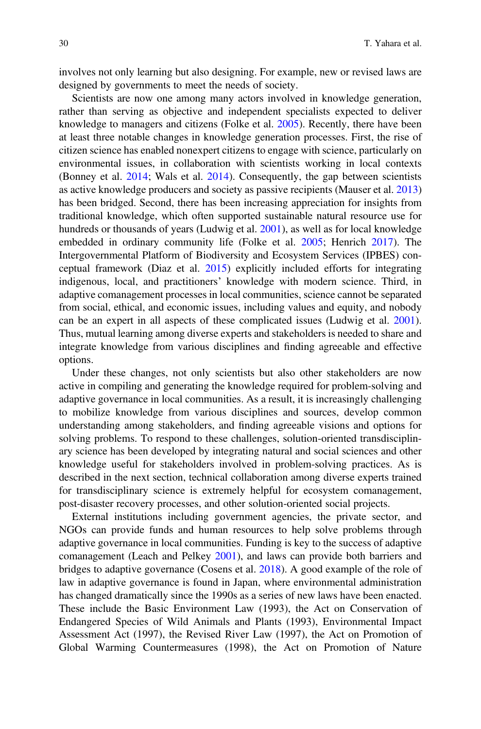involves not only learning but also designing. For example, new or revised laws are designed by governments to meet the needs of society.

Scientists are now one among many actors involved in knowledge generation, rather than serving as objective and independent specialists expected to deliver knowledge to managers and citizens (Folke et al. [2005](#page-52-6)). Recently, there have been at least three notable changes in knowledge generation processes. First, the rise of citizen science has enabled nonexpert citizens to engage with science, particularly on environmental issues, in collaboration with scientists working in local contexts (Bonney et al. [2014](#page-51-18); Wals et al. [2014](#page-61-9)). Consequently, the gap between scientists as active knowledge producers and society as passive recipients (Mauser et al. [2013](#page-56-0)) has been bridged. Second, there has been increasing appreciation for insights from traditional knowledge, which often supported sustainable natural resource use for hundreds or thousands of years (Ludwig et al. [2001\)](#page-56-13), as well as for local knowledge embedded in ordinary community life (Folke et al. [2005](#page-52-6); Henrich [2017\)](#page-54-4). The Intergovernmental Platform of Biodiversity and Ecosystem Services (IPBES) conceptual framework (Diaz et al. [2015\)](#page-52-23) explicitly included efforts for integrating indigenous, local, and practitioners' knowledge with modern science. Third, in adaptive comanagement processes in local communities, science cannot be separated from social, ethical, and economic issues, including values and equity, and nobody can be an expert in all aspects of these complicated issues (Ludwig et al. [2001\)](#page-56-13). Thus, mutual learning among diverse experts and stakeholders is needed to share and integrate knowledge from various disciplines and finding agreeable and effective options.

Under these changes, not only scientists but also other stakeholders are now active in compiling and generating the knowledge required for problem-solving and adaptive governance in local communities. As a result, it is increasingly challenging to mobilize knowledge from various disciplines and sources, develop common understanding among stakeholders, and finding agreeable visions and options for solving problems. To respond to these challenges, solution-oriented transdisciplinary science has been developed by integrating natural and social sciences and other knowledge useful for stakeholders involved in problem-solving practices. As is described in the next section, technical collaboration among diverse experts trained for transdisciplinary science is extremely helpful for ecosystem comanagement, post-disaster recovery processes, and other solution-oriented social projects.

External institutions including government agencies, the private sector, and NGOs can provide funds and human resources to help solve problems through adaptive governance in local communities. Funding is key to the success of adaptive comanagement (Leach and Pelkey [2001\)](#page-55-14), and laws can provide both barriers and bridges to adaptive governance (Cosens et al. [2018\)](#page-51-14). A good example of the role of law in adaptive governance is found in Japan, where environmental administration has changed dramatically since the 1990s as a series of new laws have been enacted. These include the Basic Environment Law (1993), the Act on Conservation of Endangered Species of Wild Animals and Plants (1993), Environmental Impact Assessment Act (1997), the Revised River Law (1997), the Act on Promotion of Global Warming Countermeasures (1998), the Act on Promotion of Nature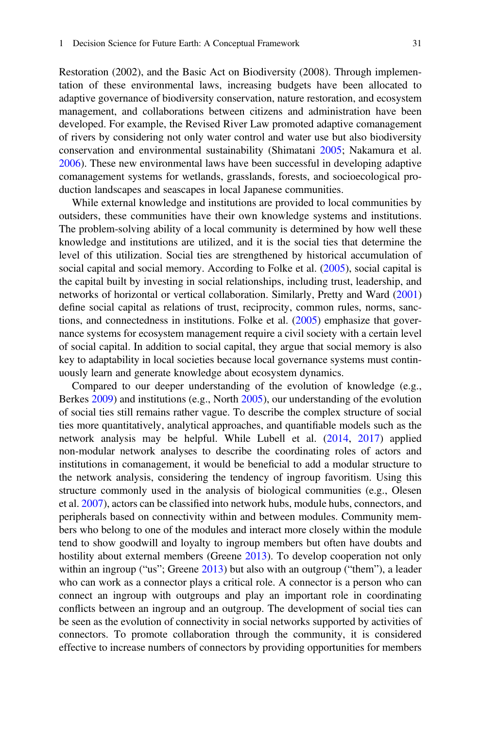Restoration (2002), and the Basic Act on Biodiversity (2008). Through implementation of these environmental laws, increasing budgets have been allocated to adaptive governance of biodiversity conservation, nature restoration, and ecosystem management, and collaborations between citizens and administration have been developed. For example, the Revised River Law promoted adaptive comanagement of rivers by considering not only water control and water use but also biodiversity conservation and environmental sustainability (Shimatani [2005](#page-59-19); Nakamura et al. [2006\)](#page-57-13). These new environmental laws have been successful in developing adaptive comanagement systems for wetlands, grasslands, forests, and socioecological production landscapes and seascapes in local Japanese communities.

While external knowledge and institutions are provided to local communities by outsiders, these communities have their own knowledge systems and institutions. The problem-solving ability of a local community is determined by how well these knowledge and institutions are utilized, and it is the social ties that determine the level of this utilization. Social ties are strengthened by historical accumulation of social capital and social memory. According to Folke et al. ([2005\)](#page-52-6), social capital is the capital built by investing in social relationships, including trust, leadership, and networks of horizontal or vertical collaboration. Similarly, Pretty and Ward [\(2001](#page-58-20)) define social capital as relations of trust, reciprocity, common rules, norms, sanctions, and connectedness in institutions. Folke et al. [\(2005](#page-52-6)) emphasize that governance systems for ecosystem management require a civil society with a certain level of social capital. In addition to social capital, they argue that social memory is also key to adaptability in local societies because local governance systems must continuously learn and generate knowledge about ecosystem dynamics.

Compared to our deeper understanding of the evolution of knowledge (e.g., Berkes [2009\)](#page-50-11) and institutions (e.g., North [2005](#page-57-3)), our understanding of the evolution of social ties still remains rather vague. To describe the complex structure of social ties more quantitatively, analytical approaches, and quantifiable models such as the network analysis may be helpful. While Lubell et al. ([2014,](#page-56-14) [2017](#page-56-15)) applied non-modular network analyses to describe the coordinating roles of actors and institutions in comanagement, it would be beneficial to add a modular structure to the network analysis, considering the tendency of ingroup favoritism. Using this structure commonly used in the analysis of biological communities (e.g., Olesen et al. [2007\)](#page-57-14), actors can be classified into network hubs, module hubs, connectors, and peripherals based on connectivity within and between modules. Community members who belong to one of the modules and interact more closely within the module tend to show goodwill and loyalty to ingroup members but often have doubts and hostility about external members (Greene [2013](#page-53-1)). To develop cooperation not only within an ingroup ("us"; Greene  $2013$ ) but also with an outgroup ("them"), a leader who can work as a connector plays a critical role. A connector is a person who can connect an ingroup with outgroups and play an important role in coordinating conflicts between an ingroup and an outgroup. The development of social ties can be seen as the evolution of connectivity in social networks supported by activities of connectors. To promote collaboration through the community, it is considered effective to increase numbers of connectors by providing opportunities for members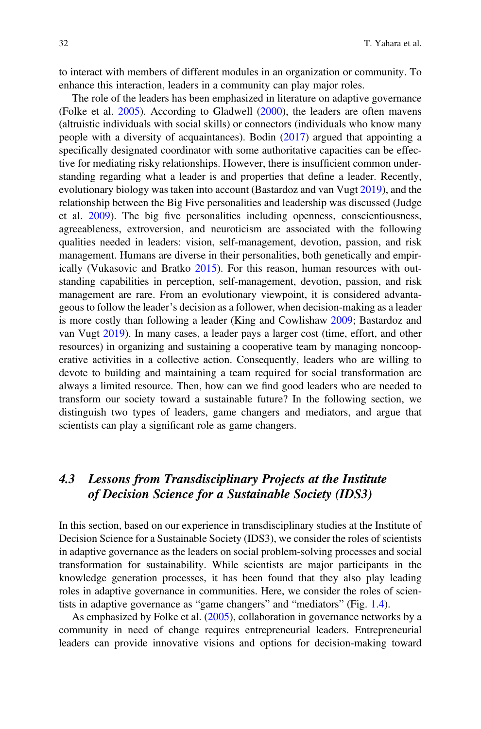to interact with members of different modules in an organization or community. To enhance this interaction, leaders in a community can play major roles.

The role of the leaders has been emphasized in literature on adaptive governance (Folke et al. [2005\)](#page-52-6). According to Gladwell ([2000\)](#page-53-24), the leaders are often mavens (altruistic individuals with social skills) or connectors (individuals who know many people with a diversity of acquaintances). Bodin [\(2017](#page-50-12)) argued that appointing a specifically designated coordinator with some authoritative capacities can be effective for mediating risky relationships. However, there is insufficient common understanding regarding what a leader is and properties that define a leader. Recently, evolutionary biology was taken into account (Bastardoz and van Vugt [2019](#page-50-13)), and the relationship between the Big Five personalities and leadership was discussed (Judge et al. [2009\)](#page-54-16). The big five personalities including openness, conscientiousness, agreeableness, extroversion, and neuroticism are associated with the following qualities needed in leaders: vision, self-management, devotion, passion, and risk management. Humans are diverse in their personalities, both genetically and empirically (Vukasovic and Bratko [2015](#page-61-10)). For this reason, human resources with outstanding capabilities in perception, self-management, devotion, passion, and risk management are rare. From an evolutionary viewpoint, it is considered advantageous to follow the leader's decision as a follower, when decision-making as a leader is more costly than following a leader (King and Cowlishaw [2009](#page-55-15); Bastardoz and van Vugt [2019](#page-50-13)). In many cases, a leader pays a larger cost (time, effort, and other resources) in organizing and sustaining a cooperative team by managing noncooperative activities in a collective action. Consequently, leaders who are willing to devote to building and maintaining a team required for social transformation are always a limited resource. Then, how can we find good leaders who are needed to transform our society toward a sustainable future? In the following section, we distinguish two types of leaders, game changers and mediators, and argue that scientists can play a significant role as game changers.

# 4.3 Lessons from Transdisciplinary Projects at the Institute of Decision Science for a Sustainable Society (IDS3)

In this section, based on our experience in transdisciplinary studies at the Institute of Decision Science for a Sustainable Society (IDS3), we consider the roles of scientists in adaptive governance as the leaders on social problem-solving processes and social transformation for sustainability. While scientists are major participants in the knowledge generation processes, it has been found that they also play leading roles in adaptive governance in communities. Here, we consider the roles of scientists in adaptive governance as "game changers" and "mediators" (Fig. [1.4](#page-30-0)).

As emphasized by Folke et al. ([2005\)](#page-52-6), collaboration in governance networks by a community in need of change requires entrepreneurial leaders. Entrepreneurial leaders can provide innovative visions and options for decision-making toward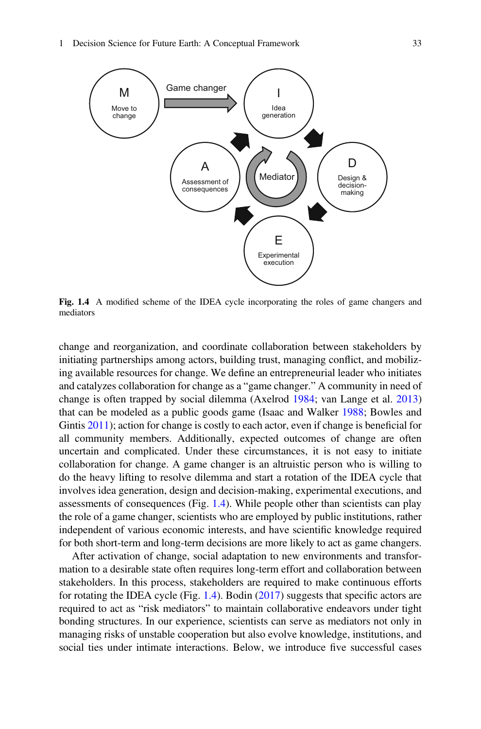<span id="page-30-0"></span>

Fig. 1.4 A modified scheme of the IDEA cycle incorporating the roles of game changers and mediators

change and reorganization, and coordinate collaboration between stakeholders by initiating partnerships among actors, building trust, managing conflict, and mobilizing available resources for change. We define an entrepreneurial leader who initiates and catalyzes collaboration for change as a "game changer." A community in need of change is often trapped by social dilemma (Axelrod [1984;](#page-50-0) van Lange et al. [2013](#page-60-2)) that can be modeled as a public goods game (Isaac and Walker [1988;](#page-54-17) Bowles and Gintis  $2011$ ); action for change is costly to each actor, even if change is beneficial for all community members. Additionally, expected outcomes of change are often uncertain and complicated. Under these circumstances, it is not easy to initiate collaboration for change. A game changer is an altruistic person who is willing to do the heavy lifting to resolve dilemma and start a rotation of the IDEA cycle that involves idea generation, design and decision-making, experimental executions, and assessments of consequences (Fig. [1.4](#page-30-0)). While people other than scientists can play the role of a game changer, scientists who are employed by public institutions, rather independent of various economic interests, and have scientific knowledge required for both short-term and long-term decisions are more likely to act as game changers.

After activation of change, social adaptation to new environments and transformation to a desirable state often requires long-term effort and collaboration between stakeholders. In this process, stakeholders are required to make continuous efforts for rotating the IDEA cycle (Fig. [1.4](#page-30-0)). Bodin [\(2017](#page-50-12)) suggests that specific actors are required to act as "risk mediators" to maintain collaborative endeavors under tight bonding structures. In our experience, scientists can serve as mediators not only in managing risks of unstable cooperation but also evolve knowledge, institutions, and social ties under intimate interactions. Below, we introduce five successful cases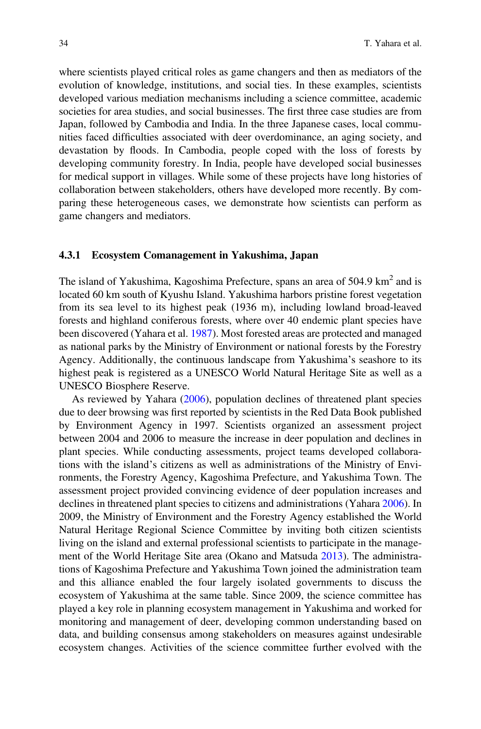where scientists played critical roles as game changers and then as mediators of the evolution of knowledge, institutions, and social ties. In these examples, scientists developed various mediation mechanisms including a science committee, academic societies for area studies, and social businesses. The first three case studies are from Japan, followed by Cambodia and India. In the three Japanese cases, local communities faced difficulties associated with deer overdominance, an aging society, and devastation by floods. In Cambodia, people coped with the loss of forests by developing community forestry. In India, people have developed social businesses for medical support in villages. While some of these projects have long histories of collaboration between stakeholders, others have developed more recently. By comparing these heterogeneous cases, we demonstrate how scientists can perform as game changers and mediators.

#### 4.3.1 Ecosystem Comanagement in Yakushima, Japan

The island of Yakushima, Kagoshima Prefecture, spans an area of 504.9 km<sup>2</sup> and is located 60 km south of Kyushu Island. Yakushima harbors pristine forest vegetation from its sea level to its highest peak (1936 m), including lowland broad-leaved forests and highland coniferous forests, where over 40 endemic plant species have been discovered (Yahara et al. [1987](#page-61-11)). Most forested areas are protected and managed as national parks by the Ministry of Environment or national forests by the Forestry Agency. Additionally, the continuous landscape from Yakushima's seashore to its highest peak is registered as a UNESCO World Natural Heritage Site as well as a UNESCO Biosphere Reserve.

As reviewed by Yahara ([2006\)](#page-61-12), population declines of threatened plant species due to deer browsing was first reported by scientists in the Red Data Book published by Environment Agency in 1997. Scientists organized an assessment project between 2004 and 2006 to measure the increase in deer population and declines in plant species. While conducting assessments, project teams developed collaborations with the island's citizens as well as administrations of the Ministry of Environments, the Forestry Agency, Kagoshima Prefecture, and Yakushima Town. The assessment project provided convincing evidence of deer population increases and declines in threatened plant species to citizens and administrations (Yahara [2006](#page-61-12)). In 2009, the Ministry of Environment and the Forestry Agency established the World Natural Heritage Regional Science Committee by inviting both citizen scientists living on the island and external professional scientists to participate in the management of the World Heritage Site area (Okano and Matsuda [2013](#page-57-15)). The administrations of Kagoshima Prefecture and Yakushima Town joined the administration team and this alliance enabled the four largely isolated governments to discuss the ecosystem of Yakushima at the same table. Since 2009, the science committee has played a key role in planning ecosystem management in Yakushima and worked for monitoring and management of deer, developing common understanding based on data, and building consensus among stakeholders on measures against undesirable ecosystem changes. Activities of the science committee further evolved with the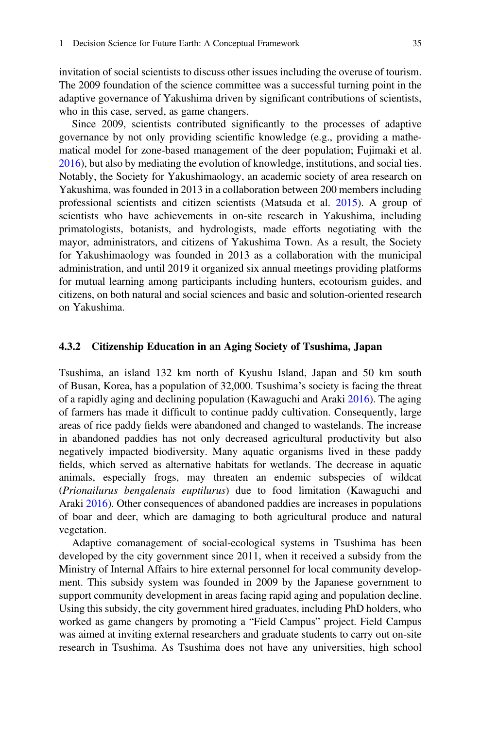invitation of social scientists to discuss other issues including the overuse of tourism. The 2009 foundation of the science committee was a successful turning point in the adaptive governance of Yakushima driven by significant contributions of scientists, who in this case, served, as game changers.

Since 2009, scientists contributed significantly to the processes of adaptive governance by not only providing scientific knowledge (e.g., providing a mathematical model for zone-based management of the deer population; Fujimaki et al. [2016\)](#page-52-24), but also by mediating the evolution of knowledge, institutions, and social ties. Notably, the Society for Yakushimaology, an academic society of area research on Yakushima, was founded in 2013 in a collaboration between 200 members including professional scientists and citizen scientists (Matsuda et al. [2015\)](#page-56-16). A group of scientists who have achievements in on-site research in Yakushima, including primatologists, botanists, and hydrologists, made efforts negotiating with the mayor, administrators, and citizens of Yakushima Town. As a result, the Society for Yakushimaology was founded in 2013 as a collaboration with the municipal administration, and until 2019 it organized six annual meetings providing platforms for mutual learning among participants including hunters, ecotourism guides, and citizens, on both natural and social sciences and basic and solution-oriented research on Yakushima.

#### 4.3.2 Citizenship Education in an Aging Society of Tsushima, Japan

Tsushima, an island 132 km north of Kyushu Island, Japan and 50 km south of Busan, Korea, has a population of 32,000. Tsushima's society is facing the threat of a rapidly aging and declining population (Kawaguchi and Araki [2016\)](#page-55-16). The aging of farmers has made it difficult to continue paddy cultivation. Consequently, large areas of rice paddy fields were abandoned and changed to wastelands. The increase in abandoned paddies has not only decreased agricultural productivity but also negatively impacted biodiversity. Many aquatic organisms lived in these paddy fields, which served as alternative habitats for wetlands. The decrease in aquatic animals, especially frogs, may threaten an endemic subspecies of wildcat (Prionailurus bengalensis euptilurus) due to food limitation (Kawaguchi and Araki [2016\)](#page-55-16). Other consequences of abandoned paddies are increases in populations of boar and deer, which are damaging to both agricultural produce and natural vegetation.

Adaptive comanagement of social-ecological systems in Tsushima has been developed by the city government since 2011, when it received a subsidy from the Ministry of Internal Affairs to hire external personnel for local community development. This subsidy system was founded in 2009 by the Japanese government to support community development in areas facing rapid aging and population decline. Using this subsidy, the city government hired graduates, including PhD holders, who worked as game changers by promoting a "Field Campus" project. Field Campus was aimed at inviting external researchers and graduate students to carry out on-site research in Tsushima. As Tsushima does not have any universities, high school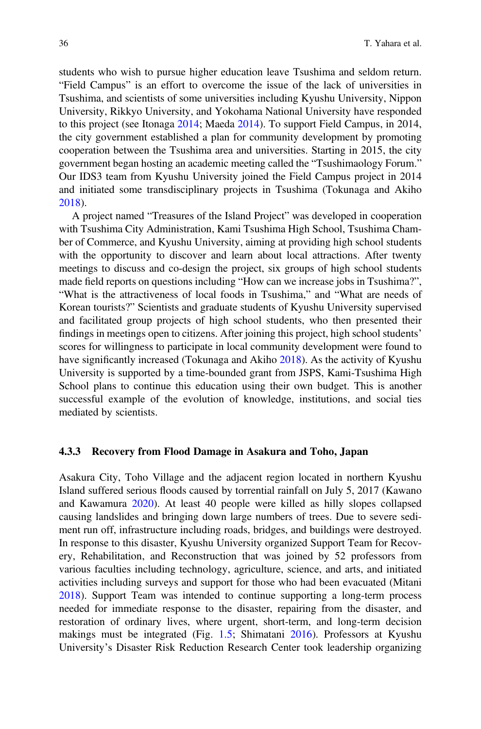students who wish to pursue higher education leave Tsushima and seldom return. "Field Campus" is an effort to overcome the issue of the lack of universities in Tsushima, and scientists of some universities including Kyushu University, Nippon University, Rikkyo University, and Yokohama National University have responded to this project (see Itonaga [2014](#page-54-18); Maeda [2014](#page-56-17)). To support Field Campus, in 2014, the city government established a plan for community development by promoting cooperation between the Tsushima area and universities. Starting in 2015, the city government began hosting an academic meeting called the "Tsushimaology Forum." Our IDS3 team from Kyushu University joined the Field Campus project in 2014 and initiated some transdisciplinary projects in Tsushima (Tokunaga and Akiho [2018\)](#page-60-17).

A project named "Treasures of the Island Project" was developed in cooperation with Tsushima City Administration, Kami Tsushima High School, Tsushima Chamber of Commerce, and Kyushu University, aiming at providing high school students with the opportunity to discover and learn about local attractions. After twenty meetings to discuss and co-design the project, six groups of high school students made field reports on questions including "How can we increase jobs in Tsushima?", "What is the attractiveness of local foods in Tsushima," and "What are needs of Korean tourists?" Scientists and graduate students of Kyushu University supervised and facilitated group projects of high school students, who then presented their findings in meetings open to citizens. After joining this project, high school students' scores for willingness to participate in local community development were found to have significantly increased (Tokunaga and Akiho [2018\)](#page-60-17). As the activity of Kyushu University is supported by a time-bounded grant from JSPS, Kami-Tsushima High School plans to continue this education using their own budget. This is another successful example of the evolution of knowledge, institutions, and social ties mediated by scientists.

#### 4.3.3 Recovery from Flood Damage in Asakura and Toho, Japan

Asakura City, Toho Village and the adjacent region located in northern Kyushu Island suffered serious floods caused by torrential rainfall on July 5, 2017 (Kawano and Kawamura [2020\)](#page-55-17). At least 40 people were killed as hilly slopes collapsed causing landslides and bringing down large numbers of trees. Due to severe sediment run off, infrastructure including roads, bridges, and buildings were destroyed. In response to this disaster, Kyushu University organized Support Team for Recovery, Rehabilitation, and Reconstruction that was joined by 52 professors from various faculties including technology, agriculture, science, and arts, and initiated activities including surveys and support for those who had been evacuated (Mitani [2018\)](#page-56-18). Support Team was intended to continue supporting a long-term process needed for immediate response to the disaster, repairing from the disaster, and restoration of ordinary lives, where urgent, short-term, and long-term decision makings must be integrated (Fig. [1.5](#page-34-0); Shimatani [2016](#page-59-20)). Professors at Kyushu University's Disaster Risk Reduction Research Center took leadership organizing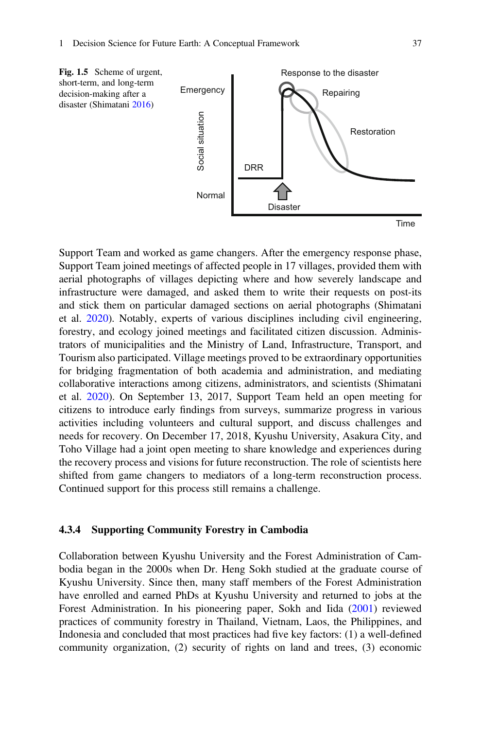<span id="page-34-0"></span>

Support Team and worked as game changers. After the emergency response phase, Support Team joined meetings of affected people in 17 villages, provided them with aerial photographs of villages depicting where and how severely landscape and infrastructure were damaged, and asked them to write their requests on post-its and stick them on particular damaged sections on aerial photographs (Shimatani et al. [2020](#page-59-21)). Notably, experts of various disciplines including civil engineering, forestry, and ecology joined meetings and facilitated citizen discussion. Administrators of municipalities and the Ministry of Land, Infrastructure, Transport, and Tourism also participated. Village meetings proved to be extraordinary opportunities for bridging fragmentation of both academia and administration, and mediating collaborative interactions among citizens, administrators, and scientists (Shimatani et al. [2020](#page-59-21)). On September 13, 2017, Support Team held an open meeting for citizens to introduce early findings from surveys, summarize progress in various activities including volunteers and cultural support, and discuss challenges and needs for recovery. On December 17, 2018, Kyushu University, Asakura City, and Toho Village had a joint open meeting to share knowledge and experiences during the recovery process and visions for future reconstruction. The role of scientists here shifted from game changers to mediators of a long-term reconstruction process. Continued support for this process still remains a challenge.

#### 4.3.4 Supporting Community Forestry in Cambodia

Collaboration between Kyushu University and the Forest Administration of Cambodia began in the 2000s when Dr. Heng Sokh studied at the graduate course of Kyushu University. Since then, many staff members of the Forest Administration have enrolled and earned PhDs at Kyushu University and returned to jobs at the Forest Administration. In his pioneering paper, Sokh and Iida ([2001\)](#page-59-22) reviewed practices of community forestry in Thailand, Vietnam, Laos, the Philippines, and Indonesia and concluded that most practices had five key factors: (1) a well-defined community organization, (2) security of rights on land and trees, (3) economic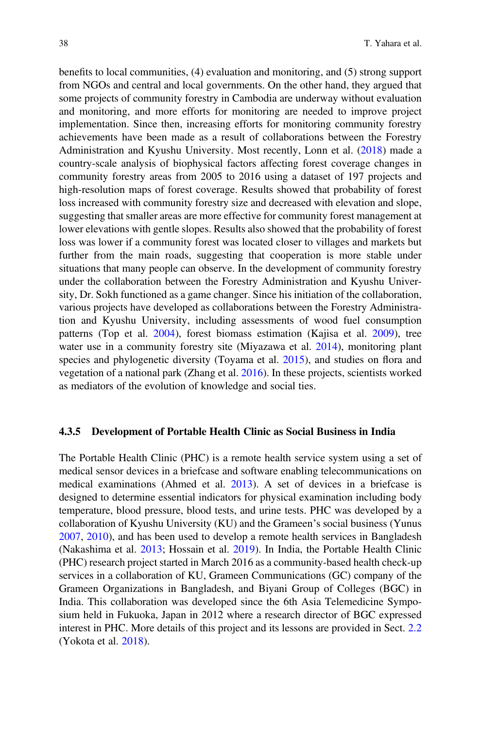benefits to local communities, (4) evaluation and monitoring, and (5) strong support from NGOs and central and local governments. On the other hand, they argued that some projects of community forestry in Cambodia are underway without evaluation and monitoring, and more efforts for monitoring are needed to improve project implementation. Since then, increasing efforts for monitoring community forestry achievements have been made as a result of collaborations between the Forestry Administration and Kyushu University. Most recently, Lonn et al. ([2018\)](#page-55-18) made a country-scale analysis of biophysical factors affecting forest coverage changes in community forestry areas from 2005 to 2016 using a dataset of 197 projects and high-resolution maps of forest coverage. Results showed that probability of forest loss increased with community forestry size and decreased with elevation and slope, suggesting that smaller areas are more effective for community forest management at lower elevations with gentle slopes. Results also showed that the probability of forest loss was lower if a community forest was located closer to villages and markets but further from the main roads, suggesting that cooperation is more stable under situations that many people can observe. In the development of community forestry under the collaboration between the Forestry Administration and Kyushu University, Dr. Sokh functioned as a game changer. Since his initiation of the collaboration, various projects have developed as collaborations between the Forestry Administration and Kyushu University, including assessments of wood fuel consumption patterns (Top et al. [2004](#page-60-18)), forest biomass estimation (Kajisa et al. [2009](#page-55-19)), tree water use in a community forestry site (Miyazawa et al. [2014\)](#page-56-19), monitoring plant species and phylogenetic diversity (Toyama et al. [2015\)](#page-60-19), and studies on flora and vegetation of a national park (Zhang et al. [2016](#page-61-13)). In these projects, scientists worked as mediators of the evolution of knowledge and social ties.

#### 4.3.5 Development of Portable Health Clinic as Social Business in India

The Portable Health Clinic (PHC) is a remote health service system using a set of medical sensor devices in a briefcase and software enabling telecommunications on medical examinations (Ahmed et al. [2013](#page-50-14)). A set of devices in a briefcase is designed to determine essential indicators for physical examination including body temperature, blood pressure, blood tests, and urine tests. PHC was developed by a collaboration of Kyushu University (KU) and the Grameen's social business (Yunus [2007,](#page-61-14) [2010](#page-61-15)), and has been used to develop a remote health services in Bangladesh (Nakashima et al. [2013](#page-57-16); Hossain et al. [2019](#page-54-19)). In India, the Portable Health Clinic (PHC) research project started in March 2016 as a community-based health check-up services in a collaboration of KU, Grameen Communications (GC) company of the Grameen Organizations in Bangladesh, and Biyani Group of Colleges (BGC) in India. This collaboration was developed since the 6th Asia Telemedicine Symposium held in Fukuoka, Japan in 2012 where a research director of BGC expressed interest in PHC. More details of this project and its lessons are provided in Sect. [2.2](https://doi.org/10.1007/978-981-15-8632-3_2) (Yokota et al. [2018](#page-61-16)).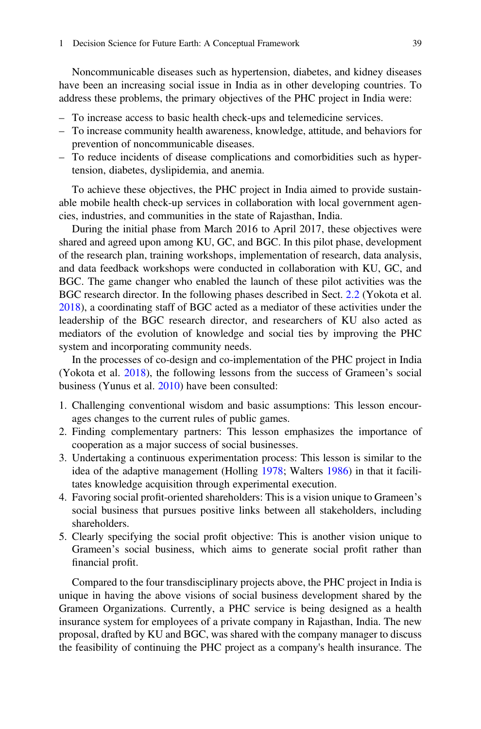Noncommunicable diseases such as hypertension, diabetes, and kidney diseases have been an increasing social issue in India as in other developing countries. To address these problems, the primary objectives of the PHC project in India were:

- To increase access to basic health check-ups and telemedicine services.
- To increase community health awareness, knowledge, attitude, and behaviors for prevention of noncommunicable diseases.
- To reduce incidents of disease complications and comorbidities such as hypertension, diabetes, dyslipidemia, and anemia.

To achieve these objectives, the PHC project in India aimed to provide sustainable mobile health check-up services in collaboration with local government agencies, industries, and communities in the state of Rajasthan, India.

During the initial phase from March 2016 to April 2017, these objectives were shared and agreed upon among KU, GC, and BGC. In this pilot phase, development of the research plan, training workshops, implementation of research, data analysis, and data feedback workshops were conducted in collaboration with KU, GC, and BGC. The game changer who enabled the launch of these pilot activities was the BGC research director. In the following phases described in Sect. [2.2](https://doi.org/10.1007/978-981-15-8632-3_2) (Yokota et al. [2018\)](#page-61-16), a coordinating staff of BGC acted as a mediator of these activities under the leadership of the BGC research director, and researchers of KU also acted as mediators of the evolution of knowledge and social ties by improving the PHC system and incorporating community needs.

In the processes of co-design and co-implementation of the PHC project in India (Yokota et al. [2018\)](#page-61-16), the following lessons from the success of Grameen's social business (Yunus et al. [2010](#page-61-17)) have been consulted:

- 1. Challenging conventional wisdom and basic assumptions: This lesson encourages changes to the current rules of public games.
- 2. Finding complementary partners: This lesson emphasizes the importance of cooperation as a major success of social businesses.
- 3. Undertaking a continuous experimentation process: This lesson is similar to the idea of the adaptive management (Holling [1978;](#page-54-5) Walters [1986\)](#page-61-0) in that it facilitates knowledge acquisition through experimental execution.
- 4. Favoring social profit-oriented shareholders: This is a vision unique to Grameen's social business that pursues positive links between all stakeholders, including shareholders.
- 5. Clearly specifying the social profit objective: This is another vision unique to Grameen's social business, which aims to generate social profit rather than financial profit.

Compared to the four transdisciplinary projects above, the PHC project in India is unique in having the above visions of social business development shared by the Grameen Organizations. Currently, a PHC service is being designed as a health insurance system for employees of a private company in Rajasthan, India. The new proposal, drafted by KU and BGC, was shared with the company manager to discuss the feasibility of continuing the PHC project as a company's health insurance. The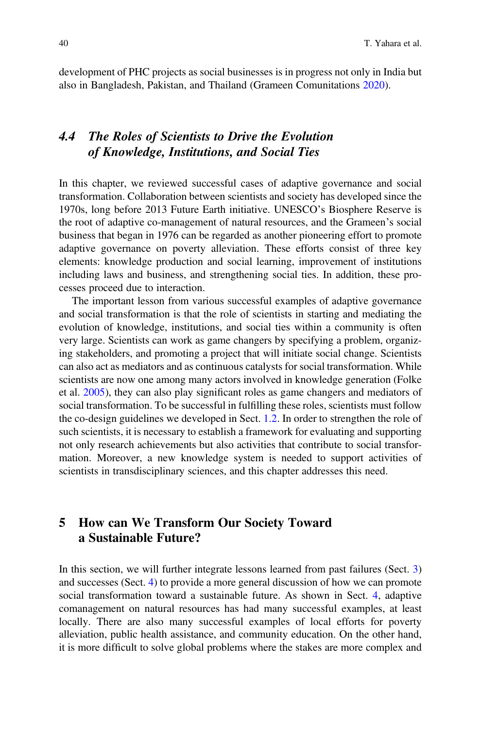development of PHC projects as social businesses is in progress not only in India but also in Bangladesh, Pakistan, and Thailand (Grameen Comunitations [2020\)](#page-53-25).

# 4.4 The Roles of Scientists to Drive the Evolution of Knowledge, Institutions, and Social Ties

In this chapter, we reviewed successful cases of adaptive governance and social transformation. Collaboration between scientists and society has developed since the 1970s, long before 2013 Future Earth initiative. UNESCO's Biosphere Reserve is the root of adaptive co-management of natural resources, and the Grameen's social business that began in 1976 can be regarded as another pioneering effort to promote adaptive governance on poverty alleviation. These efforts consist of three key elements: knowledge production and social learning, improvement of institutions including laws and business, and strengthening social ties. In addition, these processes proceed due to interaction.

The important lesson from various successful examples of adaptive governance and social transformation is that the role of scientists in starting and mediating the evolution of knowledge, institutions, and social ties within a community is often very large. Scientists can work as game changers by specifying a problem, organizing stakeholders, and promoting a project that will initiate social change. Scientists can also act as mediators and as continuous catalysts for social transformation. While scientists are now one among many actors involved in knowledge generation (Folke et al. [2005](#page-52-6)), they can also play significant roles as game changers and mediators of social transformation. To be successful in fulfilling these roles, scientists must follow the co-design guidelines we developed in Sect. [1.2](#page-4-1). In order to strengthen the role of such scientists, it is necessary to establish a framework for evaluating and supporting not only research achievements but also activities that contribute to social transformation. Moreover, a new knowledge system is needed to support activities of scientists in transdisciplinary sciences, and this chapter addresses this need.

### 5 How can We Transform Our Society Toward a Sustainable Future?

In this section, we will further integrate lessons learned from past failures (Sect. [3](#page-13-0)) and successes (Sect. [4\)](#page-22-0) to provide a more general discussion of how we can promote social transformation toward a sustainable future. As shown in Sect. [4,](#page-22-0) adaptive comanagement on natural resources has had many successful examples, at least locally. There are also many successful examples of local efforts for poverty alleviation, public health assistance, and community education. On the other hand, it is more difficult to solve global problems where the stakes are more complex and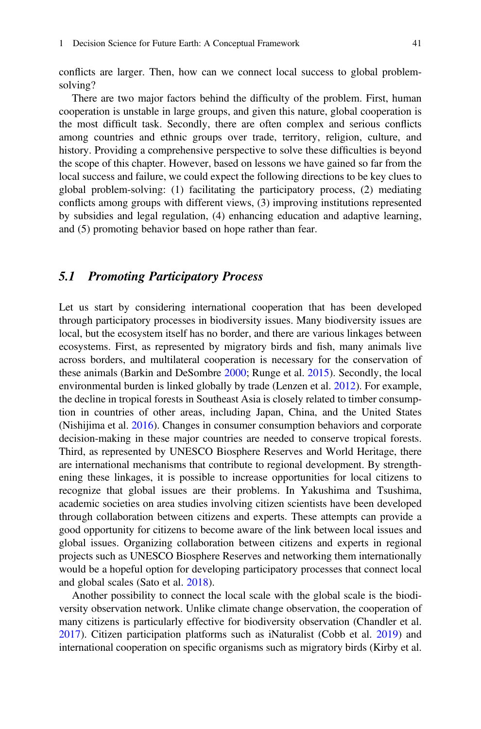conflicts are larger. Then, how can we connect local success to global problemsolving?

There are two major factors behind the difficulty of the problem. First, human cooperation is unstable in large groups, and given this nature, global cooperation is the most difficult task. Secondly, there are often complex and serious conflicts among countries and ethnic groups over trade, territory, religion, culture, and history. Providing a comprehensive perspective to solve these difficulties is beyond the scope of this chapter. However, based on lessons we have gained so far from the local success and failure, we could expect the following directions to be key clues to global problem-solving: (1) facilitating the participatory process, (2) mediating conflicts among groups with different views, (3) improving institutions represented by subsidies and legal regulation, (4) enhancing education and adaptive learning, and (5) promoting behavior based on hope rather than fear.

### 5.1 Promoting Participatory Process

Let us start by considering international cooperation that has been developed through participatory processes in biodiversity issues. Many biodiversity issues are local, but the ecosystem itself has no border, and there are various linkages between ecosystems. First, as represented by migratory birds and fish, many animals live across borders, and multilateral cooperation is necessary for the conservation of these animals (Barkin and DeSombre [2000](#page-50-15); Runge et al. [2015](#page-58-21)). Secondly, the local environmental burden is linked globally by trade (Lenzen et al. [2012](#page-55-20)). For example, the decline in tropical forests in Southeast Asia is closely related to timber consumption in countries of other areas, including Japan, China, and the United States (Nishijima et al. [2016](#page-57-17)). Changes in consumer consumption behaviors and corporate decision-making in these major countries are needed to conserve tropical forests. Third, as represented by UNESCO Biosphere Reserves and World Heritage, there are international mechanisms that contribute to regional development. By strengthening these linkages, it is possible to increase opportunities for local citizens to recognize that global issues are their problems. In Yakushima and Tsushima, academic societies on area studies involving citizen scientists have been developed through collaboration between citizens and experts. These attempts can provide a good opportunity for citizens to become aware of the link between local issues and global issues. Organizing collaboration between citizens and experts in regional projects such as UNESCO Biosphere Reserves and networking them internationally would be a hopeful option for developing participatory processes that connect local and global scales (Sato et al. [2018\)](#page-58-22).

Another possibility to connect the local scale with the global scale is the biodiversity observation network. Unlike climate change observation, the cooperation of many citizens is particularly effective for biodiversity observation (Chandler et al. [2017\)](#page-51-19). Citizen participation platforms such as iNaturalist (Cobb et al. [2019](#page-51-20)) and international cooperation on specific organisms such as migratory birds (Kirby et al.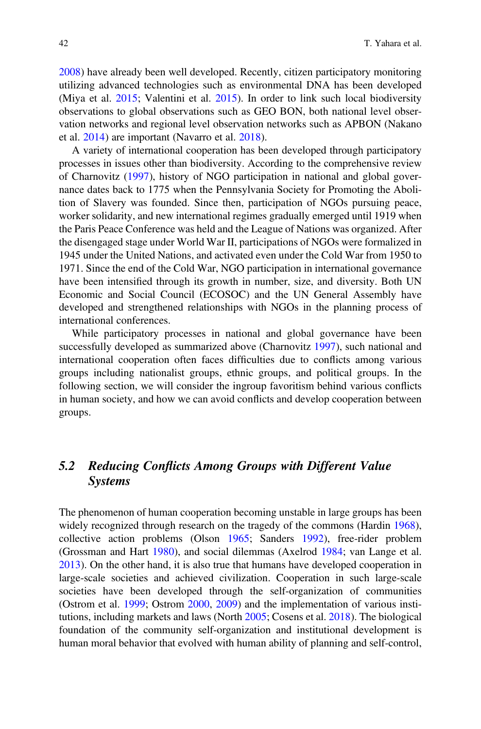[2008\)](#page-55-21) have already been well developed. Recently, citizen participatory monitoring utilizing advanced technologies such as environmental DNA has been developed (Miya et al. [2015;](#page-56-20) Valentini et al. [2015\)](#page-60-20). In order to link such local biodiversity observations to global observations such as GEO BON, both national level observation networks and regional level observation networks such as APBON (Nakano et al. [2014](#page-57-18)) are important (Navarro et al. [2018\)](#page-57-19).

A variety of international cooperation has been developed through participatory processes in issues other than biodiversity. According to the comprehensive review of Charnovitz [\(1997](#page-51-21)), history of NGO participation in national and global governance dates back to 1775 when the Pennsylvania Society for Promoting the Abolition of Slavery was founded. Since then, participation of NGOs pursuing peace, worker solidarity, and new international regimes gradually emerged until 1919 when the Paris Peace Conference was held and the League of Nations was organized. After the disengaged stage under World War II, participations of NGOs were formalized in 1945 under the United Nations, and activated even under the Cold War from 1950 to 1971. Since the end of the Cold War, NGO participation in international governance have been intensified through its growth in number, size, and diversity. Both UN Economic and Social Council (ECOSOC) and the UN General Assembly have developed and strengthened relationships with NGOs in the planning process of international conferences.

While participatory processes in national and global governance have been successfully developed as summarized above (Charnovitz [1997\)](#page-51-21), such national and international cooperation often faces difficulties due to conflicts among various groups including nationalist groups, ethnic groups, and political groups. In the following section, we will consider the ingroup favoritism behind various conflicts in human society, and how we can avoid conflicts and develop cooperation between groups.

# 5.2 Reducing Conflicts Among Groups with Different Value Systems

The phenomenon of human cooperation becoming unstable in large groups has been widely recognized through research on the tragedy of the commons (Hardin [1968\)](#page-53-2), collective action problems (Olson [1965;](#page-57-2) Sanders [1992\)](#page-58-5), free-rider problem (Grossman and Hart [1980](#page-53-3)), and social dilemmas (Axelrod [1984](#page-50-0); van Lange et al. [2013\)](#page-60-2). On the other hand, it is also true that humans have developed cooperation in large-scale societies and achieved civilization. Cooperation in such large-scale societies have been developed through the self-organization of communities (Ostrom et al. [1999;](#page-57-9) Ostrom [2000,](#page-57-10) [2009](#page-57-11)) and the implementation of various institutions, including markets and laws (North [2005;](#page-57-3) Cosens et al. [2018\)](#page-51-14). The biological foundation of the community self-organization and institutional development is human moral behavior that evolved with human ability of planning and self-control,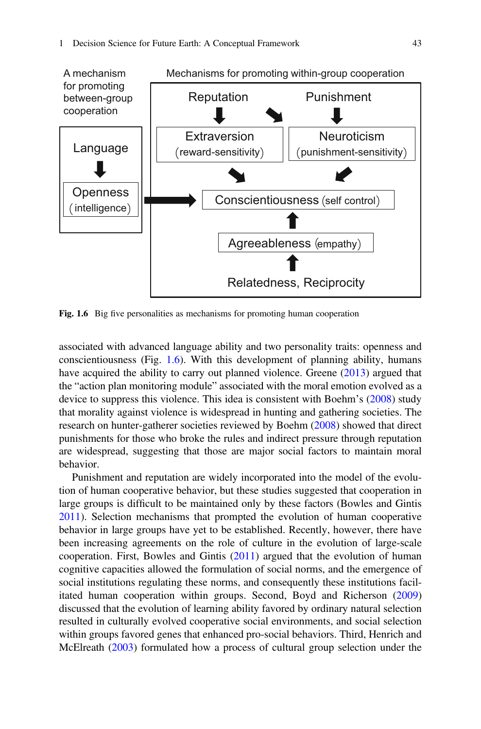<span id="page-40-0"></span>

Fig. 1.6 Big five personalities as mechanisms for promoting human cooperation

associated with advanced language ability and two personality traits: openness and conscientiousness (Fig. [1.6](#page-40-0)). With this development of planning ability, humans have acquired the ability to carry out planned violence. Greene [\(2013](#page-53-1)) argued that the "action plan monitoring module" associated with the moral emotion evolved as a device to suppress this violence. This idea is consistent with Boehm's [\(2008](#page-50-5)) study that morality against violence is widespread in hunting and gathering societies. The research on hunter-gatherer societies reviewed by Boehm [\(2008](#page-50-5)) showed that direct punishments for those who broke the rules and indirect pressure through reputation are widespread, suggesting that those are major social factors to maintain moral behavior.

Punishment and reputation are widely incorporated into the model of the evolution of human cooperative behavior, but these studies suggested that cooperation in large groups is difficult to be maintained only by these factors (Bowles and Gintis [2011\)](#page-51-7). Selection mechanisms that prompted the evolution of human cooperative behavior in large groups have yet to be established. Recently, however, there have been increasing agreements on the role of culture in the evolution of large-scale cooperation. First, Bowles and Gintis ([2011\)](#page-51-7) argued that the evolution of human cognitive capacities allowed the formulation of social norms, and the emergence of social institutions regulating these norms, and consequently these institutions facilitated human cooperation within groups. Second, Boyd and Richerson [\(2009](#page-51-22)) discussed that the evolution of learning ability favored by ordinary natural selection resulted in culturally evolved cooperative social environments, and social selection within groups favored genes that enhanced pro-social behaviors. Third, Henrich and McElreath [\(2003](#page-54-20)) formulated how a process of cultural group selection under the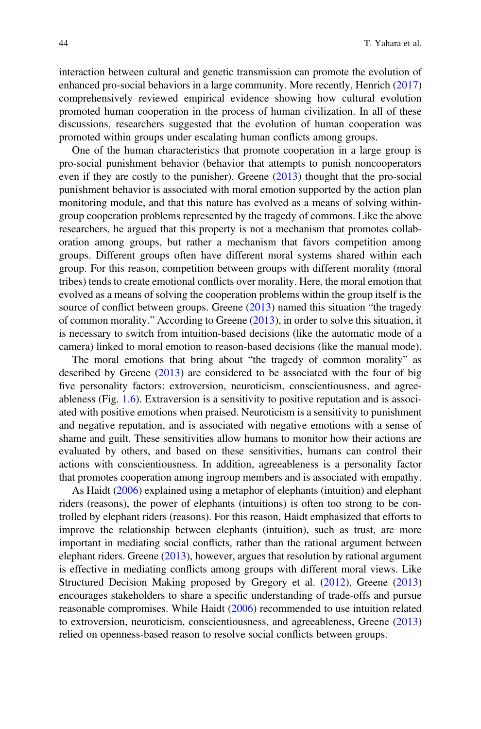interaction between cultural and genetic transmission can promote the evolution of enhanced pro-social behaviors in a large community. More recently, Henrich [\(2017](#page-54-4)) comprehensively reviewed empirical evidence showing how cultural evolution promoted human cooperation in the process of human civilization. In all of these discussions, researchers suggested that the evolution of human cooperation was promoted within groups under escalating human conflicts among groups.

One of the human characteristics that promote cooperation in a large group is pro-social punishment behavior (behavior that attempts to punish noncooperators even if they are costly to the punisher). Greene [\(2013](#page-53-1)) thought that the pro-social punishment behavior is associated with moral emotion supported by the action plan monitoring module, and that this nature has evolved as a means of solving withingroup cooperation problems represented by the tragedy of commons. Like the above researchers, he argued that this property is not a mechanism that promotes collaboration among groups, but rather a mechanism that favors competition among groups. Different groups often have different moral systems shared within each group. For this reason, competition between groups with different morality (moral tribes) tends to create emotional conflicts over morality. Here, the moral emotion that evolved as a means of solving the cooperation problems within the group itself is the source of conflict between groups. Greene ([2013\)](#page-53-1) named this situation "the tragedy of common morality." According to Greene [\(2013](#page-53-1)), in order to solve this situation, it is necessary to switch from intuition-based decisions (like the automatic mode of a camera) linked to moral emotion to reason-based decisions (like the manual mode).

The moral emotions that bring about "the tragedy of common morality" as described by Greene ([2013\)](#page-53-1) are considered to be associated with the four of big five personality factors: extroversion, neuroticism, conscientiousness, and agreeableness (Fig. [1.6](#page-40-0)). Extraversion is a sensitivity to positive reputation and is associated with positive emotions when praised. Neuroticism is a sensitivity to punishment and negative reputation, and is associated with negative emotions with a sense of shame and guilt. These sensitivities allow humans to monitor how their actions are evaluated by others, and based on these sensitivities, humans can control their actions with conscientiousness. In addition, agreeableness is a personality factor that promotes cooperation among ingroup members and is associated with empathy.

As Haidt ([2006\)](#page-53-22) explained using a metaphor of elephants (intuition) and elephant riders (reasons), the power of elephants (intuitions) is often too strong to be controlled by elephant riders (reasons). For this reason, Haidt emphasized that efforts to improve the relationship between elephants (intuition), such as trust, are more important in mediating social conflicts, rather than the rational argument between elephant riders. Greene  $(2013)$  $(2013)$ , however, argues that resolution by rational argument is effective in mediating conflicts among groups with different moral views. Like Structured Decision Making proposed by Gregory et al. ([2012\)](#page-53-5), Greene [\(2013](#page-53-1)) encourages stakeholders to share a specific understanding of trade-offs and pursue reasonable compromises. While Haidt ([2006](#page-53-22)) recommended to use intuition related to extroversion, neuroticism, conscientiousness, and agreeableness, Greene [\(2013](#page-53-1)) relied on openness-based reason to resolve social conflicts between groups.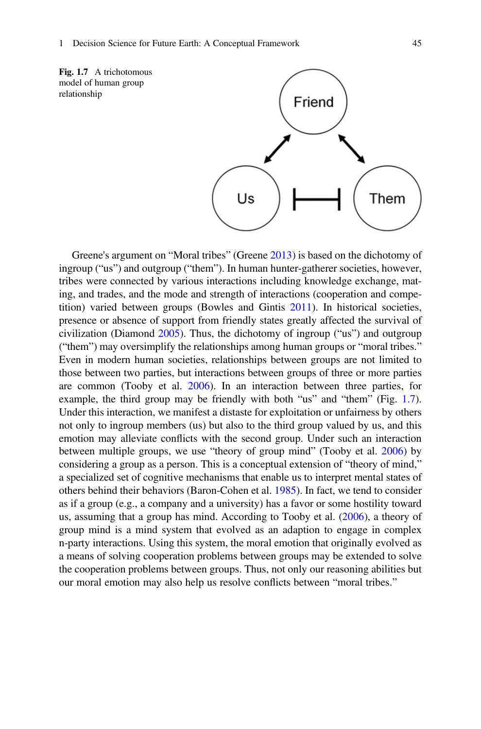<span id="page-42-0"></span>



Greene's argument on "Moral tribes" (Greene [2013](#page-53-1)) is based on the dichotomy of ingroup ("us") and outgroup ("them"). In human hunter-gatherer societies, however, tribes were connected by various interactions including knowledge exchange, mating, and trades, and the mode and strength of interactions (cooperation and competition) varied between groups (Bowles and Gintis [2011](#page-51-7)). In historical societies, presence or absence of support from friendly states greatly affected the survival of civilization (Diamond [2005\)](#page-52-0). Thus, the dichotomy of ingroup ("us") and outgroup ("them") may oversimplify the relationships among human groups or "moral tribes." Even in modern human societies, relationships between groups are not limited to those between two parties, but interactions between groups of three or more parties are common (Tooby et al. [2006\)](#page-60-21). In an interaction between three parties, for example, the third group may be friendly with both "us" and "them" (Fig. [1.7\)](#page-42-0). Under this interaction, we manifest a distaste for exploitation or unfairness by others not only to ingroup members (us) but also to the third group valued by us, and this emotion may alleviate conflicts with the second group. Under such an interaction between multiple groups, we use "theory of group mind" (Tooby et al. [2006\)](#page-60-21) by considering a group as a person. This is a conceptual extension of "theory of mind," a specialized set of cognitive mechanisms that enable us to interpret mental states of others behind their behaviors (Baron-Cohen et al. [1985\)](#page-50-16). In fact, we tend to consider as if a group (e.g., a company and a university) has a favor or some hostility toward us, assuming that a group has mind. According to Tooby et al. ([2006\)](#page-60-21), a theory of group mind is a mind system that evolved as an adaption to engage in complex n-party interactions. Using this system, the moral emotion that originally evolved as a means of solving cooperation problems between groups may be extended to solve the cooperation problems between groups. Thus, not only our reasoning abilities but our moral emotion may also help us resolve conflicts between "moral tribes."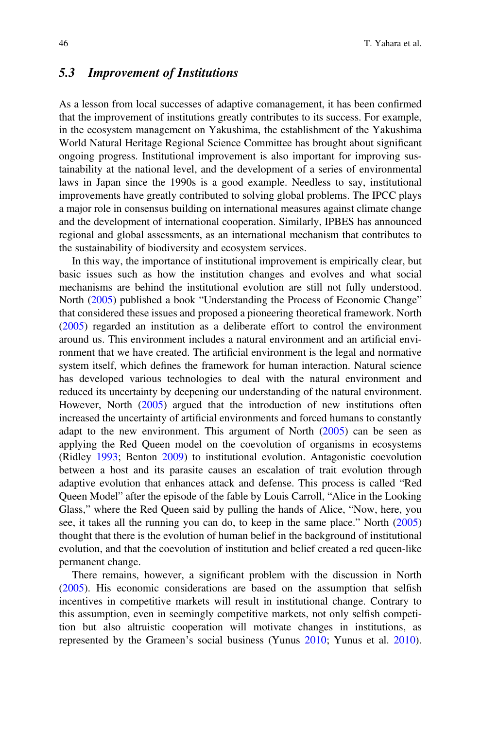### 5.3 Improvement of Institutions

As a lesson from local successes of adaptive comanagement, it has been confirmed that the improvement of institutions greatly contributes to its success. For example, in the ecosystem management on Yakushima, the establishment of the Yakushima World Natural Heritage Regional Science Committee has brought about significant ongoing progress. Institutional improvement is also important for improving sustainability at the national level, and the development of a series of environmental laws in Japan since the 1990s is a good example. Needless to say, institutional improvements have greatly contributed to solving global problems. The IPCC plays a major role in consensus building on international measures against climate change and the development of international cooperation. Similarly, IPBES has announced regional and global assessments, as an international mechanism that contributes to the sustainability of biodiversity and ecosystem services.

In this way, the importance of institutional improvement is empirically clear, but basic issues such as how the institution changes and evolves and what social mechanisms are behind the institutional evolution are still not fully understood. North [\(2005](#page-57-3)) published a book "Understanding the Process of Economic Change" that considered these issues and proposed a pioneering theoretical framework. North [\(2005](#page-57-3)) regarded an institution as a deliberate effort to control the environment around us. This environment includes a natural environment and an artificial environment that we have created. The artificial environment is the legal and normative system itself, which defines the framework for human interaction. Natural science has developed various technologies to deal with the natural environment and reduced its uncertainty by deepening our understanding of the natural environment. However, North [\(2005](#page-57-3)) argued that the introduction of new institutions often increased the uncertainty of artificial environments and forced humans to constantly adapt to the new environment. This argument of North  $(2005)$  can be seen as applying the Red Queen model on the coevolution of organisms in ecosystems (Ridley [1993;](#page-58-23) Benton [2009](#page-50-17)) to institutional evolution. Antagonistic coevolution between a host and its parasite causes an escalation of trait evolution through adaptive evolution that enhances attack and defense. This process is called "Red Queen Model" after the episode of the fable by Louis Carroll, "Alice in the Looking Glass," where the Red Queen said by pulling the hands of Alice, "Now, here, you see, it takes all the running you can do, to keep in the same place." North [\(2005](#page-57-3)) thought that there is the evolution of human belief in the background of institutional evolution, and that the coevolution of institution and belief created a red queen-like permanent change.

There remains, however, a significant problem with the discussion in North [\(2005](#page-57-3)). His economic considerations are based on the assumption that selfish incentives in competitive markets will result in institutional change. Contrary to this assumption, even in seemingly competitive markets, not only selfish competition but also altruistic cooperation will motivate changes in institutions, as represented by the Grameen's social business (Yunus [2010](#page-61-15); Yunus et al. [2010\)](#page-61-17).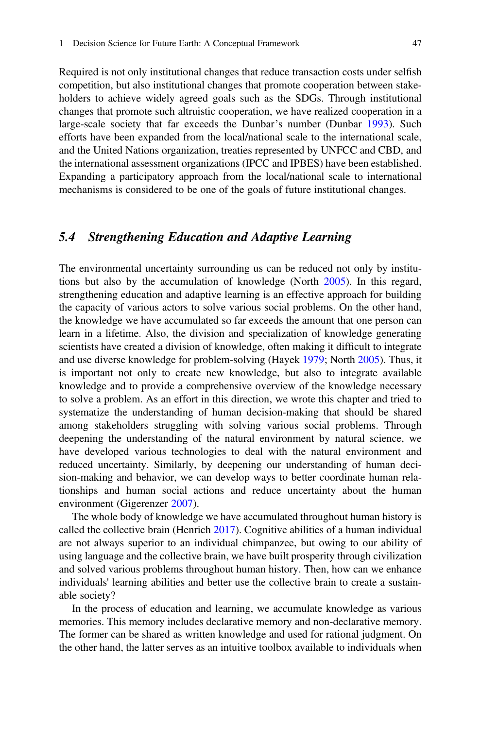Required is not only institutional changes that reduce transaction costs under selfish competition, but also institutional changes that promote cooperation between stakeholders to achieve widely agreed goals such as the SDGs. Through institutional changes that promote such altruistic cooperation, we have realized cooperation in a large-scale society that far exceeds the Dunbar's number (Dunbar [1993](#page-52-4)). Such efforts have been expanded from the local/national scale to the international scale, and the United Nations organization, treaties represented by UNFCC and CBD, and the international assessment organizations (IPCC and IPBES) have been established. Expanding a participatory approach from the local/national scale to international mechanisms is considered to be one of the goals of future institutional changes.

### 5.4 Strengthening Education and Adaptive Learning

The environmental uncertainty surrounding us can be reduced not only by institutions but also by the accumulation of knowledge (North [2005](#page-57-3)). In this regard, strengthening education and adaptive learning is an effective approach for building the capacity of various actors to solve various social problems. On the other hand, the knowledge we have accumulated so far exceeds the amount that one person can learn in a lifetime. Also, the division and specialization of knowledge generating scientists have created a division of knowledge, often making it difficult to integrate and use diverse knowledge for problem-solving (Hayek [1979;](#page-54-21) North [2005](#page-57-3)). Thus, it is important not only to create new knowledge, but also to integrate available knowledge and to provide a comprehensive overview of the knowledge necessary to solve a problem. As an effort in this direction, we wrote this chapter and tried to systematize the understanding of human decision-making that should be shared among stakeholders struggling with solving various social problems. Through deepening the understanding of the natural environment by natural science, we have developed various technologies to deal with the natural environment and reduced uncertainty. Similarly, by deepening our understanding of human decision-making and behavior, we can develop ways to better coordinate human relationships and human social actions and reduce uncertainty about the human environment (Gigerenzer [2007](#page-53-16)).

The whole body of knowledge we have accumulated throughout human history is called the collective brain (Henrich [2017](#page-54-4)). Cognitive abilities of a human individual are not always superior to an individual chimpanzee, but owing to our ability of using language and the collective brain, we have built prosperity through civilization and solved various problems throughout human history. Then, how can we enhance individuals' learning abilities and better use the collective brain to create a sustainable society?

In the process of education and learning, we accumulate knowledge as various memories. This memory includes declarative memory and non-declarative memory. The former can be shared as written knowledge and used for rational judgment. On the other hand, the latter serves as an intuitive toolbox available to individuals when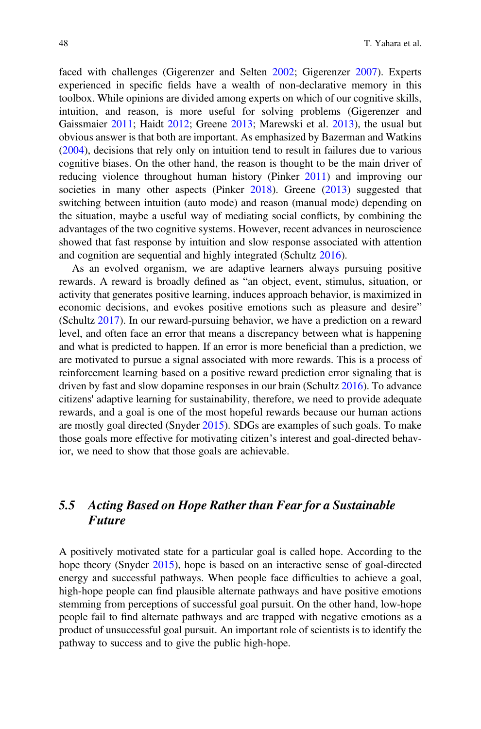faced with challenges (Gigerenzer and Selten [2002;](#page-53-26) Gigerenzer [2007\)](#page-53-16). Experts experienced in specific fields have a wealth of non-declarative memory in this toolbox. While opinions are divided among experts on which of our cognitive skills, intuition, and reason, is more useful for solving problems (Gigerenzer and Gaissmaier [2011;](#page-53-17) Haidt [2012](#page-53-0); Greene [2013](#page-53-1); Marewski et al. [2013\)](#page-56-21), the usual but obvious answer is that both are important. As emphasized by Bazerman and Watkins [\(2004](#page-50-8)), decisions that rely only on intuition tend to result in failures due to various cognitive biases. On the other hand, the reason is thought to be the main driver of reducing violence throughout human history (Pinker [2011\)](#page-58-2) and improving our societies in many other aspects (Pinker [2018\)](#page-58-8). Greene [\(2013](#page-53-1)) suggested that switching between intuition (auto mode) and reason (manual mode) depending on the situation, maybe a useful way of mediating social conflicts, by combining the advantages of the two cognitive systems. However, recent advances in neuroscience showed that fast response by intuition and slow response associated with attention and cognition are sequential and highly integrated (Schultz [2016\)](#page-59-23).

As an evolved organism, we are adaptive learners always pursuing positive rewards. A reward is broadly defined as "an object, event, stimulus, situation, or activity that generates positive learning, induces approach behavior, is maximized in economic decisions, and evokes positive emotions such as pleasure and desire" (Schultz [2017](#page-59-24)). In our reward-pursuing behavior, we have a prediction on a reward level, and often face an error that means a discrepancy between what is happening and what is predicted to happen. If an error is more beneficial than a prediction, we are motivated to pursue a signal associated with more rewards. This is a process of reinforcement learning based on a positive reward prediction error signaling that is driven by fast and slow dopamine responses in our brain (Schultz [2016\)](#page-59-23). To advance citizens' adaptive learning for sustainability, therefore, we need to provide adequate rewards, and a goal is one of the most hopeful rewards because our human actions are mostly goal directed (Snyder [2015](#page-59-25)). SDGs are examples of such goals. To make those goals more effective for motivating citizen's interest and goal-directed behavior, we need to show that those goals are achievable.

### 5.5 Acting Based on Hope Rather than Fear for a Sustainable Future

A positively motivated state for a particular goal is called hope. According to the hope theory (Snyder [2015\)](#page-59-25), hope is based on an interactive sense of goal-directed energy and successful pathways. When people face difficulties to achieve a goal, high-hope people can find plausible alternate pathways and have positive emotions stemming from perceptions of successful goal pursuit. On the other hand, low-hope people fail to find alternate pathways and are trapped with negative emotions as a product of unsuccessful goal pursuit. An important role of scientists is to identify the pathway to success and to give the public high-hope.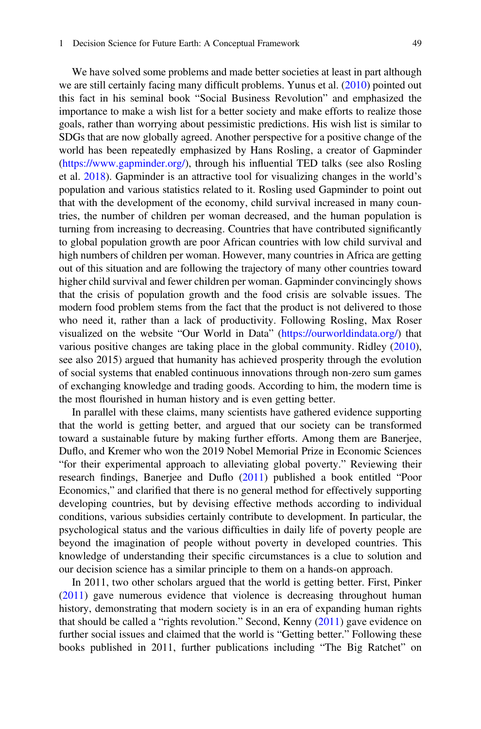We have solved some problems and made better societies at least in part although we are still certainly facing many difficult problems. Yunus et al. [\(2010](#page-61-17)) pointed out this fact in his seminal book "Social Business Revolution" and emphasized the importance to make a wish list for a better society and make efforts to realize those goals, rather than worrying about pessimistic predictions. His wish list is similar to SDGs that are now globally agreed. Another perspective for a positive change of the world has been repeatedly emphasized by Hans Rosling, a creator of Gapminder [\(https://www.gapminder.org/](https://www.gapminder.org/)), through his influential TED talks (see also Rosling et al. [2018\)](#page-58-24). Gapminder is an attractive tool for visualizing changes in the world's population and various statistics related to it. Rosling used Gapminder to point out that with the development of the economy, child survival increased in many countries, the number of children per woman decreased, and the human population is turning from increasing to decreasing. Countries that have contributed significantly to global population growth are poor African countries with low child survival and high numbers of children per woman. However, many countries in Africa are getting out of this situation and are following the trajectory of many other countries toward higher child survival and fewer children per woman. Gapminder convincingly shows that the crisis of population growth and the food crisis are solvable issues. The modern food problem stems from the fact that the product is not delivered to those who need it, rather than a lack of productivity. Following Rosling, Max Roser visualized on the website "Our World in Data" [\(https://ourworldindata.org/](https://ourworldindata.org/)) that various positive changes are taking place in the global community. Ridley ([2010\)](#page-58-25), see also 2015) argued that humanity has achieved prosperity through the evolution of social systems that enabled continuous innovations through non-zero sum games of exchanging knowledge and trading goods. According to him, the modern time is the most flourished in human history and is even getting better.

In parallel with these claims, many scientists have gathered evidence supporting that the world is getting better, and argued that our society can be transformed toward a sustainable future by making further efforts. Among them are Banerjee, Duflo, and Kremer who won the 2019 Nobel Memorial Prize in Economic Sciences "for their experimental approach to alleviating global poverty." Reviewing their research findings, Banerjee and Duflo ([2011\)](#page-50-2) published a book entitled "Poor Economics," and clarified that there is no general method for effectively supporting developing countries, but by devising effective methods according to individual conditions, various subsidies certainly contribute to development. In particular, the psychological status and the various difficulties in daily life of poverty people are beyond the imagination of people without poverty in developed countries. This knowledge of understanding their specific circumstances is a clue to solution and our decision science has a similar principle to them on a hands-on approach.

In 2011, two other scholars argued that the world is getting better. First, Pinker [\(2011](#page-58-2)) gave numerous evidence that violence is decreasing throughout human history, demonstrating that modern society is in an era of expanding human rights that should be called a "rights revolution." Second, Kenny ([2011\)](#page-55-22) gave evidence on further social issues and claimed that the world is "Getting better." Following these books published in 2011, further publications including "The Big Ratchet" on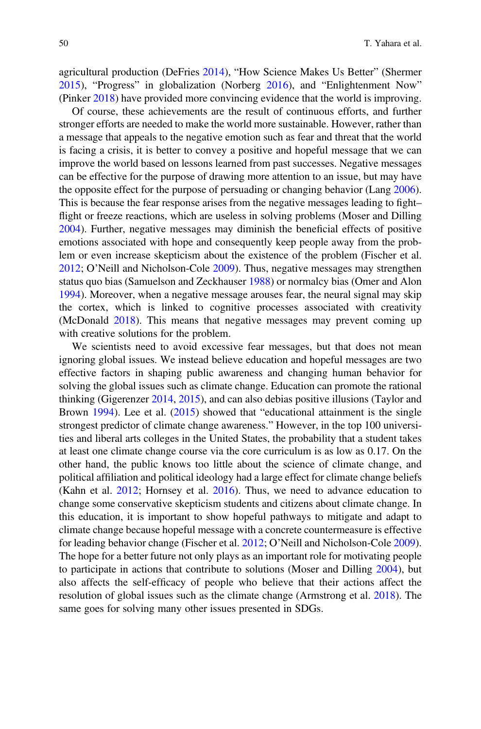agricultural production (DeFries [2014](#page-52-25)), "How Science Makes Us Better" (Shermer [2015\)](#page-59-26), "Progress" in globalization (Norberg [2016\)](#page-57-20), and "Enlightenment Now" (Pinker [2018](#page-58-8)) have provided more convincing evidence that the world is improving.

Of course, these achievements are the result of continuous efforts, and further stronger efforts are needed to make the world more sustainable. However, rather than a message that appeals to the negative emotion such as fear and threat that the world is facing a crisis, it is better to convey a positive and hopeful message that we can improve the world based on lessons learned from past successes. Negative messages can be effective for the purpose of drawing more attention to an issue, but may have the opposite effect for the purpose of persuading or changing behavior (Lang [2006\)](#page-55-23). This is because the fear response arises from the negative messages leading to fight– flight or freeze reactions, which are useless in solving problems (Moser and Dilling [2004\)](#page-57-21). Further, negative messages may diminish the beneficial effects of positive emotions associated with hope and consequently keep people away from the problem or even increase skepticism about the existence of the problem (Fischer et al. [2012;](#page-52-26) O'Neill and Nicholson-Cole [2009\)](#page-57-22). Thus, negative messages may strengthen status quo bias (Samuelson and Zeckhauser [1988](#page-58-12)) or normalcy bias (Omer and Alon [1994\)](#page-57-8). Moreover, when a negative message arouses fear, the neural signal may skip the cortex, which is linked to cognitive processes associated with creativity (McDonald [2018](#page-56-22)). This means that negative messages may prevent coming up with creative solutions for the problem.

We scientists need to avoid excessive fear messages, but that does not mean ignoring global issues. We instead believe education and hopeful messages are two effective factors in shaping public awareness and changing human behavior for solving the global issues such as climate change. Education can promote the rational thinking (Gigerenzer [2014,](#page-53-21) [2015](#page-53-27)), and can also debias positive illusions (Taylor and Brown [1994](#page-60-7)). Lee et al. ([2015\)](#page-55-24) showed that "educational attainment is the single strongest predictor of climate change awareness." However, in the top 100 universities and liberal arts colleges in the United States, the probability that a student takes at least one climate change course via the core curriculum is as low as 0.17. On the other hand, the public knows too little about the science of climate change, and political affiliation and political ideology had a large effect for climate change beliefs (Kahn et al. [2012;](#page-54-22) Hornsey et al. [2016](#page-54-23)). Thus, we need to advance education to change some conservative skepticism students and citizens about climate change. In this education, it is important to show hopeful pathways to mitigate and adapt to climate change because hopeful message with a concrete countermeasure is effective for leading behavior change (Fischer et al. [2012](#page-52-26); O'Neill and Nicholson-Cole [2009\)](#page-57-22). The hope for a better future not only plays as an important role for motivating people to participate in actions that contribute to solutions (Moser and Dilling [2004\)](#page-57-21), but also affects the self-efficacy of people who believe that their actions affect the resolution of global issues such as the climate change (Armstrong et al. [2018\)](#page-50-18). The same goes for solving many other issues presented in SDGs.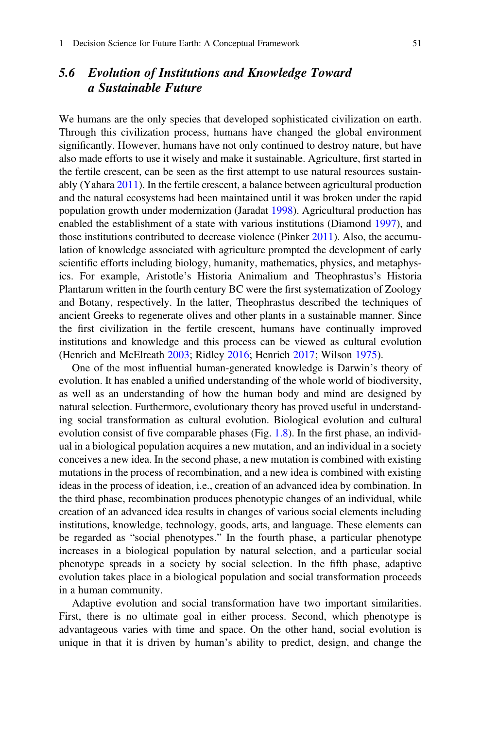# 5.6 Evolution of Institutions and Knowledge Toward a Sustainable Future

We humans are the only species that developed sophisticated civilization on earth. Through this civilization process, humans have changed the global environment significantly. However, humans have not only continued to destroy nature, but have also made efforts to use it wisely and make it sustainable. Agriculture, first started in the fertile crescent, can be seen as the first attempt to use natural resources sustainably (Yahara [2011\)](#page-61-18). In the fertile crescent, a balance between agricultural production and the natural ecosystems had been maintained until it was broken under the rapid population growth under modernization (Jaradat [1998\)](#page-54-24). Agricultural production has enabled the establishment of a state with various institutions (Diamond [1997](#page-52-27)), and those institutions contributed to decrease violence (Pinker [2011](#page-58-2)). Also, the accumulation of knowledge associated with agriculture prompted the development of early scientific efforts including biology, humanity, mathematics, physics, and metaphysics. For example, Aristotle's Historia Animalium and Theophrastus's Historia Plantarum written in the fourth century BC were the first systematization of Zoology and Botany, respectively. In the latter, Theophrastus described the techniques of ancient Greeks to regenerate olives and other plants in a sustainable manner. Since the first civilization in the fertile crescent, humans have continually improved institutions and knowledge and this process can be viewed as cultural evolution (Henrich and McElreath [2003](#page-54-20); Ridley [2016;](#page-58-7) Henrich [2017;](#page-54-4) Wilson [1975\)](#page-61-1).

One of the most influential human-generated knowledge is Darwin's theory of evolution. It has enabled a unified understanding of the whole world of biodiversity, as well as an understanding of how the human body and mind are designed by natural selection. Furthermore, evolutionary theory has proved useful in understanding social transformation as cultural evolution. Biological evolution and cultural evolution consist of five comparable phases (Fig. [1.8](#page-49-0)). In the first phase, an individual in a biological population acquires a new mutation, and an individual in a society conceives a new idea. In the second phase, a new mutation is combined with existing mutations in the process of recombination, and a new idea is combined with existing ideas in the process of ideation, i.e., creation of an advanced idea by combination. In the third phase, recombination produces phenotypic changes of an individual, while creation of an advanced idea results in changes of various social elements including institutions, knowledge, technology, goods, arts, and language. These elements can be regarded as "social phenotypes." In the fourth phase, a particular phenotype increases in a biological population by natural selection, and a particular social phenotype spreads in a society by social selection. In the fifth phase, adaptive evolution takes place in a biological population and social transformation proceeds in a human community.

Adaptive evolution and social transformation have two important similarities. First, there is no ultimate goal in either process. Second, which phenotype is advantageous varies with time and space. On the other hand, social evolution is unique in that it is driven by human's ability to predict, design, and change the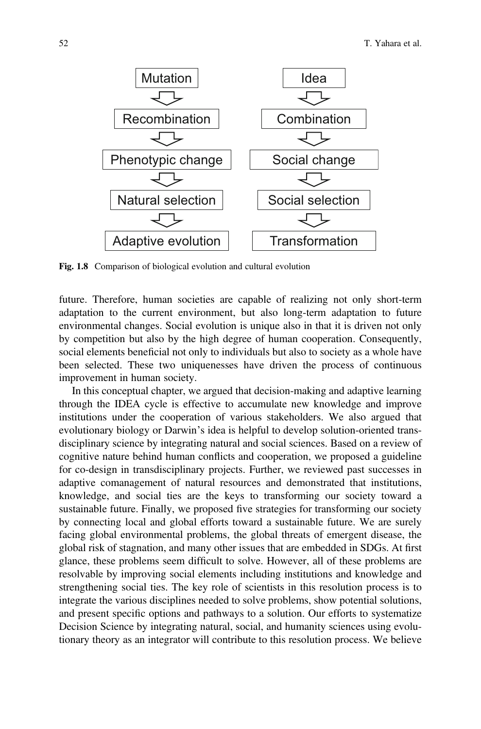<span id="page-49-0"></span>

Fig. 1.8 Comparison of biological evolution and cultural evolution

future. Therefore, human societies are capable of realizing not only short-term adaptation to the current environment, but also long-term adaptation to future environmental changes. Social evolution is unique also in that it is driven not only by competition but also by the high degree of human cooperation. Consequently, social elements beneficial not only to individuals but also to society as a whole have been selected. These two uniquenesses have driven the process of continuous improvement in human society.

In this conceptual chapter, we argued that decision-making and adaptive learning through the IDEA cycle is effective to accumulate new knowledge and improve institutions under the cooperation of various stakeholders. We also argued that evolutionary biology or Darwin's idea is helpful to develop solution-oriented transdisciplinary science by integrating natural and social sciences. Based on a review of cognitive nature behind human conflicts and cooperation, we proposed a guideline for co-design in transdisciplinary projects. Further, we reviewed past successes in adaptive comanagement of natural resources and demonstrated that institutions, knowledge, and social ties are the keys to transforming our society toward a sustainable future. Finally, we proposed five strategies for transforming our society by connecting local and global efforts toward a sustainable future. We are surely facing global environmental problems, the global threats of emergent disease, the global risk of stagnation, and many other issues that are embedded in SDGs. At first glance, these problems seem difficult to solve. However, all of these problems are resolvable by improving social elements including institutions and knowledge and strengthening social ties. The key role of scientists in this resolution process is to integrate the various disciplines needed to solve problems, show potential solutions, and present specific options and pathways to a solution. Our efforts to systematize Decision Science by integrating natural, social, and humanity sciences using evolutionary theory as an integrator will contribute to this resolution process. We believe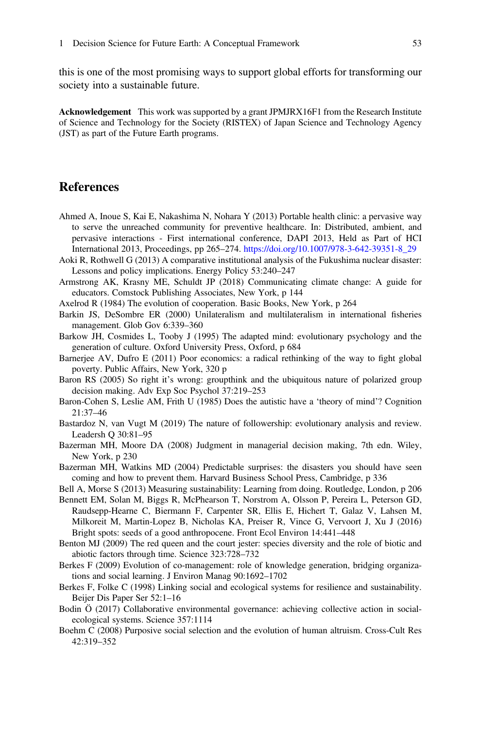this is one of the most promising ways to support global efforts for transforming our society into a sustainable future.

Acknowledgement This work was supported by a grant JPMJRX16F1 from the Research Institute of Science and Technology for the Society (RISTEX) of Japan Science and Technology Agency (JST) as part of the Future Earth programs.

### **References**

- <span id="page-50-14"></span>Ahmed A, Inoue S, Kai E, Nakashima N, Nohara Y (2013) Portable health clinic: a pervasive way to serve the unreached community for preventive healthcare. In: Distributed, ambient, and pervasive interactions - First international conference, DAPI 2013, Held as Part of HCI International 2013, Proceedings, pp 265–274. [https://doi.org/10.1007/978-3-642-39351-8\\_29](https://doi.org/10.1007/978-3-642-39351-8_29)
- <span id="page-50-6"></span>Aoki R, Rothwell G (2013) A comparative institutional analysis of the Fukushima nuclear disaster: Lessons and policy implications. Energy Policy 53:240–247
- <span id="page-50-18"></span>Armstrong AK, Krasny ME, Schuldt JP (2018) Communicating climate change: A guide for educators. Comstock Publishing Associates, New York, p 144
- <span id="page-50-15"></span><span id="page-50-0"></span>Axelrod R (1984) The evolution of cooperation. Basic Books, New York, p 264
- Barkin JS, DeSombre ER (2000) Unilateralism and multilateralism in international fisheries management. Glob Gov 6:339–360
- <span id="page-50-4"></span><span id="page-50-2"></span>Barkow JH, Cosmides L, Tooby J (1995) The adapted mind: evolutionary psychology and the generation of culture. Oxford University Press, Oxford, p 684
- Barnerjee AV, Dufro E (2011) Poor economics: a radical rethinking of the way to fight global poverty. Public Affairs, New York, 320 p
- <span id="page-50-16"></span><span id="page-50-7"></span>Baron RS (2005) So right it's wrong: groupthink and the ubiquitous nature of polarized group decision making. Adv Exp Soc Psychol 37:219–253
- Baron-Cohen S, Leslie AM, Frith U (1985) Does the autistic have a 'theory of mind'? Cognition 21:37–46
- <span id="page-50-13"></span><span id="page-50-9"></span>Bastardoz N, van Vugt M (2019) The nature of followership: evolutionary analysis and review. Leadersh Q 30:81–95
- <span id="page-50-8"></span>Bazerman MH, Moore DA (2008) Judgment in managerial decision making, 7th edn. Wiley, New York, p 230
- Bazerman MH, Watkins MD (2004) Predictable surprises: the disasters you should have seen coming and how to prevent them. Harvard Business School Press, Cambridge, p 336
- <span id="page-50-10"></span><span id="page-50-1"></span>Bell A, Morse S (2013) Measuring sustainability: Learning from doing. Routledge, London, p 206
- Bennett EM, Solan M, Biggs R, McPhearson T, Norstrom A, Olsson P, Pereira L, Peterson GD, Raudsepp-Hearne C, Biermann F, Carpenter SR, Ellis E, Hichert T, Galaz V, Lahsen M, Milkoreit M, Martin-Lopez B, Nicholas KA, Preiser R, Vince G, Vervoort J, Xu J (2016) Bright spots: seeds of a good anthropocene. Front Ecol Environ 14:441–448
- <span id="page-50-17"></span><span id="page-50-11"></span>Benton MJ (2009) The red queen and the court jester: species diversity and the role of biotic and abiotic factors through time. Science 323:728–732
- Berkes F (2009) Evolution of co-management: role of knowledge generation, bridging organizations and social learning. J Environ Manag 90:1692–1702
- <span id="page-50-12"></span><span id="page-50-3"></span>Berkes F, Folke C (1998) Linking social and ecological systems for resilience and sustainability. Beijer Dis Paper Ser 52:1–16
- <span id="page-50-5"></span>Bodin Ö (2017) Collaborative environmental governance: achieving collective action in socialecological systems. Science 357:1114
- Boehm C (2008) Purposive social selection and the evolution of human altruism. Cross-Cult Res 42:319–352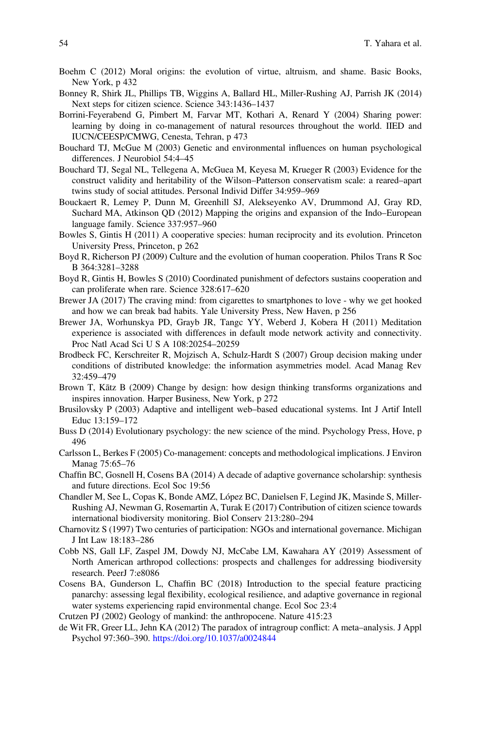- <span id="page-51-9"></span>Boehm C (2012) Moral origins: the evolution of virtue, altruism, and shame. Basic Books, New York, p 432
- <span id="page-51-18"></span>Bonney R, Shirk JL, Phillips TB, Wiggins A, Ballard HL, Miller-Rushing AJ, Parrish JK (2014) Next steps for citizen science. Science 343:1436–1437
- <span id="page-51-2"></span>Borrini-Feyerabend G, Pimbert M, Farvar MT, Kothari A, Renard Y (2004) Sharing power: learning by doing in co-management of natural resources throughout the world. IIED and IUCN/CEESP/CMWG, Cenesta, Tehran, p 473
- <span id="page-51-6"></span>Bouchard TJ, McGue M (2003) Genetic and environmental influences on human psychological differences. J Neurobiol 54:4–45
- <span id="page-51-5"></span>Bouchard TJ, Segal NL, Tellegena A, McGuea M, Keyesa M, Krueger R (2003) Evidence for the construct validity and heritability of the Wilson–Patterson conservatism scale: a reared–apart twins study of social attitudes. Personal Individ Differ 34:959–969
- <span id="page-51-17"></span>Bouckaert R, Lemey P, Dunn M, Greenhill SJ, Alekseyenko AV, Drummond AJ, Gray RD, Suchard MA, Atkinson QD (2012) Mapping the origins and expansion of the Indo–European language family. Science 337:957–960
- <span id="page-51-7"></span>Bowles S, Gintis H (2011) A cooperative species: human reciprocity and its evolution. Princeton University Press, Princeton, p 262
- <span id="page-51-22"></span>Boyd R, Richerson PJ (2009) Culture and the evolution of human cooperation. Philos Trans R Soc B 364:3281–3288
- <span id="page-51-8"></span>Boyd R, Gintis H, Bowles S (2010) Coordinated punishment of defectors sustains cooperation and can proliferate when rare. Science 328:617–620
- <span id="page-51-11"></span>Brewer JA (2017) The craving mind: from cigarettes to smartphones to love - why we get hooked and how we can break bad habits. Yale University Press, New Haven, p 256
- <span id="page-51-10"></span>Brewer JA, Worhunskya PD, Grayb JR, Tangc YY, Weberd J, Kobera H (2011) Meditation experience is associated with differences in default mode network activity and connectivity. Proc Natl Acad Sci U S A 108:20254–20259
- <span id="page-51-12"></span>Brodbeck FC, Kerschreiter R, Mojzisch A, Schulz-Hardt S (2007) Group decision making under conditions of distributed knowledge: the information asymmetries model. Acad Manag Rev 32:459–479
- <span id="page-51-1"></span>Brown T, Kātz B (2009) Change by design: how design thinking transforms organizations and inspires innovation. Harper Business, New York, p 272
- <span id="page-51-3"></span>Brusilovsky P (2003) Adaptive and intelligent web–based educational systems. Int J Artif Intell Educ 13:159–172
- <span id="page-51-4"></span>Buss D (2014) Evolutionary psychology: the new science of the mind. Psychology Press, Hove, p 496
- <span id="page-51-15"></span>Carlsson L, Berkes F (2005) Co-management: concepts and methodological implications. J Environ Manag 75:65–76
- <span id="page-51-16"></span>Chaffin BC, Gosnell H, Cosens BA (2014) A decade of adaptive governance scholarship: synthesis and future directions. Ecol Soc 19:56
- <span id="page-51-19"></span>Chandler M, See L, Copas K, Bonde AMZ, López BC, Danielsen F, Legind JK, Masinde S, Miller-Rushing AJ, Newman G, Rosemartin A, Turak E (2017) Contribution of citizen science towards international biodiversity monitoring. Biol Conserv 213:280–294
- <span id="page-51-21"></span>Charnovitz S (1997) Two centuries of participation: NGOs and international governance. Michigan J Int Law 18:183–286
- <span id="page-51-20"></span>Cobb NS, Gall LF, Zaspel JM, Dowdy NJ, McCabe LM, Kawahara AY (2019) Assessment of North American arthropod collections: prospects and challenges for addressing biodiversity research. PeerJ 7:e8086
- <span id="page-51-14"></span>Cosens BA, Gunderson L, Chaffin BC (2018) Introduction to the special feature practicing panarchy: assessing legal flexibility, ecological resilience, and adaptive governance in regional water systems experiencing rapid environmental change. Ecol Soc 23:4
- <span id="page-51-0"></span>Crutzen PJ (2002) Geology of mankind: the anthropocene. Nature 415:23
- <span id="page-51-13"></span>de Wit FR, Greer LL, Jehn KA (2012) The paradox of intragroup conflict: A meta–analysis. J Appl Psychol 97:360–390. <https://doi.org/10.1037/a0024844>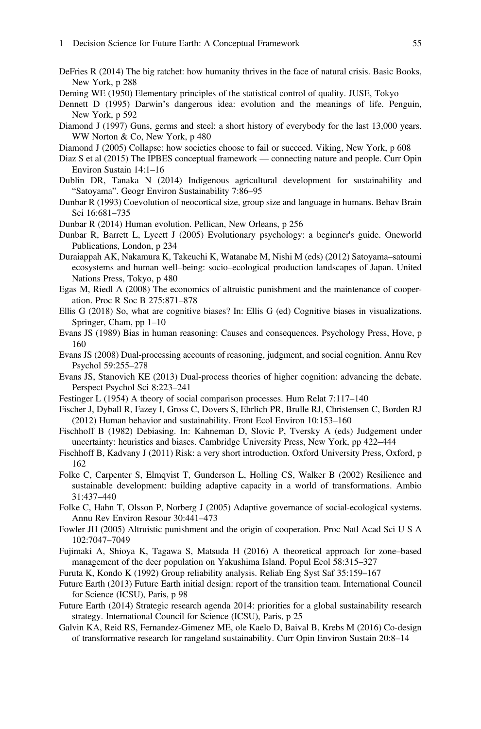- <span id="page-52-25"></span>DeFries R (2014) The big ratchet: how humanity thrives in the face of natural crisis. Basic Books, New York, p 288
- <span id="page-52-7"></span><span id="page-52-5"></span>Deming WE (1950) Elementary principles of the statistical control of quality. JUSE, Tokyo
- Dennett D (1995) Darwin's dangerous idea: evolution and the meanings of life. Penguin, New York, p 592
- <span id="page-52-27"></span>Diamond J (1997) Guns, germs and steel: a short history of everybody for the last 13,000 years. WW Norton & Co, New York, p 480
- <span id="page-52-0"></span>Diamond J (2005) Collapse: how societies choose to fail or succeed. Viking, New York, p 608
- <span id="page-52-23"></span>Diaz S et al (2015) The IPBES conceptual framework — connecting nature and people. Curr Opin Environ Sustain 14:1–16
- <span id="page-52-19"></span>Dublin DR, Tanaka N (2014) Indigenous agricultural development for sustainability and "Satoyama". Geogr Environ Sustainability 7:86–95
- <span id="page-52-4"></span>Dunbar R (1993) Coevolution of neocortical size, group size and language in humans. Behav Brain Sci 16:681–735
- <span id="page-52-9"></span><span id="page-52-8"></span>Dunbar R (2014) Human evolution. Pellican, New Orleans, p 256
- Dunbar R, Barrett L, Lycett J (2005) Evolutionary psychology: a beginner's guide. Oneworld Publications, London, p 234
- <span id="page-52-21"></span>Duraiappah AK, Nakamura K, Takeuchi K, Watanabe M, Nishi M (eds) (2012) Satoyama–satoumi ecosystems and human well–being: socio–ecological production landscapes of Japan. United Nations Press, Tokyo, p 480
- <span id="page-52-11"></span>Egas M, Riedl A (2008) The economics of altruistic punishment and the maintenance of cooperation. Proc R Soc B 275:871–878
- <span id="page-52-16"></span>Ellis G (2018) So, what are cognitive biases? In: Ellis G (ed) Cognitive biases in visualizations. Springer, Cham, pp 1–10
- <span id="page-52-12"></span>Evans JS (1989) Bias in human reasoning: Causes and consequences. Psychology Press, Hove, p 160
- <span id="page-52-13"></span>Evans JS (2008) Dual-processing accounts of reasoning, judgment, and social cognition. Annu Rev Psychol 59:255–278
- <span id="page-52-14"></span>Evans JS, Stanovich KE (2013) Dual-process theories of higher cognition: advancing the debate. Perspect Psychol Sci 8:223–241
- <span id="page-52-17"></span>Festinger L (1954) A theory of social comparison processes. Hum Relat 7:117–140
- <span id="page-52-26"></span>Fischer J, Dyball R, Fazey I, Gross C, Dovers S, Ehrlich PR, Brulle RJ, Christensen C, Borden RJ (2012) Human behavior and sustainability. Front Ecol Environ 10:153–160
- <span id="page-52-18"></span>Fischhoff B (1982) Debiasing. In: Kahneman D, Slovic P, Tversky A (eds) Judgement under uncertainty: heuristics and biases. Cambridge University Press, New York, pp 422–444
- <span id="page-52-3"></span>Fischhoff B, Kadvany J (2011) Risk: a very short introduction. Oxford University Press, Oxford, p 162
- <span id="page-52-22"></span>Folke C, Carpenter S, Elmqvist T, Gunderson L, Holling CS, Walker B (2002) Resilience and sustainable development: building adaptive capacity in a world of transformations. Ambio 31:437–440
- <span id="page-52-6"></span>Folke C, Hahn T, Olsson P, Norberg J (2005) Adaptive governance of social-ecological systems. Annu Rev Environ Resour 30:441–473
- <span id="page-52-10"></span>Fowler JH (2005) Altruistic punishment and the origin of cooperation. Proc Natl Acad Sci U S A 102:7047–7049
- <span id="page-52-24"></span>Fujimaki A, Shioya K, Tagawa S, Matsuda H (2016) A theoretical approach for zone–based management of the deer population on Yakushima Island. Popul Ecol 58:315–327
- <span id="page-52-15"></span>Furuta K, Kondo K (1992) Group reliability analysis. Reliab Eng Syst Saf 35:159–167
- <span id="page-52-1"></span>Future Earth (2013) Future Earth initial design: report of the transition team. International Council for Science (ICSU), Paris, p 98
- <span id="page-52-2"></span>Future Earth (2014) Strategic research agenda 2014: priorities for a global sustainability research strategy. International Council for Science (ICSU), Paris, p 25
- <span id="page-52-20"></span>Galvin KA, Reid RS, Fernandez-Gimenez ME, ole Kaelo D, Baival B, Krebs M (2016) Co-design of transformative research for rangeland sustainability. Curr Opin Environ Sustain 20:8–14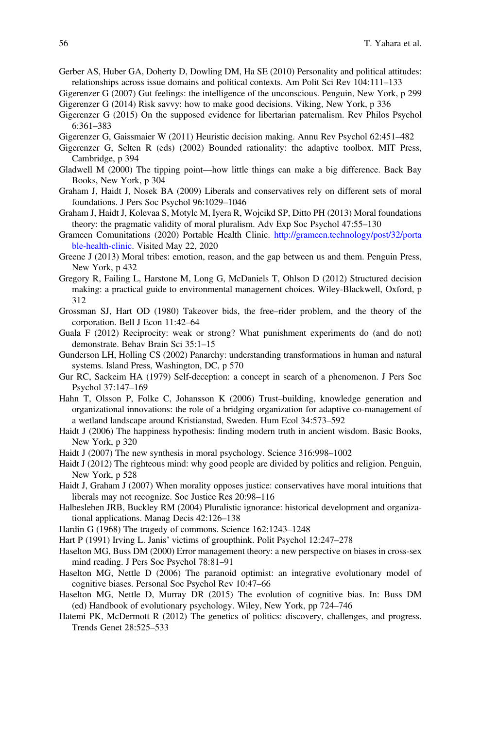<span id="page-53-7"></span>Gerber AS, Huber GA, Doherty D, Dowling DM, Ha SE (2010) Personality and political attitudes: relationships across issue domains and political contexts. Am Polit Sci Rev 104:111–133

<span id="page-53-21"></span>Gigerenzer G (2014) Risk savvy: how to make good decisions. Viking, New York, p 336

- <span id="page-53-27"></span>Gigerenzer G (2015) On the supposed evidence for libertarian paternalism. Rev Philos Psychol 6:361–383
- <span id="page-53-17"></span>Gigerenzer G, Gaissmaier W (2011) Heuristic decision making. Annu Rev Psychol 62:451–482
- <span id="page-53-26"></span>Gigerenzer G, Selten R (eds) (2002) Bounded rationality: the adaptive toolbox. MIT Press, Cambridge, p 394
- <span id="page-53-24"></span>Gladwell M (2000) The tipping point—how little things can make a big difference. Back Bay Books, New York, p 304
- <span id="page-53-11"></span>Graham J, Haidt J, Nosek BA (2009) Liberals and conservatives rely on different sets of moral foundations. J Pers Soc Psychol 96:1029–1046
- <span id="page-53-9"></span>Graham J, Haidt J, Kolevaa S, Motylc M, Iyera R, Wojcikd SP, Ditto PH (2013) Moral foundations theory: the pragmatic validity of moral pluralism. Adv Exp Soc Psychol 47:55–130
- <span id="page-53-25"></span>Grameen Comunitations (2020) Portable Health Clinic. [http://grameen.technology/post/32/porta](http://grameen.technology/post/32/portable-health-clinic) [ble-health-clinic.](http://grameen.technology/post/32/portable-health-clinic) Visited May 22, 2020
- <span id="page-53-1"></span>Greene J (2013) Moral tribes: emotion, reason, and the gap between us and them. Penguin Press, New York, p 432
- <span id="page-53-5"></span>Gregory R, Failing L, Harstone M, Long G, McDaniels T, Ohlson D (2012) Structured decision making: a practical guide to environmental management choices. Wiley-Blackwell, Oxford, p 312
- <span id="page-53-3"></span>Grossman SJ, Hart OD (1980) Takeover bids, the free–rider problem, and the theory of the corporation. Bell J Econ 11:42–64
- <span id="page-53-12"></span>Guala F (2012) Reciprocity: weak or strong? What punishment experiments do (and do not) demonstrate. Behav Brain Sci 35:1–15
- <span id="page-53-4"></span>Gunderson LH, Holling CS (2002) Panarchy: understanding transformations in human and natural systems. Island Press, Washington, DC, p 570
- <span id="page-53-20"></span>Gur RC, Sackeim HA (1979) Self-deception: a concept in search of a phenomenon. J Pers Soc Psychol 37:147–169
- <span id="page-53-23"></span>Hahn T, Olsson P, Folke C, Johansson K (2006) Trust–building, knowledge generation and organizational innovations: the role of a bridging organization for adaptive co-management of a wetland landscape around Kristianstad, Sweden. Hum Ecol 34:573–592
- <span id="page-53-22"></span>Haidt J (2006) The happiness hypothesis: finding modern truth in ancient wisdom. Basic Books, New York, p 320
- <span id="page-53-6"></span>Haidt J (2007) The new synthesis in moral psychology. Science 316:998–1002
- <span id="page-53-0"></span>Haidt J (2012) The righteous mind: why good people are divided by politics and religion. Penguin, New York, p 528
- <span id="page-53-10"></span>Haidt J, Graham J (2007) When morality opposes justice: conservatives have moral intuitions that liberals may not recognize. Soc Justice Res 20:98–116
- <span id="page-53-14"></span>Halbesleben JRB, Buckley RM (2004) Pluralistic ignorance: historical development and organizational applications. Manag Decis 42:126–138
- <span id="page-53-2"></span>Hardin G (1968) The tragedy of commons. Science 162:1243–1248
- <span id="page-53-13"></span>Hart P (1991) Irving L. Janis' victims of groupthink. Polit Psychol 12:247–278
- <span id="page-53-18"></span>Haselton MG, Buss DM (2000) Error management theory: a new perspective on biases in cross-sex mind reading. J Pers Soc Psychol 78:81–91
- <span id="page-53-19"></span>Haselton MG, Nettle D (2006) The paranoid optimist: an integrative evolutionary model of cognitive biases. Personal Soc Psychol Rev 10:47–66
- <span id="page-53-15"></span>Haselton MG, Nettle D, Murray DR (2015) The evolution of cognitive bias. In: Buss DM (ed) Handbook of evolutionary psychology. Wiley, New York, pp 724–746
- <span id="page-53-8"></span>Hatemi PK, McDermott R (2012) The genetics of politics: discovery, challenges, and progress. Trends Genet 28:525–533

<span id="page-53-16"></span>Gigerenzer G (2007) Gut feelings: the intelligence of the unconscious. Penguin, New York, p 299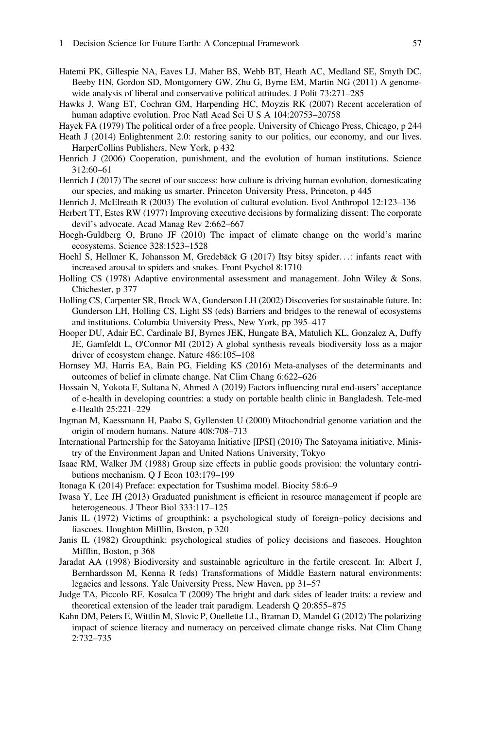- <span id="page-54-8"></span>Hatemi PK, Gillespie NA, Eaves LJ, Maher BS, Webb BT, Heath AC, Medland SE, Smyth DC, Beeby HN, Gordon SD, Montgomery GW, Zhu G, Byrne EM, Martin NG (2011) A genomewide analysis of liberal and conservative political attitudes. J Polit 73:271–285
- <span id="page-54-1"></span>Hawks J, Wang ET, Cochran GM, Harpending HC, Moyzis RK (2007) Recent acceleration of human adaptive evolution. Proc Natl Acad Sci U S A 104:20753–20758
- <span id="page-54-21"></span>Hayek FA (1979) The political order of a free people. University of Chicago Press, Chicago, p 244
- <span id="page-54-7"></span>Heath J (2014) Enlightenment 2.0: restoring sanity to our politics, our economy, and our lives. HarperCollins Publishers, New York, p 432
- <span id="page-54-9"></span>Henrich J (2006) Cooperation, punishment, and the evolution of human institutions. Science 312:60–61
- <span id="page-54-4"></span>Henrich J (2017) The secret of our success: how culture is driving human evolution, domesticating our species, and making us smarter. Princeton University Press, Princeton, p 445
- <span id="page-54-20"></span>Henrich J, McElreath R (2003) The evolution of cultural evolution. Evol Anthropol 12:123–136
- <span id="page-54-14"></span>Herbert TT, Estes RW (1977) Improving executive decisions by formalizing dissent: The corporate devil's advocate. Acad Manag Rev 2:662–667
- <span id="page-54-2"></span>Hoegh-Guldberg O, Bruno JF (2010) The impact of climate change on the world's marine ecosystems. Science 328:1523–1528
- <span id="page-54-13"></span>Hoehl S, Hellmer K, Johansson M, Gredebäck G (2017) Itsy bitsy spider...: infants react with increased arousal to spiders and snakes. Front Psychol 8:1710
- <span id="page-54-5"></span>Holling CS (1978) Adaptive environmental assessment and management. John Wiley & Sons, Chichester, p 377
- <span id="page-54-6"></span>Holling CS, Carpenter SR, Brock WA, Gunderson LH (2002) Discoveries for sustainable future. In: Gunderson LH, Holling CS, Light SS (eds) Barriers and bridges to the renewal of ecosystems and institutions. Columbia University Press, New York, pp 395–417
- <span id="page-54-3"></span>Hooper DU, Adair EC, Cardinale BJ, Byrnes JEK, Hungate BA, Matulich KL, Gonzalez A, Duffy JE, Gamfeldt L, O'Connor MI (2012) A global synthesis reveals biodiversity loss as a major driver of ecosystem change. Nature 486:105–108
- <span id="page-54-23"></span>Hornsey MJ, Harris EA, Bain PG, Fielding KS (2016) Meta-analyses of the determinants and outcomes of belief in climate change. Nat Clim Chang 6:622–626
- <span id="page-54-19"></span>Hossain N, Yokota F, Sultana N, Ahmed A (2019) Factors influencing rural end-users' acceptance of e-health in developing countries: a study on portable health clinic in Bangladesh. Tele-med e-Health 25:221–229
- <span id="page-54-0"></span>Ingman M, Kaessmann H, Paabo S, Gyllensten U (2000) Mitochondrial genome variation and the origin of modern humans. Nature 408:708–713
- <span id="page-54-15"></span>International Partnership for the Satoyama Initiative [IPSI] (2010) The Satoyama initiative. Ministry of the Environment Japan and United Nations University, Tokyo
- <span id="page-54-17"></span>Isaac RM, Walker JM (1988) Group size effects in public goods provision: the voluntary contributions mechanism. Q J Econ 103:179–199
- <span id="page-54-18"></span>Itonaga K (2014) Preface: expectation for Tsushima model. Biocity 58:6–9
- <span id="page-54-10"></span>Iwasa Y, Lee JH (2013) Graduated punishment is efficient in resource management if people are heterogeneous. J Theor Biol 333:117–125
- <span id="page-54-11"></span>Janis IL (1972) Victims of groupthink: a psychological study of foreign–policy decisions and fiascoes. Houghton Mifflin, Boston, p 320
- <span id="page-54-12"></span>Janis IL (1982) Groupthink: psychological studies of policy decisions and fiascoes. Houghton Mifflin, Boston, p 368
- <span id="page-54-24"></span>Jaradat AA (1998) Biodiversity and sustainable agriculture in the fertile crescent. In: Albert J, Bernhardsson M, Kenna R (eds) Transformations of Middle Eastern natural environments: legacies and lessons. Yale University Press, New Haven, pp 31–57
- <span id="page-54-16"></span>Judge TA, Piccolo RF, Kosalca T (2009) The bright and dark sides of leader traits: a review and theoretical extension of the leader trait paradigm. Leadersh Q 20:855–875
- <span id="page-54-22"></span>Kahn DM, Peters E, Wittlin M, Slovic P, Ouellette LL, Braman D, Mandel G (2012) The polarizing impact of science literacy and numeracy on perceived climate change risks. Nat Clim Chang 2:732–735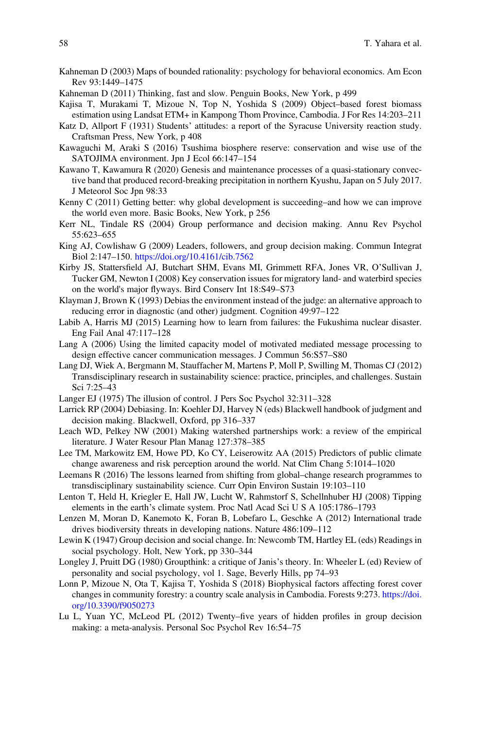- <span id="page-55-3"></span>Kahneman D (2003) Maps of bounded rationality: psychology for behavioral economics. Am Econ Rev 93:1449–1475
- <span id="page-55-1"></span>Kahneman D (2011) Thinking, fast and slow. Penguin Books, New York, p 499
- <span id="page-55-19"></span>Kajisa T, Murakami T, Mizoue N, Top N, Yoshida S (2009) Object–based forest biomass estimation using Landsat ETM+ in Kampong Thom Province, Cambodia. J For Res 14:203–211
- <span id="page-55-8"></span>Katz D, Allport F (1931) Students' attitudes: a report of the Syracuse University reaction study. Craftsman Press, New York, p 408
- <span id="page-55-16"></span>Kawaguchi M, Araki S (2016) Tsushima biosphere reserve: conservation and wise use of the SATOJIMA environment. Jpn J Ecol 66:147–154
- <span id="page-55-17"></span>Kawano T, Kawamura R (2020) Genesis and maintenance processes of a quasi-stationary convective band that produced record-breaking precipitation in northern Kyushu, Japan on 5 July 2017. J Meteorol Soc Jpn 98:33
- <span id="page-55-22"></span>Kenny C (2011) Getting better: why global development is succeeding–and how we can improve the world even more. Basic Books, New York, p 256
- <span id="page-55-4"></span>Kerr NL, Tindale RS (2004) Group performance and decision making. Annu Rev Psychol 55:623–655
- <span id="page-55-15"></span>King AJ, Cowlishaw G (2009) Leaders, followers, and group decision making. Commun Integrat Biol 2:147–150. <https://doi.org/10.4161/cib.7562>
- <span id="page-55-21"></span>Kirby JS, Stattersfield AJ, Butchart SHM, Evans MI, Grimmett RFA, Jones VR, O'Sullivan J, Tucker GM, Newton I (2008) Key conservation issues for migratory land- and waterbird species on the world's major flyways. Bird Conserv Int 18:S49–S73
- <span id="page-55-12"></span>Klayman J, Brown K (1993) Debias the environment instead of the judge: an alternative approach to reducing error in diagnostic (and other) judgment. Cognition 49:97–122
- <span id="page-55-5"></span>Labib A, Harris MJ (2015) Learning how to learn from failures: the Fukushima nuclear disaster. Eng Fail Anal 47:117–128
- <span id="page-55-23"></span>Lang A (2006) Using the limited capacity model of motivated mediated message processing to design effective cancer communication messages. J Commun 56:S57–S80
- <span id="page-55-2"></span>Lang DJ, Wiek A, Bergmann M, Stauffacher M, Martens P, Moll P, Swilling M, Thomas CJ (2012) Transdisciplinary research in sustainability science: practice, principles, and challenges. Sustain Sci 7:25–43
- <span id="page-55-9"></span>Langer EJ (1975) The illusion of control. J Pers Soc Psychol 32:311–328
- <span id="page-55-10"></span>Larrick RP (2004) Debiasing. In: Koehler DJ, Harvey N (eds) Blackwell handbook of judgment and decision making. Blackwell, Oxford, pp 316–337
- <span id="page-55-14"></span>Leach WD, Pelkey NW (2001) Making watershed partnerships work: a review of the empirical literature. J Water Resour Plan Manag 127:378–385
- <span id="page-55-24"></span>Lee TM, Markowitz EM, Howe PD, Ko CY, Leiserowitz AA (2015) Predictors of public climate change awareness and risk perception around the world. Nat Clim Chang 5:1014–1020
- <span id="page-55-0"></span>Leemans R (2016) The lessons learned from shifting from global–change research programmes to transdisciplinary sustainability science. Curr Opin Environ Sustain 19:103–110
- <span id="page-55-13"></span>Lenton T, Held H, Kriegler E, Hall JW, Lucht W, Rahmstorf S, Schellnhuber HJ (2008) Tipping elements in the earth's climate system. Proc Natl Acad Sci U S A 105:1786–1793
- <span id="page-55-20"></span>Lenzen M, Moran D, Kanemoto K, Foran B, Lobefaro L, Geschke A (2012) International trade drives biodiversity threats in developing nations. Nature 486:109–112
- <span id="page-55-11"></span>Lewin K (1947) Group decision and social change. In: Newcomb TM, Hartley EL (eds) Readings in social psychology. Holt, New York, pp 330–344
- <span id="page-55-7"></span>Longley J, Pruitt DG (1980) Groupthink: a critique of Janis's theory. In: Wheeler L (ed) Review of personality and social psychology, vol 1. Sage, Beverly Hills, pp 74–93
- <span id="page-55-18"></span>Lonn P, Mizoue N, Ota T, Kajisa T, Yoshida S (2018) Biophysical factors affecting forest cover changes in community forestry: a country scale analysis in Cambodia. Forests 9:273. [https://doi.](https://doi.org/10.3390/f9050273) [org/10.3390/f9050273](https://doi.org/10.3390/f9050273)
- <span id="page-55-6"></span>Lu L, Yuan YC, McLeod PL (2012) Twenty–five years of hidden profiles in group decision making: a meta-analysis. Personal Soc Psychol Rev 16:54–75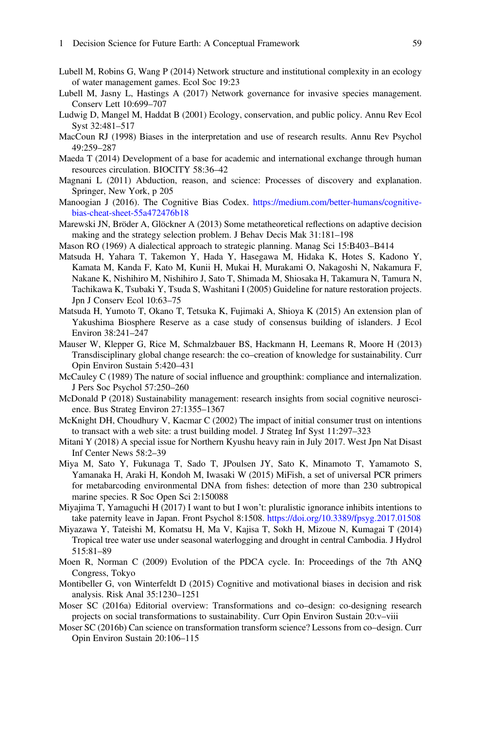- <span id="page-56-14"></span>Lubell M, Robins G, Wang P (2014) Network structure and institutional complexity in an ecology of water management games. Ecol Soc 19:23
- <span id="page-56-15"></span>Lubell M, Jasny L, Hastings A (2017) Network governance for invasive species management. Conserv Lett 10:699–707
- <span id="page-56-13"></span>Ludwig D, Mangel M, Haddat B (2001) Ecology, conservation, and public policy. Annu Rev Ecol Syst 32:481–517
- <span id="page-56-8"></span>MacCoun RJ (1998) Biases in the interpretation and use of research results. Annu Rev Psychol 49:259–287
- <span id="page-56-17"></span>Maeda T (2014) Development of a base for academic and international exchange through human resources circulation. BIOCITY 58:36–42
- <span id="page-56-2"></span>Magnani L (2011) Abduction, reason, and science: Processes of discovery and explanation. Springer, New York, p 205
- <span id="page-56-7"></span>Manoogian J (2016). The Cognitive Bias Codex. [https://medium.com/better-humans/cognitive](https://medium.com/better-humans/cognitive-bias-cheat-sheet-55a472476b18)[bias-cheat-sheet-55a472476b18](https://medium.com/better-humans/cognitive-bias-cheat-sheet-55a472476b18)
- <span id="page-56-21"></span>Marewski JN, Bröder A, Glöckner A (2013) Some metatheoretical reflections on adaptive decision making and the strategy selection problem. J Behav Decis Mak 31:181–198
- <span id="page-56-9"></span>Mason RO (1969) A dialectical approach to strategic planning. Manag Sci 15:B403–B414
- <span id="page-56-1"></span>Matsuda H, Yahara T, Takemon Y, Hada Y, Hasegawa M, Hidaka K, Hotes S, Kadono Y, Kamata M, Kanda F, Kato M, Kunii H, Mukai H, Murakami O, Nakagoshi N, Nakamura F, Nakane K, Nishihiro M, Nishihiro J, Sato T, Shimada M, Shiosaka H, Takamura N, Tamura N, Tachikawa K, Tsubaki Y, Tsuda S, Washitani I (2005) Guideline for nature restoration projects. Jpn J Conserv Ecol 10:63–75
- <span id="page-56-16"></span>Matsuda H, Yumoto T, Okano T, Tetsuka K, Fujimaki A, Shioya K (2015) An extension plan of Yakushima Biosphere Reserve as a case study of consensus building of islanders. J Ecol Environ 38:241–247
- <span id="page-56-0"></span>Mauser W, Klepper G, Rice M, Schmalzbauer BS, Hackmann H, Leemans R, Moore H (2013) Transdisciplinary global change research: the co–creation of knowledge for sustainability. Curr Opin Environ Sustain 5:420–431
- <span id="page-56-5"></span>McCauley C (1989) The nature of social influence and groupthink: compliance and internalization. J Pers Soc Psychol 57:250–260
- <span id="page-56-22"></span>McDonald P (2018) Sustainability management: research insights from social cognitive neuroscience. Bus Strateg Environ 27:1355–1367
- <span id="page-56-10"></span>McKnight DH, Choudhury V, Kacmar C (2002) The impact of initial consumer trust on intentions to transact with a web site: a trust building model. J Strateg Inf Syst 11:297–323
- <span id="page-56-18"></span>Mitani Y (2018) A special issue for Northern Kyushu heavy rain in July 2017. West Jpn Nat Disast Inf Center News 58:2–39
- <span id="page-56-20"></span>Miya M, Sato Y, Fukunaga T, Sado T, JPoulsen JY, Sato K, Minamoto T, Yamamoto S, Yamanaka H, Araki H, Kondoh M, Iwasaki W (2015) MiFish, a set of universal PCR primers for metabarcoding environmental DNA from fishes: detection of more than 230 subtropical marine species. R Soc Open Sci 2:150088
- <span id="page-56-6"></span>Miyajima T, Yamaguchi H (2017) I want to but I won't: pluralistic ignorance inhibits intentions to take paternity leave in Japan. Front Psychol 8:1508. <https://doi.org/10.3389/fpsyg.2017.01508>
- <span id="page-56-19"></span>Miyazawa Y, Tateishi M, Komatsu H, Ma V, Kajisa T, Sokh H, Mizoue N, Kumagai T (2014) Tropical tree water use under seasonal waterlogging and drought in central Cambodia. J Hydrol 515:81–89
- <span id="page-56-3"></span>Moen R, Norman C (2009) Evolution of the PDCA cycle. In: Proceedings of the 7th ANQ Congress, Tokyo
- <span id="page-56-4"></span>Montibeller G, von Winterfeldt D (2015) Cognitive and motivational biases in decision and risk analysis. Risk Anal 35:1230–1251
- <span id="page-56-11"></span>Moser SC (2016a) Editorial overview: Transformations and co–design: co-designing research projects on social transformations to sustainability. Curr Opin Environ Sustain 20:v–viii
- <span id="page-56-12"></span>Moser SC (2016b) Can science on transformation transform science? Lessons from co–design. Curr Opin Environ Sustain 20:106–115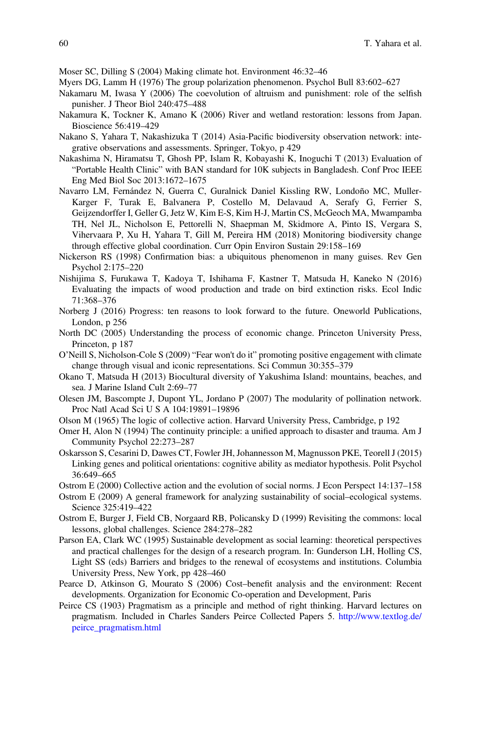<span id="page-57-21"></span>Moser SC, Dilling S (2004) Making climate hot. Environment 46:32–46

- <span id="page-57-7"></span>Myers DG, Lamm H (1976) The group polarization phenomenon. Psychol Bull 83:602–627
- <span id="page-57-5"></span>Nakamaru M, Iwasa Y (2006) The coevolution of altruism and punishment: role of the selfish punisher. J Theor Biol 240:475–488
- <span id="page-57-13"></span>Nakamura K, Tockner K, Amano K (2006) River and wetland restoration: lessons from Japan. Bioscience 56:419–429
- <span id="page-57-18"></span>Nakano S, Yahara T, Nakashizuka T (2014) Asia-Pacific biodiversity observation network: integrative observations and assessments. Springer, Tokyo, p 429
- <span id="page-57-16"></span>Nakashima N, Hiramatsu T, Ghosh PP, Islam R, Kobayashi K, Inoguchi T (2013) Evaluation of "Portable Health Clinic" with BAN standard for 10K subjects in Bangladesh. Conf Proc IEEE Eng Med Biol Soc 2013:1672–1675
- <span id="page-57-19"></span>Navarro LM, Fernández N, Guerra C, Guralnick Daniel Kissling RW, Londoño MC, Muller-Karger F, Turak E, Balvanera P, Costello M, Delavaud A, Serafy G, Ferrier S, Geijzendorffer I, Geller G, Jetz W, Kim E-S, Kim H-J, Martin CS, McGeoch MA, Mwampamba TH, Nel JL, Nicholson E, Pettorelli N, Shaepman M, Skidmore A, Pinto IS, Vergara S, Vihervaara P, Xu H, Yahara T, Gill M, Pereira HM (2018) Monitoring biodiversity change through effective global coordination. Curr Opin Environ Sustain 29:158–169
- <span id="page-57-6"></span>Nickerson RS (1998) Confirmation bias: a ubiquitous phenomenon in many guises. Rev Gen Psychol 2:175–220
- <span id="page-57-17"></span>Nishijima S, Furukawa T, Kadoya T, Ishihama F, Kastner T, Matsuda H, Kaneko N (2016) Evaluating the impacts of wood production and trade on bird extinction risks. Ecol Indic 71:368–376
- <span id="page-57-20"></span>Norberg J (2016) Progress: ten reasons to look forward to the future. Oneworld Publications, London, p 256
- <span id="page-57-3"></span>North DC (2005) Understanding the process of economic change. Princeton University Press, Princeton, p 187
- <span id="page-57-22"></span>O'Neill S, Nicholson-Cole S (2009) "Fear won't do it" promoting positive engagement with climate change through visual and iconic representations. Sci Commun 30:355–379
- <span id="page-57-15"></span>Okano T, Matsuda H (2013) Biocultural diversity of Yakushima Island: mountains, beaches, and sea. J Marine Island Cult 2:69–77
- <span id="page-57-14"></span>Olesen JM, Bascompte J, Dupont YL, Jordano P (2007) The modularity of pollination network. Proc Natl Acad Sci U S A 104:19891–19896
- <span id="page-57-2"></span>Olson M (1965) The logic of collective action. Harvard University Press, Cambridge, p 192
- <span id="page-57-8"></span>Omer H, Alon N (1994) The continuity principle: a unified approach to disaster and trauma. Am J Community Psychol 22:273–287
- <span id="page-57-4"></span>Oskarsson S, Cesarini D, Dawes CT, Fowler JH, Johannesson M, Magnusson PKE, Teorell J (2015) Linking genes and political orientations: cognitive ability as mediator hypothesis. Polit Psychol 36:649–665
- <span id="page-57-11"></span><span id="page-57-10"></span>Ostrom E (2000) Collective action and the evolution of social norms. J Econ Perspect 14:137–158
- Ostrom E (2009) A general framework for analyzing sustainability of social–ecological systems. Science 325:419–422
- <span id="page-57-9"></span>Ostrom E, Burger J, Field CB, Norgaard RB, Policansky D (1999) Revisiting the commons: local lessons, global challenges. Science 284:278–282
- <span id="page-57-12"></span>Parson EA, Clark WC (1995) Sustainable development as social learning: theoretical perspectives and practical challenges for the design of a research program. In: Gunderson LH, Holling CS, Light SS (eds) Barriers and bridges to the renewal of ecosystems and institutions. Columbia University Press, New York, pp 428–460
- <span id="page-57-1"></span>Pearce D, Atkinson G, Mourato S (2006) Cost–benefit analysis and the environment: Recent developments. Organization for Economic Co-operation and Development, Paris
- <span id="page-57-0"></span>Peirce CS (1903) Pragmatism as a principle and method of right thinking. Harvard lectures on pragmatism. Included in Charles Sanders Peirce Collected Papers 5. [http://www.textlog.de/](http://www.textlog.de/peirce_pragmatism.html) [peirce\\_pragmatism.html](http://www.textlog.de/peirce_pragmatism.html)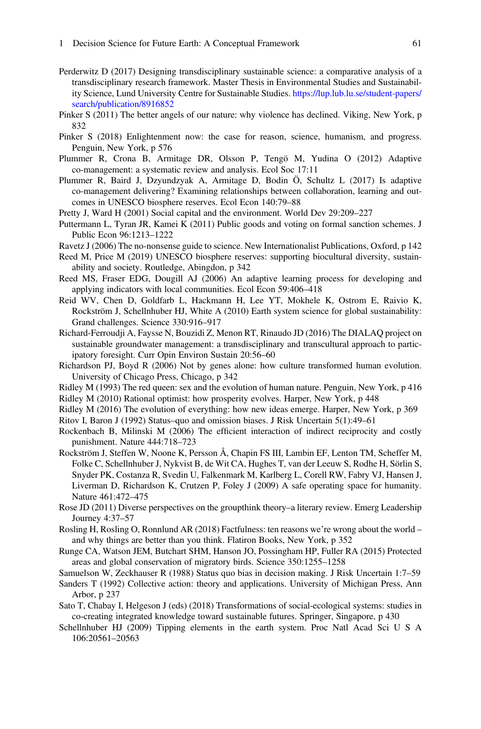- <span id="page-58-4"></span>Perderwitz D (2017) Designing transdisciplinary sustainable science: a comparative analysis of a transdisciplinary research framework. Master Thesis in Environmental Studies and Sustainability Science, Lund University Centre for Sustainable Studies. [https://lup.lub.lu.se/student-papers/](https://lup.lub.lu.se/student-papers/search/publication/8916852) [search/publication/8916852](https://lup.lub.lu.se/student-papers/search/publication/8916852)
- <span id="page-58-2"></span>Pinker S (2011) The better angels of our nature: why violence has declined. Viking, New York, p 832
- <span id="page-58-8"></span>Pinker S (2018) Enlightenment now: the case for reason, science, humanism, and progress. Penguin, New York, p 576
- <span id="page-58-16"></span>Plummer R, Crona B, Armitage DR, Olsson P, Tengö M, Yudina O (2012) Adaptive co-management: a systematic review and analysis. Ecol Soc 17:11
- <span id="page-58-18"></span>Plummer R, Baird J, Dzyundzyak A, Armitage D, Bodin Ö, Schultz L (2017) Is adaptive co-management delivering? Examining relationships between collaboration, learning and outcomes in UNESCO biosphere reserves. Ecol Econ 140:79–88
- <span id="page-58-20"></span>Pretty J, Ward H (2001) Social capital and the environment. World Dev 29:209–227
- <span id="page-58-10"></span>Puttermann L, Tyran JR, Kamei K (2011) Public goods and voting on formal sanction schemes. J Public Econ 96:1213–1222
- <span id="page-58-3"></span>Ravetz J (2006) The no-nonsense guide to science. New Internationalist Publications, Oxford, p 142
- <span id="page-58-17"></span>Reed M, Price M (2019) UNESCO biosphere reserves: supporting biocultural diversity, sustainability and society. Routledge, Abingdon, p 342
- <span id="page-58-6"></span>Reed MS, Fraser EDG, Dougill AJ (2006) An adaptive learning process for developing and applying indicators with local communities. Ecol Econ 59:406–418
- <span id="page-58-1"></span>Reid WV, Chen D, Goldfarb L, Hackmann H, Lee YT, Mokhele K, Ostrom E, Raivio K, Rockström J, Schellnhuber HJ, White A (2010) Earth system science for global sustainability: Grand challenges. Science 330:916–917
- <span id="page-58-15"></span>Richard-Ferroudji A, Faysse N, Bouzidi Z, Menon RT, Rinaudo JD (2016) The DIALAQ project on sustainable groundwater management: a transdisciplinary and transcultural approach to participatory foresight. Curr Opin Environ Sustain 20:56–60
- <span id="page-58-19"></span>Richardson PJ, Boyd R (2006) Not by genes alone: how culture transformed human evolution. University of Chicago Press, Chicago, p 342
- <span id="page-58-25"></span><span id="page-58-23"></span>Ridley M (1993) The red queen: sex and the evolution of human nature. Penguin, New York, p 416
- Ridley M (2010) Rational optimist: how prosperity evolves. Harper, New York, p 448
- <span id="page-58-7"></span>Ridley M (2016) The evolution of everything: how new ideas emerge. Harper, New York, p 369
- <span id="page-58-13"></span>Ritov I, Baron J (1992) Status–quo and omission biases. J Risk Uncertain 5(1):49–61
- <span id="page-58-9"></span>Rockenbach B, Milinski M (2006) The efficient interaction of indirect reciprocity and costly punishment. Nature 444:718–723
- <span id="page-58-0"></span>Rockström J, Steffen W, Noone K, Persson Å, Chapin FS III, Lambin EF, Lenton TM, Scheffer M, Folke C, Schellnhuber J, Nykvist B, de Wit CA, Hughes T, van der Leeuw S, Rodhe H, Sörlin S, Snyder PK, Costanza R, Svedin U, Falkenmark M, Karlberg L, Corell RW, Fabry VJ, Hansen J, Liverman D, Richardson K, Crutzen P, Foley J (2009) A safe operating space for humanity. Nature 461:472–475
- <span id="page-58-11"></span>Rose JD (2011) Diverse perspectives on the groupthink theory–a literary review. Emerg Leadership Journey 4:37–57
- <span id="page-58-24"></span>Rosling H, Rosling O, Ronnlund AR (2018) Factfulness: ten reasons we're wrong about the world – and why things are better than you think. Flatiron Books, New York, p 352
- <span id="page-58-21"></span>Runge CA, Watson JEM, Butchart SHM, Hanson JO, Possingham HP, Fuller RA (2015) Protected areas and global conservation of migratory birds. Science 350:1255–1258
- <span id="page-58-12"></span>Samuelson W, Zeckhauser R (1988) Status quo bias in decision making. J Risk Uncertain 1:7–59
- <span id="page-58-5"></span>Sanders T (1992) Collective action: theory and applications. University of Michigan Press, Ann Arbor, p 237
- <span id="page-58-22"></span>Sato T, Chabay I, Helgeson J (eds) (2018) Transformations of social-ecological systems: studies in co-creating integrated knowledge toward sustainable futures. Springer, Singapore, p 430
- <span id="page-58-14"></span>Schellnhuber HJ (2009) Tipping elements in the earth system. Proc Natl Acad Sci U S A 106:20561–20563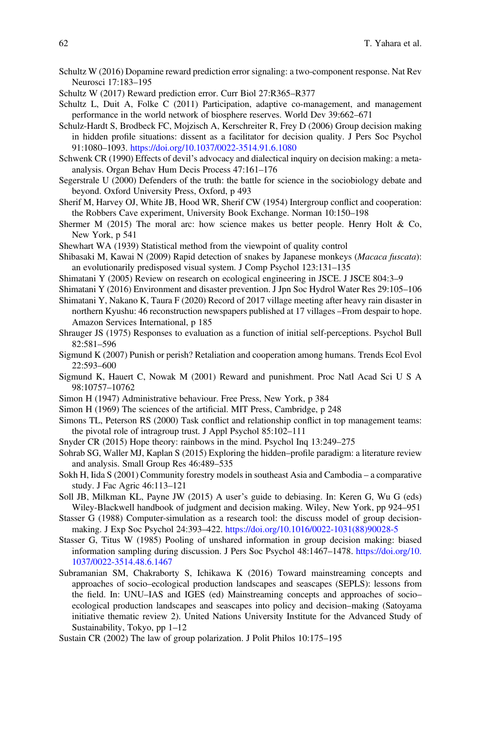- <span id="page-59-23"></span>Schultz W (2016) Dopamine reward prediction error signaling: a two-component response. Nat Rev Neurosci 17:183–195
- <span id="page-59-24"></span>Schultz W (2017) Reward prediction error. Curr Biol 27:R365–R377
- <span id="page-59-17"></span>Schultz L, Duit A, Folke C (2011) Participation, adaptive co-management, and management performance in the world network of biosphere reserves. World Dev 39:662–671
- <span id="page-59-13"></span>Schulz-Hardt S, Brodbeck FC, Mojzisch A, Kerschreiter R, Frey D (2006) Group decision making in hidden profile situations: dissent as a facilitator for decision quality. J Pers Soc Psychol 91:1080–1093. <https://doi.org/10.1037/0022-3514.91.6.1080>
- <span id="page-59-14"></span>Schwenk CR (1990) Effects of devil's advocacy and dialectical inquiry on decision making: a metaanalysis. Organ Behav Hum Decis Process 47:161–176
- <span id="page-59-2"></span>Segerstrale U (2000) Defenders of the truth: the battle for science in the sociobiology debate and beyond. Oxford University Press, Oxford, p 493
- <span id="page-59-16"></span>Sherif M, Harvey OJ, White JB, Hood WR, Sherif CW (1954) Intergroup conflict and cooperation: the Robbers Cave experiment, University Book Exchange. Norman 10:150–198
- <span id="page-59-26"></span>Shermer M (2015) The moral arc: how science makes us better people. Henry Holt & Co, New York, p 541
- <span id="page-59-1"></span>Shewhart WA (1939) Statistical method from the viewpoint of quality control
- <span id="page-59-10"></span>Shibasaki M, Kawai N (2009) Rapid detection of snakes by Japanese monkeys (Macaca fuscata): an evolutionarily predisposed visual system. J Comp Psychol 123:131–135
- <span id="page-59-19"></span>Shimatani Y (2005) Review on research on ecological engineering in JSCE. J JSCE 804:3–9
- <span id="page-59-21"></span><span id="page-59-20"></span>Shimatani Y (2016) Environment and disaster prevention. J Jpn Soc Hydrol Water Res 29:105–106
- Shimatani Y, Nakano K, Taura F (2020) Record of 2017 village meeting after heavy rain disaster in northern Kyushu: 46 reconstruction newspapers published at 17 villages –From despair to hope. Amazon Services International, p 185
- <span id="page-59-11"></span>Shrauger JS (1975) Responses to evaluation as a function of initial self-perceptions. Psychol Bull 82:581–596
- <span id="page-59-4"></span>Sigmund K (2007) Punish or perish? Retaliation and cooperation among humans. Trends Ecol Evol 22:593–600
- <span id="page-59-3"></span>Sigmund K, Hauert C, Nowak M (2001) Reward and punishment. Proc Natl Acad Sci U S A 98:10757–10762
- <span id="page-59-5"></span>Simon H (1947) Administrative behaviour. Free Press, New York, p 384
- <span id="page-59-0"></span>Simon H (1969) The sciences of the artificial. MIT Press, Cambridge, p 248
- <span id="page-59-15"></span>Simons TL, Peterson RS (2000) Task conflict and relationship conflict in top management teams: the pivotal role of intragroup trust. J Appl Psychol 85:102–111
- <span id="page-59-25"></span>Snyder CR (2015) Hope theory: rainbows in the mind. Psychol Inq 13:249–275
- <span id="page-59-8"></span>Sohrab SG, Waller MJ, Kaplan S (2015) Exploring the hidden–profile paradigm: a literature review and analysis. Small Group Res 46:489–535
- <span id="page-59-22"></span>Sokh H, Iida S (2001) Community forestry models in southeast Asia and Cambodia – a comparative study. J Fac Agric 46:113–121
- <span id="page-59-12"></span>Soll JB, Milkman KL, Payne JW (2015) A user's guide to debiasing. In: Keren G, Wu G (eds) Wiley-Blackwell handbook of judgment and decision making. Wiley, New York, pp 924–951
- <span id="page-59-7"></span>Stasser G (1988) Computer-simulation as a research tool: the discuss model of group decisionmaking. J Exp Soc Psychol 24:393–422. [https://doi.org/10.1016/0022-1031\(88\)90028-5](https://doi.org/10.1016/0022-1031(88)90028-5)
- <span id="page-59-6"></span>Stasser G, Titus W (1985) Pooling of unshared information in group decision making: biased information sampling during discussion. J Pers Soc Psychol 48:1467–1478. [https://doi.org/10.](https://doi.org/10.1037/0022-3514.48.6.1467) [1037/0022-3514.48.6.1467](https://doi.org/10.1037/0022-3514.48.6.1467)
- <span id="page-59-18"></span>Subramanian SM, Chakraborty S, Ichikawa K (2016) Toward mainstreaming concepts and approaches of socio–ecological production landscapes and seascapes (SEPLS): lessons from the field. In: UNU–IAS and IGES (ed) Mainstreaming concepts and approaches of socio– ecological production landscapes and seascapes into policy and decision–making (Satoyama initiative thematic review 2). United Nations University Institute for the Advanced Study of Sustainability, Tokyo, pp 1–12
- <span id="page-59-9"></span>Sustain CR (2002) The law of group polarization. J Polit Philos 10:175–195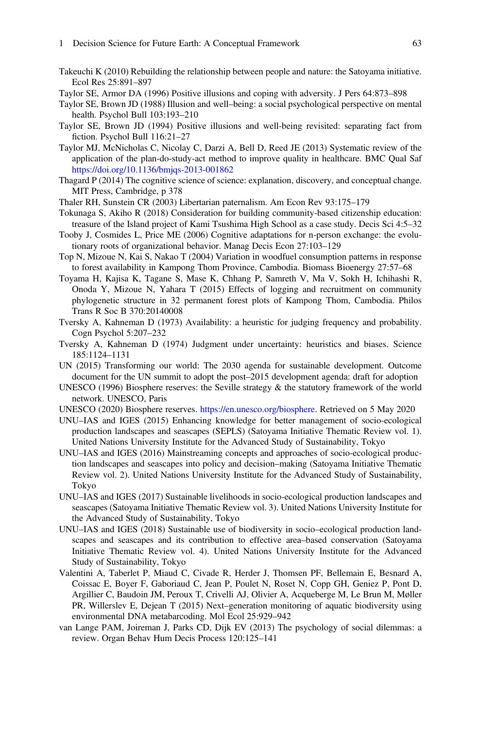- <span id="page-60-10"></span>Takeuchi K (2010) Rebuilding the relationship between people and nature: the Satoyama initiative. Ecol Res 25:891–897
- <span id="page-60-8"></span><span id="page-60-6"></span>Taylor SE, Armor DA (1996) Positive illusions and coping with adversity. J Pers 64:873–898
- Taylor SE, Brown JD (1988) Illusion and well–being: a social psychological perspective on mental health. Psychol Bull 103:193–210
- <span id="page-60-7"></span>Taylor SE, Brown JD (1994) Positive illusions and well-being revisited: separating fact from fiction. Psychol Bull 116:21–27
- <span id="page-60-3"></span>Taylor MJ, McNicholas C, Nicolay C, Darzi A, Bell D, Reed JE (2013) Systematic review of the application of the plan-do-study-act method to improve quality in healthcare. BMC Qual Saf <https://doi.org/10.1136/bmjqs-2013-001862>
- <span id="page-60-1"></span>Thagard P (2014) The cognitive science of science: explanation, discovery, and conceptual change. MIT Press, Cambridge, p 378
- <span id="page-60-9"></span>Thaler RH, Sunstein CR (2003) Libertarian paternalism. Am Econ Rev 93:175–179
- <span id="page-60-17"></span>Tokunaga S, Akiho R (2018) Consideration for building community-based citizenship education: treasure of the Island project of Kami Tsushima High School as a case study. Decis Sci 4:5–32
- <span id="page-60-21"></span>Tooby J, Cosmides L, Price ME (2006) Cognitive adaptations for n-person exchange: the evolutionary roots of organizational behavior. Manag Decis Econ 27:103–129
- <span id="page-60-18"></span>Top N, Mizoue N, Kai S, Nakao T (2004) Variation in woodfuel consumption patterns in response to forest availability in Kampong Thom Province, Cambodia. Biomass Bioenergy 27:57–68
- <span id="page-60-19"></span>Toyama H, Kajisa K, Tagane S, Mase K, Chhang P, Samreth V, Ma V, Sokh H, Ichihashi R, Onoda Y, Mizoue N, Yahara T (2015) Effects of logging and recruitment on community phylogenetic structure in 32 permanent forest plots of Kampong Thom, Cambodia. Philos Trans R Soc B 370:20140008
- <span id="page-60-5"></span>Tversky A, Kahneman D (1973) Availability: a heuristic for judging frequency and probability. Cogn Psychol 5:207–232
- <span id="page-60-4"></span>Tversky A, Kahneman D (1974) Judgment under uncertainty: heuristics and biases. Science 185:1124–1131
- <span id="page-60-0"></span>UN (2015) Transforming our world: The 2030 agenda for sustainable development. Outcome document for the UN summit to adopt the post–2015 development agenda: draft for adoption
- <span id="page-60-11"></span>UNESCO (1996) Biosphere reserves: the Seville strategy & the statutory framework of the world network. UNESCO, Paris
- <span id="page-60-12"></span>UNESCO (2020) Biosphere reserves. [https://en.unesco.org/biosphere.](https://en.unesco.org/biosphere) Retrieved on 5 May 2020
- <span id="page-60-13"></span>UNU–IAS and IGES (2015) Enhancing knowledge for better management of socio-ecological production landscapes and seascapes (SEPLS) (Satoyama Initiative Thematic Review vol. 1). United Nations University Institute for the Advanced Study of Sustainability, Tokyo
- <span id="page-60-14"></span>UNU–IAS and IGES (2016) Mainstreaming concepts and approaches of socio-ecological production landscapes and seascapes into policy and decision–making (Satoyama Initiative Thematic Review vol. 2). United Nations University Institute for the Advanced Study of Sustainability, Tokyo
- <span id="page-60-15"></span>UNU–IAS and IGES (2017) Sustainable livelihoods in socio-ecological production landscapes and seascapes (Satoyama Initiative Thematic Review vol. 3). United Nations University Institute for the Advanced Study of Sustainability, Tokyo
- <span id="page-60-16"></span>UNU–IAS and IGES (2018) Sustainable use of biodiversity in socio–ecological production landscapes and seascapes and its contribution to effective area–based conservation (Satoyama Initiative Thematic Review vol. 4). United Nations University Institute for the Advanced Study of Sustainability, Tokyo
- <span id="page-60-20"></span>Valentini A, Taberlet P, Miaud C, Civade R, Herder J, Thomsen PF, Bellemain E, Besnard A, Coissac E, Boyer F, Gaboriaud C, Jean P, Poulet N, Roset N, Copp GH, Geniez P, Pont D, Argillier C, Baudoin JM, Peroux T, Crivelli AJ, Olivier A, Acqueberge M, Le Brun M, Møller PR, Willerslev E, Dejean T (2015) Next–generation monitoring of aquatic biodiversity using environmental DNA metabarcoding. Mol Ecol 25:929–942
- <span id="page-60-2"></span>van Lange PAM, Joireman J, Parks CD, Dijk EV (2013) The psychology of social dilemmas: a review. Organ Behav Hum Decis Process 120:125–141